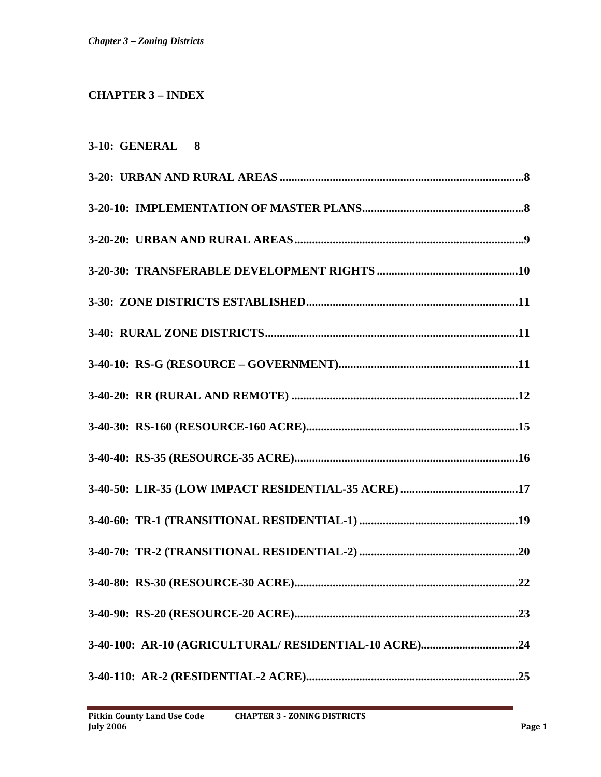# **CHAPTER 3 – INDEX**

## **[3-10: GENERAL](#page-7-0) 8**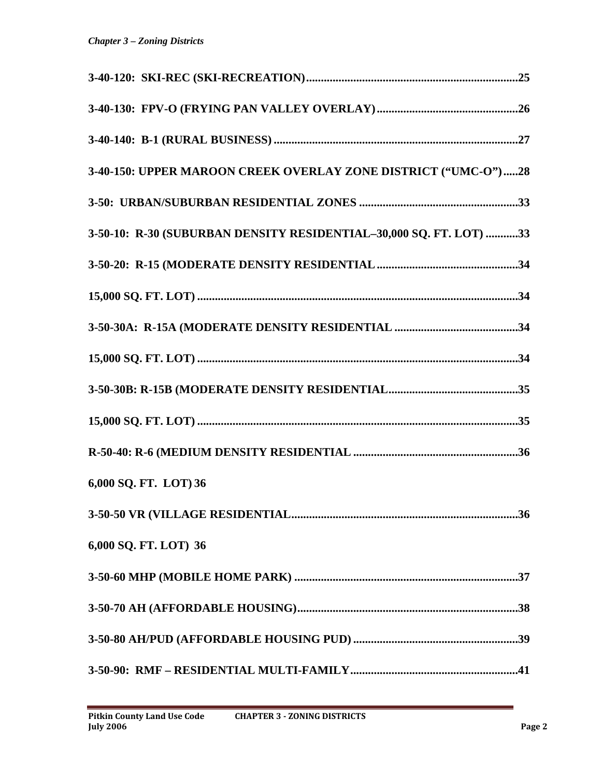| 3-40-150: UPPER MAROON CREEK OVERLAY ZONE DISTRICT ("UMC-O")28     |
|--------------------------------------------------------------------|
|                                                                    |
| 3-50-10: R-30 (SUBURBAN DENSITY RESIDENTIAL-30,000 SQ. FT. LOT) 33 |
|                                                                    |
|                                                                    |
|                                                                    |
|                                                                    |
|                                                                    |
|                                                                    |
|                                                                    |
| 6,000 SQ. FT. LOT) 36                                              |
|                                                                    |
| 6,000 SQ. FT. LOT) 36                                              |
|                                                                    |
|                                                                    |
|                                                                    |
|                                                                    |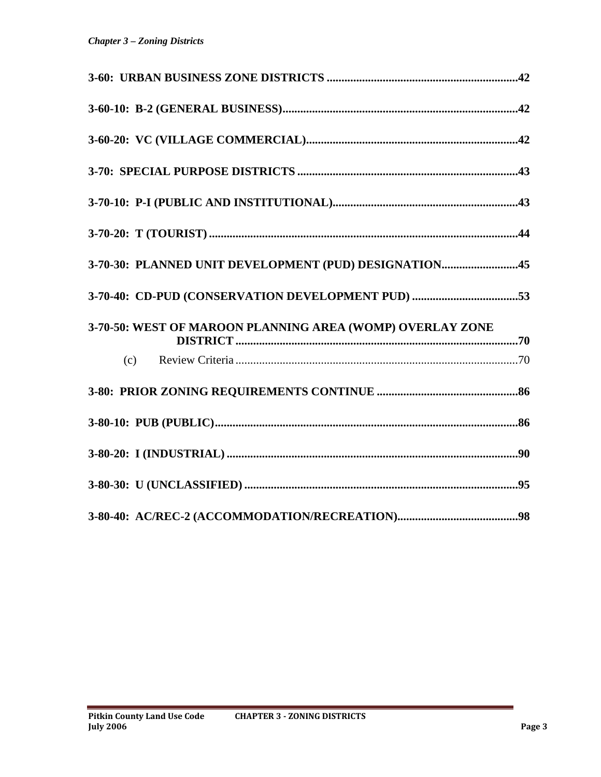| 3-70-30: PLANNED UNIT DEVELOPMENT (PUD) DESIGNATION45     |  |
|-----------------------------------------------------------|--|
| 3-70-40: CD-PUD (CONSERVATION DEVELOPMENT PUD) 53         |  |
| 3-70-50: WEST OF MAROON PLANNING AREA (WOMP) OVERLAY ZONE |  |
| (c)                                                       |  |
|                                                           |  |
|                                                           |  |
|                                                           |  |
|                                                           |  |
|                                                           |  |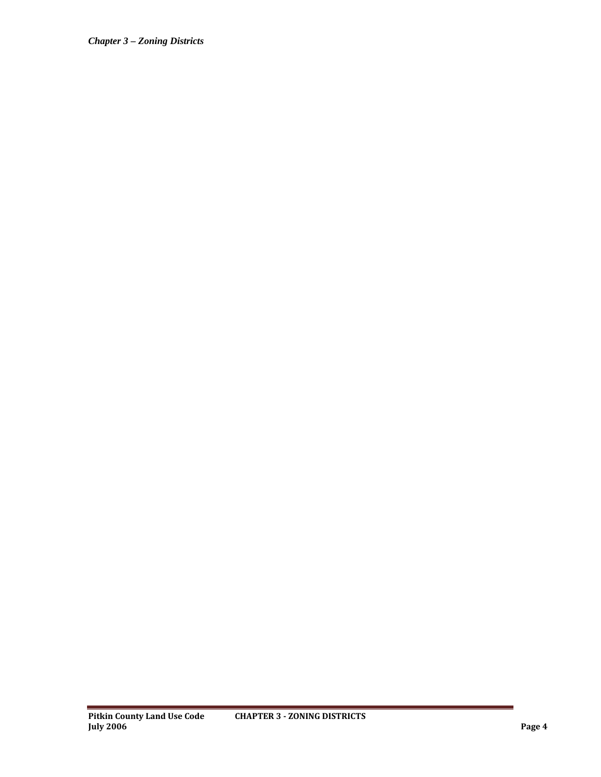*Chapter 3 – Zoning Districts*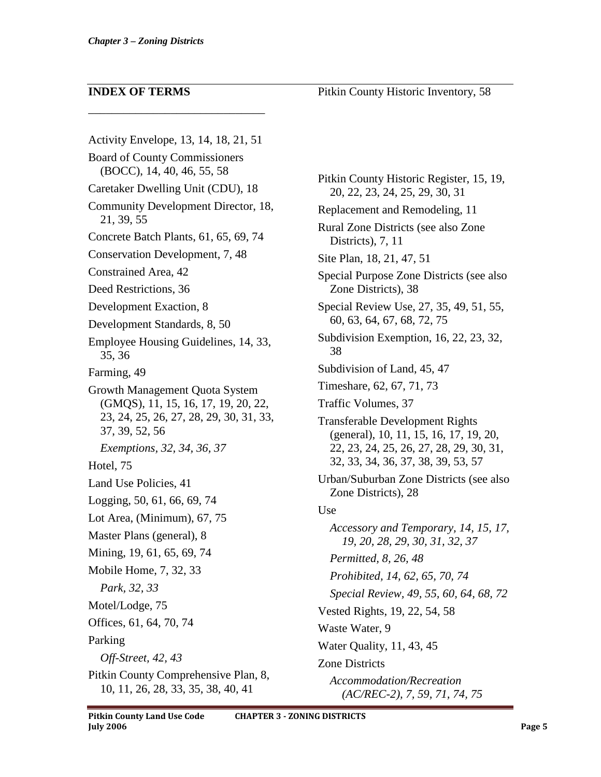## **INDEX OF TERMS**

\_\_\_\_\_\_\_\_\_\_\_\_\_\_\_\_\_\_\_\_\_\_\_\_\_\_\_\_\_\_

Pitkin County Historic Inventory, 58

Activity Envelope, 13, 14, 18, 21, 51 Board of County Commissioners (BOCC), 14, 40, 46, 55, 58 Caretaker Dwelling Unit (CDU), 18 Community Development Director, 18, 21, 39, 55 Concrete Batch Plants, 61, 65, 69, 74 Conservation Development, 7, 48 Constrained Area, 42 Deed Restrictions, 36 Development Exaction, 8 Development Standards, 8, 50 Employee Housing Guidelines, 14, 33, 35, 36 Farming, 49 Growth Management Quota System (GMQS), 11, 15, 16, 17, 19, 20, 22, 23, 24, 25, 26, 27, 28, 29, 30, 31, 33, 37, 39, 52, 56 *Exemptions, 32, 34, 36, 37* Hotel, 75 Land Use Policies, 41 Logging, 50, 61, 66, 69, 74 Lot Area, (Minimum), 67, 75 Master Plans (general), 8 Mining, 19, 61, 65, 69, 74 Mobile Home, 7, 32, 33 *Park, 32, 33* Motel/Lodge, 75 Offices, 61, 64, 70, 74 Parking *Off-Street, 42, 43* Pitkin County Comprehensive Plan, 8, 10, 11, 26, 28, 33, 35, 38, 40, 41

Pitkin County Historic Register, 15, 19, 20, 22, 23, 24, 25, 29, 30, 31 Replacement and Remodeling, 11 Rural Zone Districts (see also Zone Districts), 7, 11 Site Plan, 18, 21, 47, 51 Special Purpose Zone Districts (see also Zone Districts), 38 Special Review Use, 27, 35, 49, 51, 55, 60, 63, 64, 67, 68, 72, 75 Subdivision Exemption, 16, 22, 23, 32, 38 Subdivision of Land, 45, 47 Timeshare, 62, 67, 71, 73 Traffic Volumes, 37 Transferable Development Rights (general), 10, 11, 15, 16, 17, 19, 20, 22, 23, 24, 25, 26, 27, 28, 29, 30, 31, 32, 33, 34, 36, 37, 38, 39, 53, 57 Urban/Suburban Zone Districts (see also Zone Districts), 28 Use *Accessory and Temporary, 14, 15, 17, 19, 20, 28, 29, 30, 31, 32, 37 Permitted, 8, 26, 48 Prohibited, 14, 62, 65, 70, 74 Special Review, 49, 55, 60, 64, 68, 72* Vested Rights, 19, 22, 54, 58 Waste Water, 9 Water Quality, 11, 43, 45 Zone Districts *Accommodation/Recreation (AC/REC-2), 7, 59, 71, 74, 75*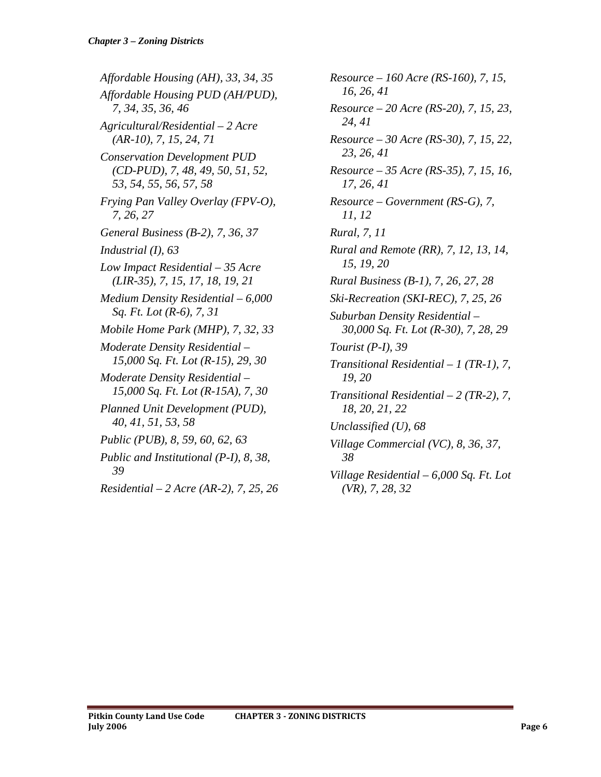*Affordable Housing (AH), 33, 34, 35 Affordable Housing PUD (AH/PUD), 7, 34, 35, 36, 46 Agricultural/Residential – 2 Acre (AR-10), 7, 15, 24, 71 Conservation Development PUD (CD-PUD), 7, 48, 49, 50, 51, 52, 53, 54, 55, 56, 57, 58 Frying Pan Valley Overlay (FPV-O), 7, 26, 27 General Business (B-2), 7, 36, 37 Industrial (I), 63 Low Impact Residential – 35 Acre (LIR-35), 7, 15, 17, 18, 19, 21 Medium Density Residential – 6,000 Sq. Ft. Lot (R-6), 7, 31 Mobile Home Park (MHP), 7, 32, 33 Moderate Density Residential – 15,000 Sq. Ft. Lot (R-15), 29, 30 Moderate Density Residential – 15,000 Sq. Ft. Lot (R-15A), 7, 30 Planned Unit Development (PUD), 40, 41, 51, 53, 58 Public (PUB), 8, 59, 60, 62, 63 Public and Institutional (P-I), 8, 38, 39 Residential – 2 Acre (AR-2), 7, 25, 26*

*Resource – 160 Acre (RS-160), 7, 15, 16, 26, 41 Resource – 20 Acre (RS-20), 7, 15, 23, 24, 41 Resource – 30 Acre (RS-30), 7, 15, 22, 23, 26, 41 Resource – 35 Acre (RS-35), 7, 15, 16, 17, 26, 41 Resource – Government (RS-G), 7, 11, 12 Rural, 7, 11 Rural and Remote (RR), 7, 12, 13, 14, 15, 19, 20 Rural Business (B-1), 7, 26, 27, 28 Ski-Recreation (SKI-REC), 7, 25, 26 Suburban Density Residential – 30,000 Sq. Ft. Lot (R-30), 7, 28, 29 Tourist (P-I), 39 Transitional Residential – 1 (TR-1), 7, 19, 20 Transitional Residential – 2 (TR-2), 7, 18, 20, 21, 22 Unclassified (U), 68 Village Commercial (VC), 8, 36, 37, 38 Village Residential – 6,000 Sq. Ft. Lot (VR), 7, 28, 32*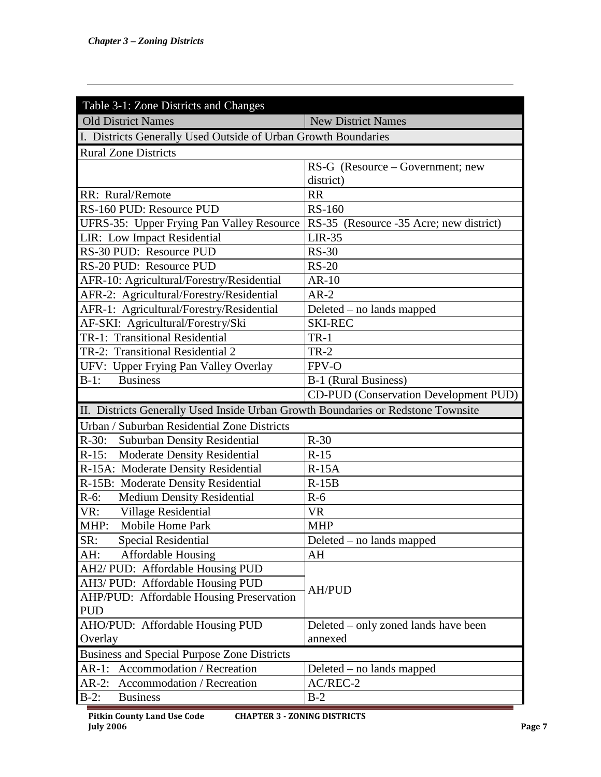| Table 3-1: Zone Districts and Changes                                            |                                         |  |  |
|----------------------------------------------------------------------------------|-----------------------------------------|--|--|
| <b>Old District Names</b>                                                        | <b>New District Names</b>               |  |  |
| I. Districts Generally Used Outside of Urban Growth Boundaries                   |                                         |  |  |
| <b>Rural Zone Districts</b>                                                      |                                         |  |  |
|                                                                                  | RS-G (Resource – Government; new        |  |  |
|                                                                                  | district)                               |  |  |
| RR: Rural/Remote                                                                 | <b>RR</b>                               |  |  |
| RS-160 PUD: Resource PUD                                                         | <b>RS-160</b>                           |  |  |
| UFRS-35: Upper Frying Pan Valley Resource                                        | RS-35 (Resource -35 Acre; new district) |  |  |
| LIR: Low Impact Residential                                                      | <b>LIR-35</b>                           |  |  |
| RS-30 PUD: Resource PUD                                                          | $RS-30$                                 |  |  |
| RS-20 PUD: Resource PUD                                                          | $RS-20$                                 |  |  |
| AFR-10: Agricultural/Forestry/Residential                                        | $AR-10$                                 |  |  |
| AFR-2: Agricultural/Forestry/Residential                                         | $AR-2$                                  |  |  |
| AFR-1: Agricultural/Forestry/Residential                                         | Deleted – no lands mapped               |  |  |
| AF-SKI: Agricultural/Forestry/Ski                                                | <b>SKI-REC</b>                          |  |  |
| TR-1: Transitional Residential                                                   | $TR-1$                                  |  |  |
| TR-2: Transitional Residential 2                                                 | <b>TR-2</b>                             |  |  |
| UFV: Upper Frying Pan Valley Overlay                                             | FPV-O                                   |  |  |
| <b>Business</b><br>$B-1$ :                                                       | B-1 (Rural Business)                    |  |  |
|                                                                                  | CD-PUD (Conservation Development PUD)   |  |  |
| II. Districts Generally Used Inside Urban Growth Boundaries or Redstone Townsite |                                         |  |  |
| Urban / Suburban Residential Zone Districts                                      |                                         |  |  |
| $R-30:$<br><b>Suburban Density Residential</b>                                   | $R-30$                                  |  |  |
| $R-15$ :<br><b>Moderate Density Residential</b>                                  | $R-15$                                  |  |  |
| R-15A: Moderate Density Residential                                              | $R-15A$                                 |  |  |
| R-15B: Moderate Density Residential                                              | $R-15B$                                 |  |  |
| $R-6$ :<br><b>Medium Density Residential</b>                                     | $R-6$                                   |  |  |
| Village Residential<br>VR:                                                       | VR                                      |  |  |
| MHP:<br><b>Mobile Home Park</b>                                                  | <b>MHP</b>                              |  |  |
|                                                                                  |                                         |  |  |
| SR:<br><b>Special Residential</b>                                                | Deleted – no lands mapped               |  |  |
| <b>Affordable Housing</b><br>AH:                                                 | AH                                      |  |  |
| AH2/PUD: Affordable Housing PUD                                                  |                                         |  |  |
| AH3/ PUD: Affordable Housing PUD                                                 |                                         |  |  |
| AHP/PUD: Affordable Housing Preservation                                         | <b>AH/PUD</b>                           |  |  |
| <b>PUD</b>                                                                       |                                         |  |  |
| AHO/PUD: Affordable Housing PUD                                                  | Deleted – only zoned lands have been    |  |  |
| Overlay                                                                          | annexed                                 |  |  |
| Business and Special Purpose Zone Districts                                      |                                         |  |  |
| Accommodation / Recreation<br>$AR-1$ :                                           | Deleted – no lands mapped               |  |  |
| $AR-2$ :<br>Accommodation / Recreation<br>$B-2$ :                                | $AC/REC-2$<br>$B-2$                     |  |  |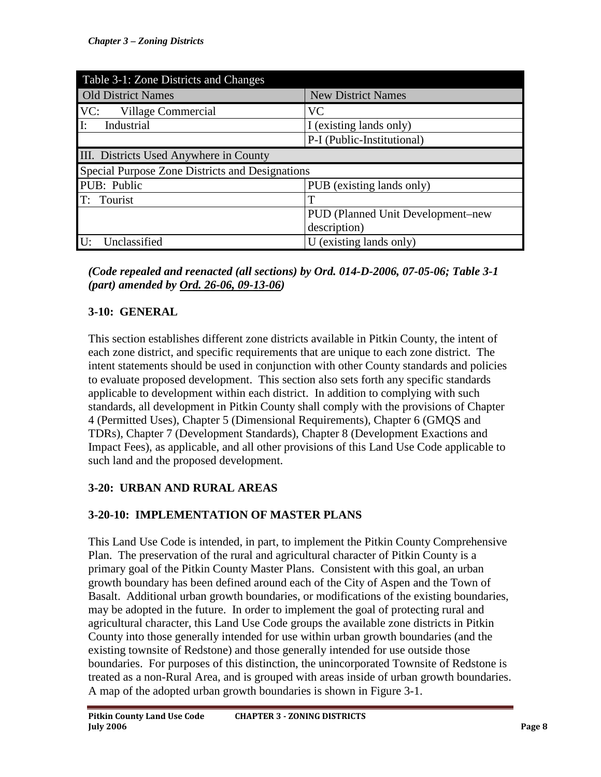| Table 3-1: Zone Districts and Changes           |                                          |  |
|-------------------------------------------------|------------------------------------------|--|
| <b>Old District Names</b>                       | <b>New District Names</b>                |  |
| VC:<br><b>Village Commercial</b>                | <b>VC</b>                                |  |
| Industrial<br>$\mathbf{I}$ :                    | I (existing lands only)                  |  |
|                                                 | P-I (Public-Institutional)               |  |
| III. Districts Used Anywhere in County          |                                          |  |
| Special Purpose Zone Districts and Designations |                                          |  |
| PUB: Public                                     | PUB (existing lands only)                |  |
| Tourist<br>$T$ :                                | T                                        |  |
|                                                 | <b>PUD</b> (Planned Unit Development–new |  |
|                                                 | description)                             |  |
| U:<br>Unclassified                              | U (existing lands only)                  |  |

*(Code repealed and reenacted (all sections) by Ord. 014-D-2006, 07-05-06; Table 3-1 (part) amended by [Ord. 26-06,](http://pitkincounty.com/DocumentCenter/View/12795) 09-13-06)*

# <span id="page-7-0"></span>**3-10: GENERAL**

This section establishes different zone districts available in Pitkin County, the intent of each zone district, and specific requirements that are unique to each zone district. The intent statements should be used in conjunction with other County standards and policies to evaluate proposed development. This section also sets forth any specific standards applicable to development within each district. In addition to complying with such standards, all development in Pitkin County shall comply with the provisions of Chapter 4 (Permitted Uses), Chapter 5 (Dimensional Requirements), Chapter 6 (GMQS and TDRs), Chapter 7 (Development Standards), Chapter 8 (Development Exactions and Impact Fees), as applicable, and all other provisions of this Land Use Code applicable to such land and the proposed development.

## <span id="page-7-1"></span>**3-20: URBAN AND RURAL AREAS**

## <span id="page-7-2"></span>**3-20-10: IMPLEMENTATION OF MASTER PLANS**

This Land Use Code is intended, in part, to implement the Pitkin County Comprehensive Plan. The preservation of the rural and agricultural character of Pitkin County is a primary goal of the Pitkin County Master Plans. Consistent with this goal, an urban growth boundary has been defined around each of the City of Aspen and the Town of Basalt. Additional urban growth boundaries, or modifications of the existing boundaries, may be adopted in the future. In order to implement the goal of protecting rural and agricultural character, this Land Use Code groups the available zone districts in Pitkin County into those generally intended for use within urban growth boundaries (and the existing townsite of Redstone) and those generally intended for use outside those boundaries. For purposes of this distinction, the unincorporated Townsite of Redstone is treated as a non-Rural Area, and is grouped with areas inside of urban growth boundaries. A map of the adopted urban growth boundaries is shown in Figure 3-1.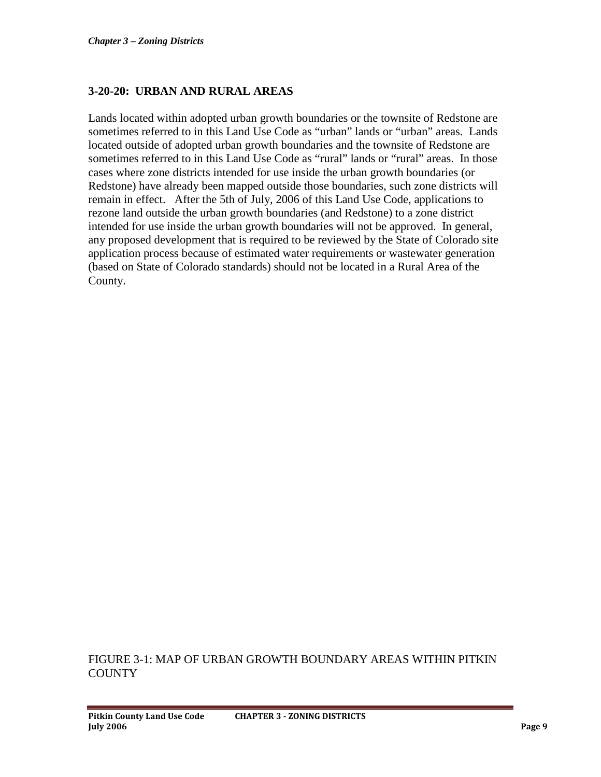## <span id="page-8-0"></span>**3-20-20: URBAN AND RURAL AREAS**

Lands located within adopted urban growth boundaries or the townsite of Redstone are sometimes referred to in this Land Use Code as "urban" lands or "urban" areas. Lands located outside of adopted urban growth boundaries and the townsite of Redstone are sometimes referred to in this Land Use Code as "rural" lands or "rural" areas. In those cases where zone districts intended for use inside the urban growth boundaries (or Redstone) have already been mapped outside those boundaries, such zone districts will remain in effect. After the 5th of July, 2006 of this Land Use Code, applications to rezone land outside the urban growth boundaries (and Redstone) to a zone district intended for use inside the urban growth boundaries will not be approved. In general, any proposed development that is required to be reviewed by the State of Colorado site application process because of estimated water requirements or wastewater generation (based on State of Colorado standards) should not be located in a Rural Area of the County.

FIGURE 3-1: MAP OF URBAN GROWTH BOUNDARY AREAS WITHIN PITKIN **COUNTY**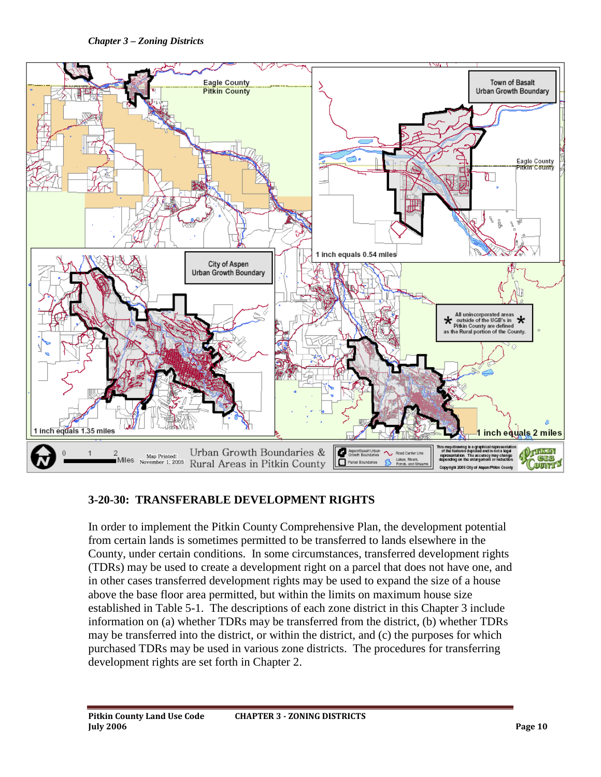

# <span id="page-9-0"></span>**3-20-30: TRANSFERABLE DEVELOPMENT RIGHTS**

In order to implement the Pitkin County Comprehensive Plan, the development potential from certain lands is sometimes permitted to be transferred to lands elsewhere in the County, under certain conditions. In some circumstances, transferred development rights (TDRs) may be used to create a development right on a parcel that does not have one, and in other cases transferred development rights may be used to expand the size of a house above the base floor area permitted, but within the limits on maximum house size established in Table 5-1. The descriptions of each zone district in this Chapter 3 include information on (a) whether TDRs may be transferred from the district, (b) whether TDRs may be transferred into the district, or within the district, and (c) the purposes for which purchased TDRs may be used in various zone districts. The procedures for transferring development rights are set forth in Chapter 2.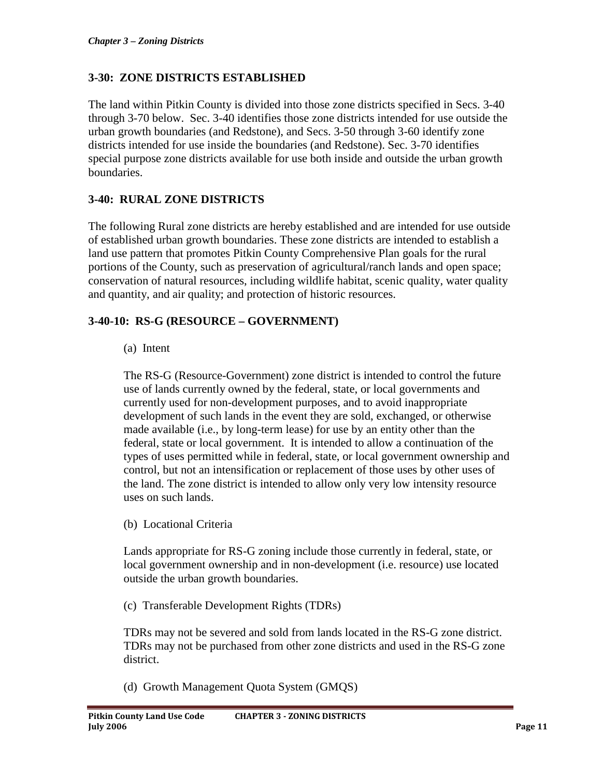## <span id="page-10-0"></span>**3-30: ZONE DISTRICTS ESTABLISHED**

The land within Pitkin County is divided into those zone districts specified in Secs. 3-40 through 3-70 below. Sec. 3-40 identifies those zone districts intended for use outside the urban growth boundaries (and Redstone), and Secs. 3-50 through 3-60 identify zone districts intended for use inside the boundaries (and Redstone). Sec. 3-70 identifies special purpose zone districts available for use both inside and outside the urban growth boundaries.

## <span id="page-10-1"></span>**3-40: RURAL ZONE DISTRICTS**

The following Rural zone districts are hereby established and are intended for use outside of established urban growth boundaries. These zone districts are intended to establish a land use pattern that promotes Pitkin County Comprehensive Plan goals for the rural portions of the County, such as preservation of agricultural/ranch lands and open space; conservation of natural resources, including wildlife habitat, scenic quality, water quality and quantity, and air quality; and protection of historic resources.

### <span id="page-10-2"></span>**3-40-10: RS-G (RESOURCE – GOVERNMENT)**

(a) Intent

The RS-G (Resource-Government) zone district is intended to control the future use of lands currently owned by the federal, state, or local governments and currently used for non-development purposes, and to avoid inappropriate development of such lands in the event they are sold, exchanged, or otherwise made available (i.e., by long-term lease) for use by an entity other than the federal, state or local government. It is intended to allow a continuation of the types of uses permitted while in federal, state, or local government ownership and control, but not an intensification or replacement of those uses by other uses of the land. The zone district is intended to allow only very low intensity resource uses on such lands.

(b) Locational Criteria

Lands appropriate for RS-G zoning include those currently in federal, state, or local government ownership and in non-development (i.e. resource) use located outside the urban growth boundaries.

(c) Transferable Development Rights (TDRs)

TDRs may not be severed and sold from lands located in the RS-G zone district. TDRs may not be purchased from other zone districts and used in the RS-G zone district.

(d) Growth Management Quota System (GMQS)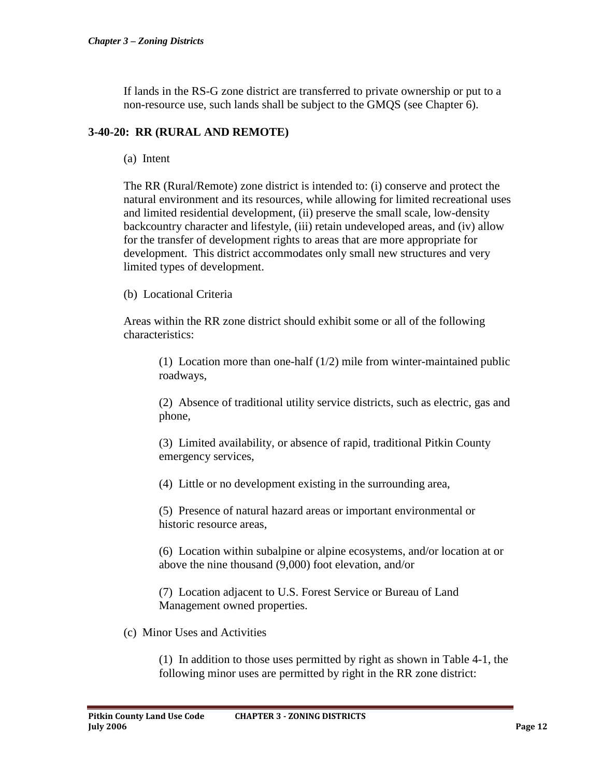If lands in the RS-G zone district are transferred to private ownership or put to a non-resource use, such lands shall be subject to the GMQS (see Chapter 6).

## <span id="page-11-0"></span>**3-40-20: RR (RURAL AND REMOTE)**

(a) Intent

The RR (Rural/Remote) zone district is intended to: (i) conserve and protect the natural environment and its resources, while allowing for limited recreational uses and limited residential development, (ii) preserve the small scale, low-density backcountry character and lifestyle, (iii) retain undeveloped areas, and (iv) allow for the transfer of development rights to areas that are more appropriate for development. This district accommodates only small new structures and very limited types of development.

(b) Locational Criteria

Areas within the RR zone district should exhibit some or all of the following characteristics:

(1) Location more than one-half  $(1/2)$  mile from winter-maintained public roadways,

(2) Absence of traditional utility service districts, such as electric, gas and phone,

(3) Limited availability, or absence of rapid, traditional Pitkin County emergency services,

(4) Little or no development existing in the surrounding area,

(5) Presence of natural hazard areas or important environmental or historic resource areas,

(6) Location within subalpine or alpine ecosystems, and/or location at or above the nine thousand (9,000) foot elevation, and/or

(7) Location adjacent to U.S. Forest Service or Bureau of Land Management owned properties.

(c) Minor Uses and Activities

(1) In addition to those uses permitted by right as shown in Table 4-1, the following minor uses are permitted by right in the RR zone district: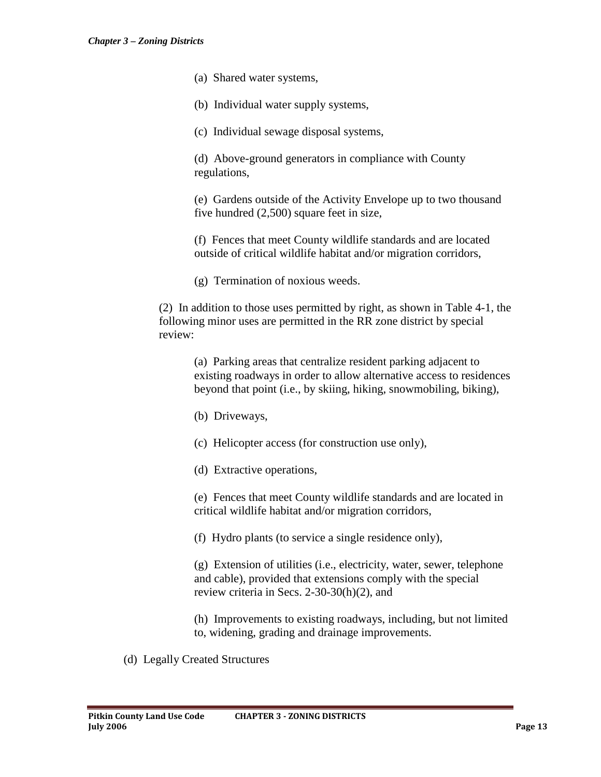(a) Shared water systems,

(b) Individual water supply systems,

(c) Individual sewage disposal systems,

(d) Above-ground generators in compliance with County regulations,

(e) Gardens outside of the Activity Envelope up to two thousand five hundred (2,500) square feet in size,

(f) Fences that meet County wildlife standards and are located outside of critical wildlife habitat and/or migration corridors,

(g) Termination of noxious weeds.

(2) In addition to those uses permitted by right, as shown in Table 4-1, the following minor uses are permitted in the RR zone district by special review:

(a) Parking areas that centralize resident parking adjacent to existing roadways in order to allow alternative access to residences beyond that point (i.e., by skiing, hiking, snowmobiling, biking),

(b) Driveways,

(c) Helicopter access (for construction use only),

(d) Extractive operations,

(e) Fences that meet County wildlife standards and are located in critical wildlife habitat and/or migration corridors,

(f) Hydro plants (to service a single residence only),

(g) Extension of utilities (i.e., electricity, water, sewer, telephone and cable), provided that extensions comply with the special review criteria in Secs. 2-30-30(h)(2), and

(h) Improvements to existing roadways, including, but not limited to, widening, grading and drainage improvements.

(d) Legally Created Structures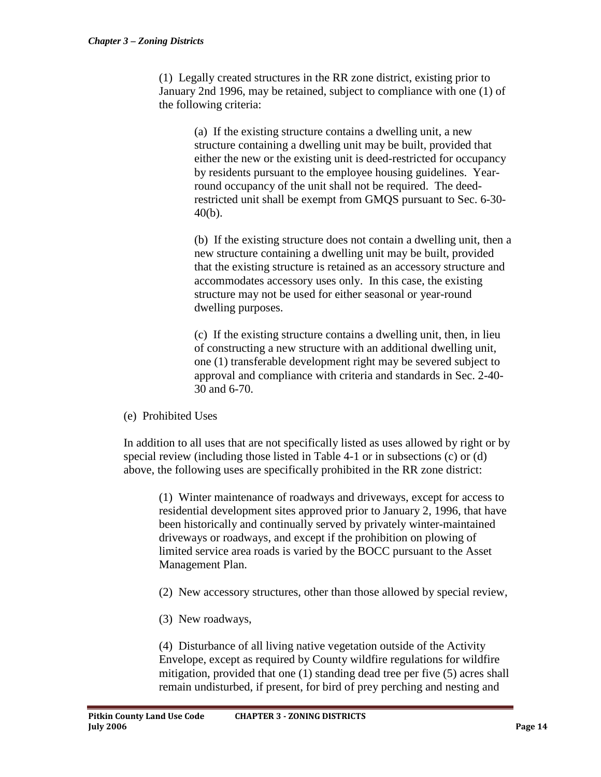(1) Legally created structures in the RR zone district, existing prior to January 2nd 1996, may be retained, subject to compliance with one (1) of the following criteria:

> (a) If the existing structure contains a dwelling unit, a new structure containing a dwelling unit may be built, provided that either the new or the existing unit is deed-restricted for occupancy by residents pursuant to the employee housing guidelines. Yearround occupancy of the unit shall not be required. The deedrestricted unit shall be exempt from GMQS pursuant to Sec. 6-30- 40(b).

(b) If the existing structure does not contain a dwelling unit, then a new structure containing a dwelling unit may be built, provided that the existing structure is retained as an accessory structure and accommodates accessory uses only. In this case, the existing structure may not be used for either seasonal or year-round dwelling purposes.

(c) If the existing structure contains a dwelling unit, then, in lieu of constructing a new structure with an additional dwelling unit, one (1) transferable development right may be severed subject to approval and compliance with criteria and standards in Sec. 2-40- 30 and 6-70.

(e) Prohibited Uses

In addition to all uses that are not specifically listed as uses allowed by right or by special review (including those listed in Table 4-1 or in subsections (c) or (d) above, the following uses are specifically prohibited in the RR zone district:

(1) Winter maintenance of roadways and driveways, except for access to residential development sites approved prior to January 2, 1996, that have been historically and continually served by privately winter-maintained driveways or roadways, and except if the prohibition on plowing of limited service area roads is varied by the BOCC pursuant to the Asset Management Plan.

(2) New accessory structures, other than those allowed by special review,

(3) New roadways,

(4) Disturbance of all living native vegetation outside of the Activity Envelope, except as required by County wildfire regulations for wildfire mitigation, provided that one (1) standing dead tree per five (5) acres shall remain undisturbed, if present, for bird of prey perching and nesting and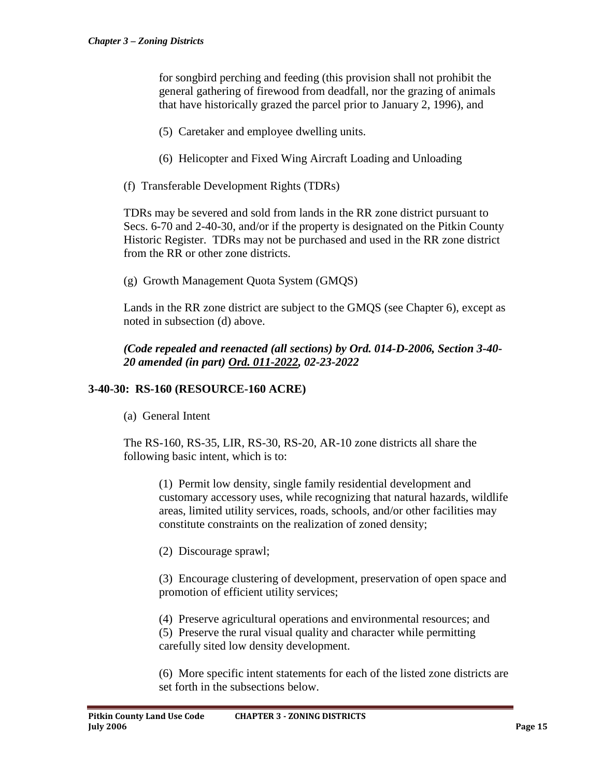for songbird perching and feeding (this provision shall not prohibit the general gathering of firewood from deadfall, nor the grazing of animals that have historically grazed the parcel prior to January 2, 1996), and

- (5) Caretaker and employee dwelling units.
- (6) Helicopter and Fixed Wing Aircraft Loading and Unloading
- (f) Transferable Development Rights (TDRs)

TDRs may be severed and sold from lands in the RR zone district pursuant to Secs. 6-70 and 2-40-30, and/or if the property is designated on the Pitkin County Historic Register. TDRs may not be purchased and used in the RR zone district from the RR or other zone districts.

(g) Growth Management Quota System (GMQS)

Lands in the RR zone district are subject to the GMQS (see Chapter 6), except as noted in subsection (d) above.

*(Code repealed and reenacted (all sections) by Ord. 014-D-2006, Section 3-40- 20 amended (in part) [Ord. 011-2022,](https://pitkincounty.com/DocumentCenter/View/28808/boccord0112022-recorded) 02-23-2022*

## <span id="page-14-0"></span>**3-40-30: RS-160 (RESOURCE-160 ACRE)**

(a) General Intent

The RS-160, RS-35, LIR, RS-30, RS-20, AR-10 zone districts all share the following basic intent, which is to:

(1) Permit low density, single family residential development and customary accessory uses, while recognizing that natural hazards, wildlife areas, limited utility services, roads, schools, and/or other facilities may constitute constraints on the realization of zoned density;

(2) Discourage sprawl;

(3) Encourage clustering of development, preservation of open space and promotion of efficient utility services;

(4) Preserve agricultural operations and environmental resources; and (5) Preserve the rural visual quality and character while permitting carefully sited low density development.

(6) More specific intent statements for each of the listed zone districts are set forth in the subsections below.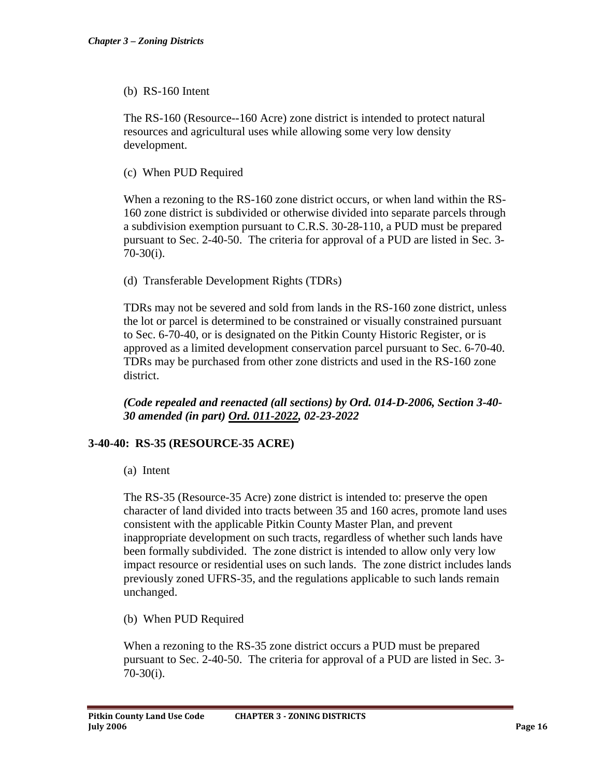### (b) RS-160 Intent

The RS-160 (Resource--160 Acre) zone district is intended to protect natural resources and agricultural uses while allowing some very low density development.

## (c) When PUD Required

When a rezoning to the RS-160 zone district occurs, or when land within the RS-160 zone district is subdivided or otherwise divided into separate parcels through a subdivision exemption pursuant to C.R.S. 30-28-110, a PUD must be prepared pursuant to Sec. 2-40-50. The criteria for approval of a PUD are listed in Sec. 3- 70-30(i).

## (d) Transferable Development Rights (TDRs)

TDRs may not be severed and sold from lands in the RS-160 zone district, unless the lot or parcel is determined to be constrained or visually constrained pursuant to Sec. 6-70-40, or is designated on the Pitkin County Historic Register, or is approved as a limited development conservation parcel pursuant to Sec. 6-70-40. TDRs may be purchased from other zone districts and used in the RS-160 zone district.

## *(Code repealed and reenacted (all sections) by Ord. 014-D-2006, Section 3-40- 30 amended (in part) [Ord. 011-2022,](https://pitkincounty.com/DocumentCenter/View/28808/boccord0112022-recorded) 02-23-2022*

## <span id="page-15-0"></span>**3-40-40: RS-35 (RESOURCE-35 ACRE)**

(a) Intent

The RS-35 (Resource-35 Acre) zone district is intended to: preserve the open character of land divided into tracts between 35 and 160 acres, promote land uses consistent with the applicable Pitkin County Master Plan, and prevent inappropriate development on such tracts, regardless of whether such lands have been formally subdivided. The zone district is intended to allow only very low impact resource or residential uses on such lands. The zone district includes lands previously zoned UFRS-35, and the regulations applicable to such lands remain unchanged.

(b) When PUD Required

When a rezoning to the RS-35 zone district occurs a PUD must be prepared pursuant to Sec. 2-40-50. The criteria for approval of a PUD are listed in Sec. 3- 70-30(i).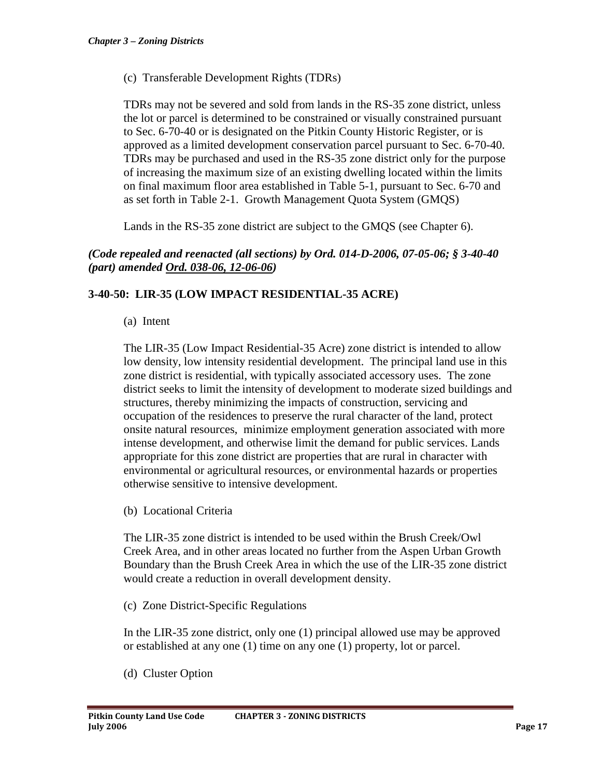(c) Transferable Development Rights (TDRs)

TDRs may not be severed and sold from lands in the RS-35 zone district, unless the lot or parcel is determined to be constrained or visually constrained pursuant to Sec. 6-70-40 or is designated on the Pitkin County Historic Register, or is approved as a limited development conservation parcel pursuant to Sec. 6-70-40. TDRs may be purchased and used in the RS-35 zone district only for the purpose of increasing the maximum size of an existing dwelling located within the limits on final maximum floor area established in Table 5-1, pursuant to Sec. 6-70 and as set forth in Table 2-1. Growth Management Quota System (GMQS)

Lands in the RS-35 zone district are subject to the GMQS (see Chapter 6).

#### *(Code repealed and reenacted (all sections) by Ord. 014-D-2006, 07-05-06; § 3-40-40 (part) amended Ord. [038-06, 12-06-06\)](http://pitkincounty.com/DocumentCenter/View/8288)*

### <span id="page-16-0"></span>**3-40-50: LIR-35 (LOW IMPACT RESIDENTIAL-35 ACRE)**

#### (a) Intent

The LIR-35 (Low Impact Residential-35 Acre) zone district is intended to allow low density, low intensity residential development. The principal land use in this zone district is residential, with typically associated accessory uses. The zone district seeks to limit the intensity of development to moderate sized buildings and structures, thereby minimizing the impacts of construction, servicing and occupation of the residences to preserve the rural character of the land, protect onsite natural resources, minimize employment generation associated with more intense development, and otherwise limit the demand for public services. Lands appropriate for this zone district are properties that are rural in character with environmental or agricultural resources, or environmental hazards or properties otherwise sensitive to intensive development.

(b) Locational Criteria

The LIR-35 zone district is intended to be used within the Brush Creek/Owl Creek Area, and in other areas located no further from the Aspen Urban Growth Boundary than the Brush Creek Area in which the use of the LIR-35 zone district would create a reduction in overall development density.

(c) Zone District-Specific Regulations

In the LIR-35 zone district, only one (1) principal allowed use may be approved or established at any one (1) time on any one (1) property, lot or parcel.

(d) Cluster Option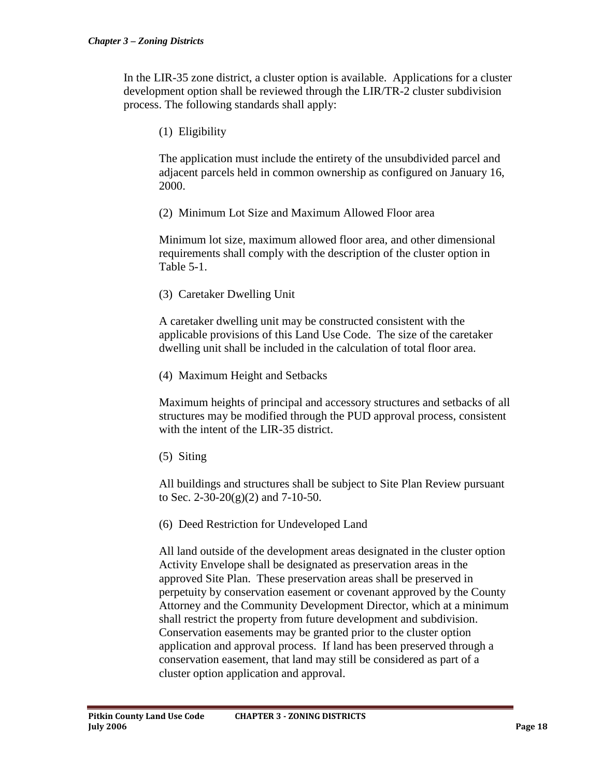In the LIR-35 zone district, a cluster option is available. Applications for a cluster development option shall be reviewed through the LIR/TR-2 cluster subdivision process. The following standards shall apply:

(1) Eligibility

The application must include the entirety of the unsubdivided parcel and adjacent parcels held in common ownership as configured on January 16, 2000.

(2) Minimum Lot Size and Maximum Allowed Floor area

Minimum lot size, maximum allowed floor area, and other dimensional requirements shall comply with the description of the cluster option in Table 5-1.

(3) Caretaker Dwelling Unit

A caretaker dwelling unit may be constructed consistent with the applicable provisions of this Land Use Code. The size of the caretaker dwelling unit shall be included in the calculation of total floor area.

(4) Maximum Height and Setbacks

Maximum heights of principal and accessory structures and setbacks of all structures may be modified through the PUD approval process, consistent with the intent of the LIR-35 district.

(5) Siting

All buildings and structures shall be subject to Site Plan Review pursuant to Sec. 2-30-20 $(g)(2)$  and 7-10-50.

(6) Deed Restriction for Undeveloped Land

All land outside of the development areas designated in the cluster option Activity Envelope shall be designated as preservation areas in the approved Site Plan. These preservation areas shall be preserved in perpetuity by conservation easement or covenant approved by the County Attorney and the Community Development Director, which at a minimum shall restrict the property from future development and subdivision. Conservation easements may be granted prior to the cluster option application and approval process. If land has been preserved through a conservation easement, that land may still be considered as part of a cluster option application and approval.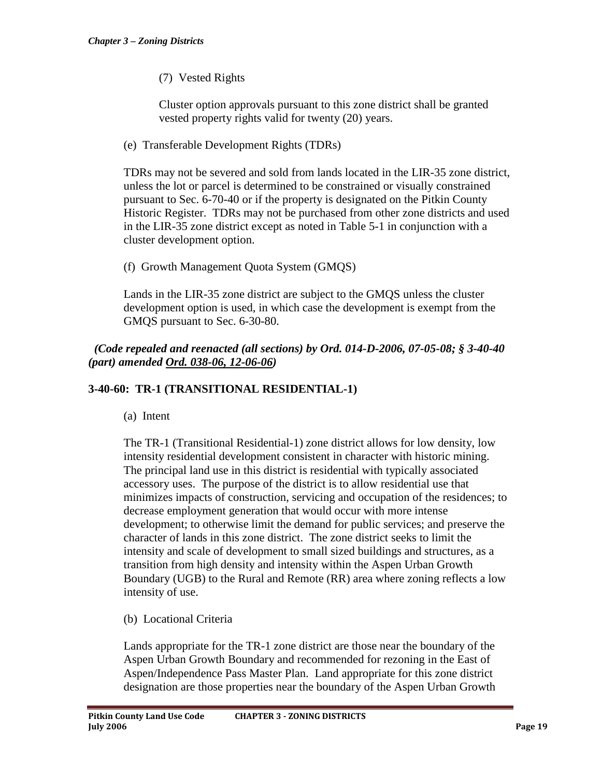(7) Vested Rights

Cluster option approvals pursuant to this zone district shall be granted vested property rights valid for twenty (20) years.

## (e) Transferable Development Rights (TDRs)

TDRs may not be severed and sold from lands located in the LIR-35 zone district, unless the lot or parcel is determined to be constrained or visually constrained pursuant to Sec. 6-70-40 or if the property is designated on the Pitkin County Historic Register. TDRs may not be purchased from other zone districts and used in the LIR-35 zone district except as noted in Table 5-1 in conjunction with a cluster development option.

(f) Growth Management Quota System (GMQS)

Lands in the LIR-35 zone district are subject to the GMQS unless the cluster development option is used, in which case the development is exempt from the GMQS pursuant to Sec. 6-30-80.

## *(Code repealed and reenacted (all sections) by Ord. 014-D-2006, 07-05-08; § 3-40-40 (part) amended [Ord. 038-06, 12-06-06\)](http://pitkincounty.com/DocumentCenter/View/8288)*

## <span id="page-18-0"></span>**3-40-60: TR-1 (TRANSITIONAL RESIDENTIAL-1)**

(a) Intent

The TR-1 (Transitional Residential-1) zone district allows for low density, low intensity residential development consistent in character with historic mining. The principal land use in this district is residential with typically associated accessory uses. The purpose of the district is to allow residential use that minimizes impacts of construction, servicing and occupation of the residences; to decrease employment generation that would occur with more intense development; to otherwise limit the demand for public services; and preserve the character of lands in this zone district. The zone district seeks to limit the intensity and scale of development to small sized buildings and structures, as a transition from high density and intensity within the Aspen Urban Growth Boundary (UGB) to the Rural and Remote (RR) area where zoning reflects a low intensity of use.

(b) Locational Criteria

Lands appropriate for the TR-1 zone district are those near the boundary of the Aspen Urban Growth Boundary and recommended for rezoning in the East of Aspen/Independence Pass Master Plan. Land appropriate for this zone district designation are those properties near the boundary of the Aspen Urban Growth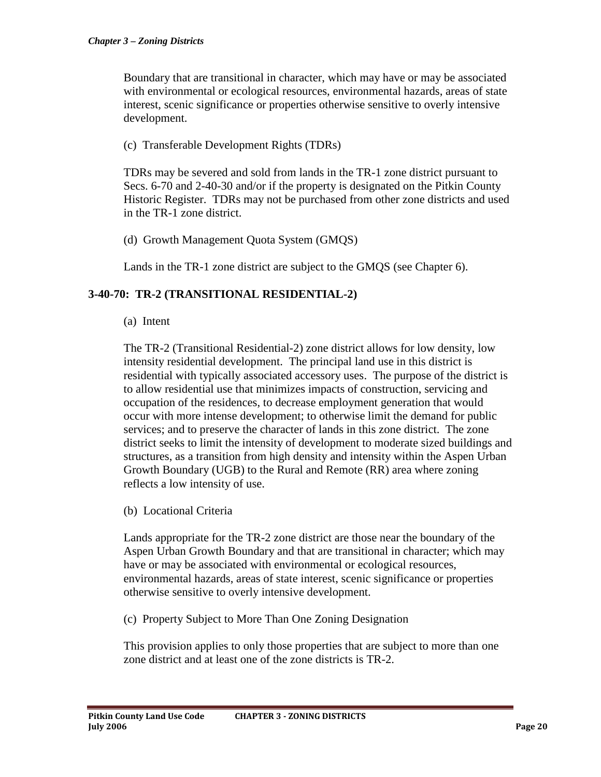Boundary that are transitional in character, which may have or may be associated with environmental or ecological resources, environmental hazards, areas of state interest, scenic significance or properties otherwise sensitive to overly intensive development.

(c) Transferable Development Rights (TDRs)

TDRs may be severed and sold from lands in the TR-1 zone district pursuant to Secs. 6-70 and 2-40-30 and/or if the property is designated on the Pitkin County Historic Register. TDRs may not be purchased from other zone districts and used in the TR-1 zone district.

(d) Growth Management Quota System (GMQS)

Lands in the TR-1 zone district are subject to the GMQS (see Chapter 6).

## <span id="page-19-0"></span>**3-40-70: TR-2 (TRANSITIONAL RESIDENTIAL-2)**

(a) Intent

The TR-2 (Transitional Residential-2) zone district allows for low density, low intensity residential development. The principal land use in this district is residential with typically associated accessory uses. The purpose of the district is to allow residential use that minimizes impacts of construction, servicing and occupation of the residences, to decrease employment generation that would occur with more intense development; to otherwise limit the demand for public services; and to preserve the character of lands in this zone district. The zone district seeks to limit the intensity of development to moderate sized buildings and structures, as a transition from high density and intensity within the Aspen Urban Growth Boundary (UGB) to the Rural and Remote (RR) area where zoning reflects a low intensity of use.

(b) Locational Criteria

Lands appropriate for the TR-2 zone district are those near the boundary of the Aspen Urban Growth Boundary and that are transitional in character; which may have or may be associated with environmental or ecological resources, environmental hazards, areas of state interest, scenic significance or properties otherwise sensitive to overly intensive development.

(c) Property Subject to More Than One Zoning Designation

This provision applies to only those properties that are subject to more than one zone district and at least one of the zone districts is TR-2.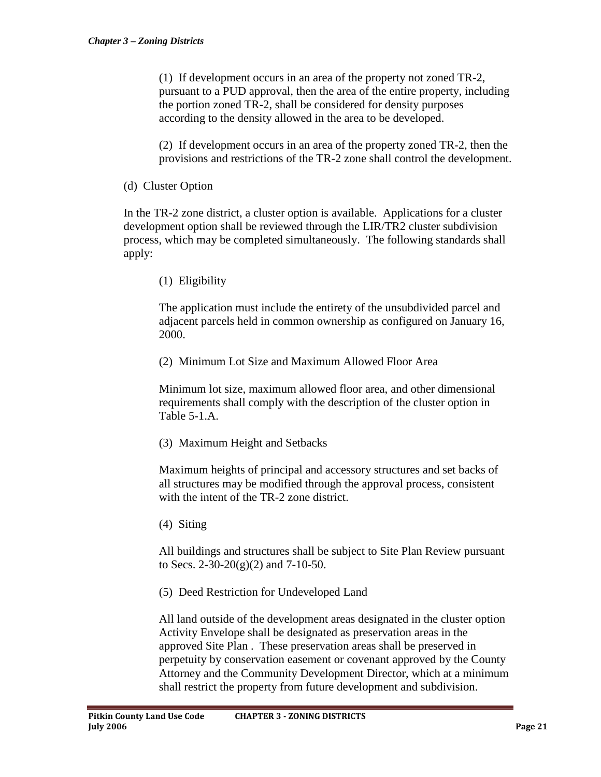(1) If development occurs in an area of the property not zoned TR-2, pursuant to a PUD approval, then the area of the entire property, including the portion zoned TR-2, shall be considered for density purposes according to the density allowed in the area to be developed.

(2) If development occurs in an area of the property zoned TR-2, then the provisions and restrictions of the TR-2 zone shall control the development.

### (d) Cluster Option

In the TR-2 zone district, a cluster option is available. Applications for a cluster development option shall be reviewed through the LIR/TR2 cluster subdivision process, which may be completed simultaneously. The following standards shall apply:

(1) Eligibility

The application must include the entirety of the unsubdivided parcel and adjacent parcels held in common ownership as configured on January 16, 2000.

(2) Minimum Lot Size and Maximum Allowed Floor Area

Minimum lot size, maximum allowed floor area, and other dimensional requirements shall comply with the description of the cluster option in Table 5-1.A.

(3) Maximum Height and Setbacks

Maximum heights of principal and accessory structures and set backs of all structures may be modified through the approval process, consistent with the intent of the TR-2 zone district.

(4) Siting

All buildings and structures shall be subject to Site Plan Review pursuant to Secs. 2-30-20 $(g)(2)$  and 7-10-50.

(5) Deed Restriction for Undeveloped Land

All land outside of the development areas designated in the cluster option Activity Envelope shall be designated as preservation areas in the approved Site Plan . These preservation areas shall be preserved in perpetuity by conservation easement or covenant approved by the County Attorney and the Community Development Director, which at a minimum shall restrict the property from future development and subdivision.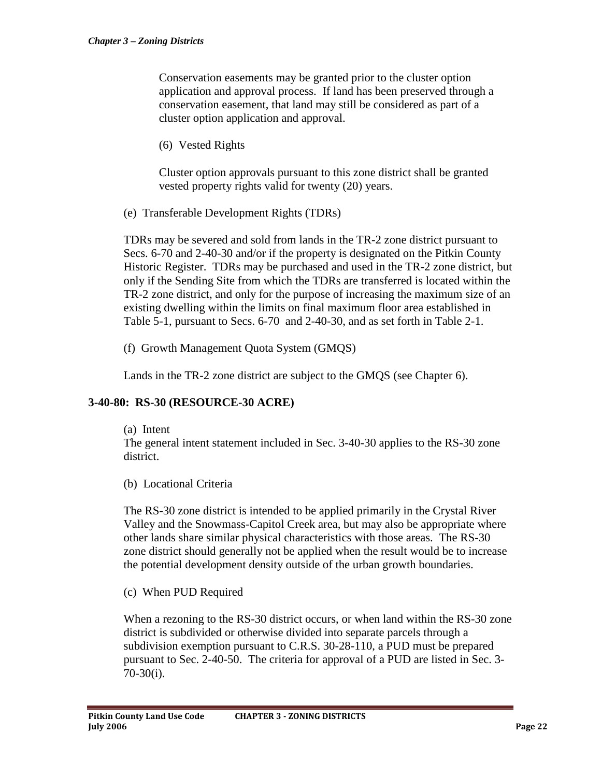Conservation easements may be granted prior to the cluster option application and approval process. If land has been preserved through a conservation easement, that land may still be considered as part of a cluster option application and approval.

(6) Vested Rights

Cluster option approvals pursuant to this zone district shall be granted vested property rights valid for twenty (20) years.

(e) Transferable Development Rights (TDRs)

TDRs may be severed and sold from lands in the TR-2 zone district pursuant to Secs. 6-70 and 2-40-30 and/or if the property is designated on the Pitkin County Historic Register. TDRs may be purchased and used in the TR-2 zone district, but only if the Sending Site from which the TDRs are transferred is located within the TR-2 zone district, and only for the purpose of increasing the maximum size of an existing dwelling within the limits on final maximum floor area established in Table 5-1, pursuant to Secs. 6-70 and 2-40-30, and as set forth in Table 2-1.

(f) Growth Management Quota System (GMQS)

Lands in the TR-2 zone district are subject to the GMQS (see Chapter 6).

## <span id="page-21-0"></span>**3-40-80: RS-30 (RESOURCE-30 ACRE)**

(a) Intent

The general intent statement included in Sec. 3-40-30 applies to the RS-30 zone district.

(b) Locational Criteria

The RS-30 zone district is intended to be applied primarily in the Crystal River Valley and the Snowmass-Capitol Creek area, but may also be appropriate where other lands share similar physical characteristics with those areas. The RS-30 zone district should generally not be applied when the result would be to increase the potential development density outside of the urban growth boundaries.

(c) When PUD Required

When a rezoning to the RS-30 district occurs, or when land within the RS-30 zone district is subdivided or otherwise divided into separate parcels through a subdivision exemption pursuant to C.R.S. 30-28-110, a PUD must be prepared pursuant to Sec. 2-40-50. The criteria for approval of a PUD are listed in Sec. 3- 70-30(i).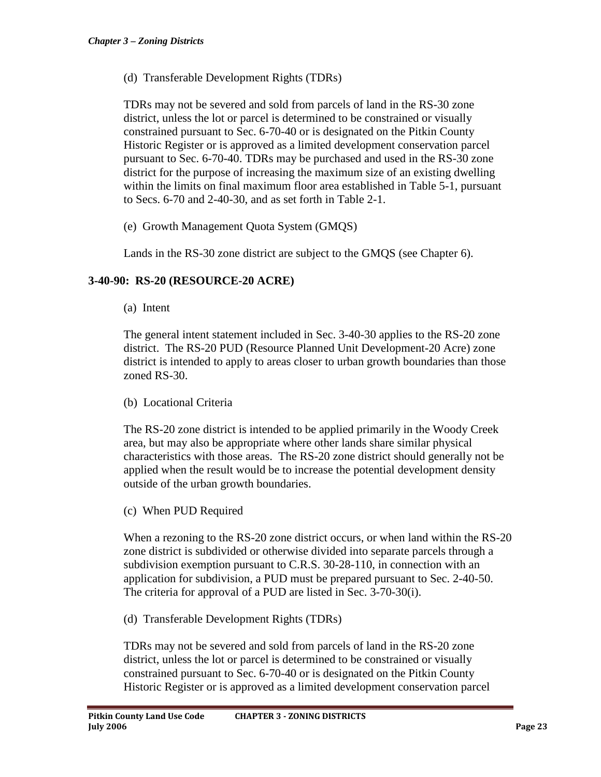(d) Transferable Development Rights (TDRs)

TDRs may not be severed and sold from parcels of land in the RS-30 zone district, unless the lot or parcel is determined to be constrained or visually constrained pursuant to Sec. 6-70-40 or is designated on the Pitkin County Historic Register or is approved as a limited development conservation parcel pursuant to Sec. 6-70-40. TDRs may be purchased and used in the RS-30 zone district for the purpose of increasing the maximum size of an existing dwelling within the limits on final maximum floor area established in Table 5-1, pursuant to Secs. 6-70 and 2-40-30, and as set forth in Table 2-1.

(e) Growth Management Quota System (GMQS)

Lands in the RS-30 zone district are subject to the GMQS (see Chapter 6).

## <span id="page-22-0"></span>**3-40-90: RS-20 (RESOURCE-20 ACRE)**

(a) Intent

The general intent statement included in Sec. 3-40-30 applies to the RS-20 zone district. The RS-20 PUD (Resource Planned Unit Development-20 Acre) zone district is intended to apply to areas closer to urban growth boundaries than those zoned RS-30.

(b) Locational Criteria

The RS-20 zone district is intended to be applied primarily in the Woody Creek area, but may also be appropriate where other lands share similar physical characteristics with those areas. The RS-20 zone district should generally not be applied when the result would be to increase the potential development density outside of the urban growth boundaries.

(c) When PUD Required

When a rezoning to the RS-20 zone district occurs, or when land within the RS-20 zone district is subdivided or otherwise divided into separate parcels through a subdivision exemption pursuant to C.R.S. 30-28-110, in connection with an application for subdivision, a PUD must be prepared pursuant to Sec. 2-40-50. The criteria for approval of a PUD are listed in Sec. 3-70-30(i).

(d) Transferable Development Rights (TDRs)

TDRs may not be severed and sold from parcels of land in the RS-20 zone district, unless the lot or parcel is determined to be constrained or visually constrained pursuant to Sec. 6-70-40 or is designated on the Pitkin County Historic Register or is approved as a limited development conservation parcel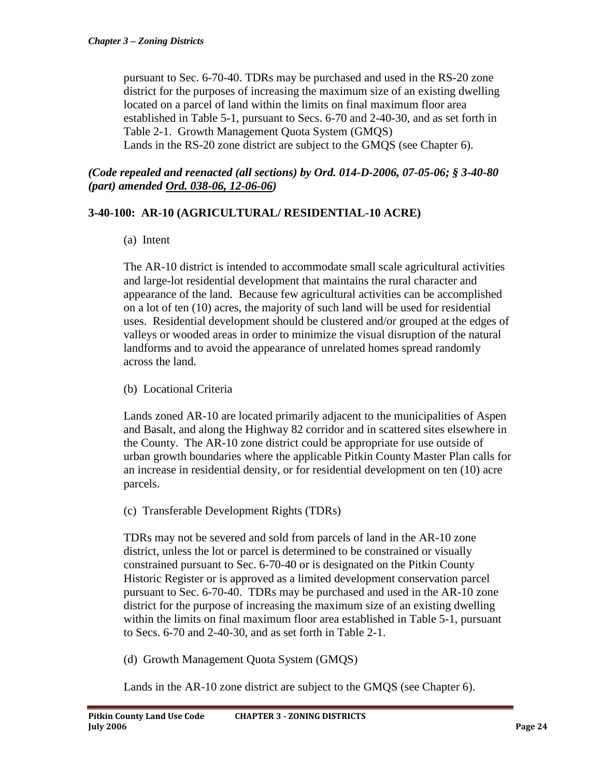pursuant to Sec. 6-70-40. TDRs may be purchased and used in the RS-20 zone district for the purposes of increasing the maximum size of an existing dwelling located on a parcel of land within the limits on final maximum floor area established in Table 5-1, pursuant to Secs. 6-70 and 2-40-30, and as set forth in Table 2-1. Growth Management Quota System (GMQS) Lands in the RS-20 zone district are subject to the GMQS (see Chapter 6).

### *(Code repealed and reenacted (all sections) by Ord. 014-D-2006, 07-05-06; § 3-40-80 (part) amended [Ord. 038-06, 12-06-06\)](http://pitkincounty.com/DocumentCenter/View/8288)*

## <span id="page-23-0"></span>**3-40-100: AR-10 (AGRICULTURAL/ RESIDENTIAL-10 ACRE)**

#### (a) Intent

The AR-10 district is intended to accommodate small scale agricultural activities and large-lot residential development that maintains the rural character and appearance of the land. Because few agricultural activities can be accomplished on a lot of ten (10) acres, the majority of such land will be used for residential uses. Residential development should be clustered and/or grouped at the edges of valleys or wooded areas in order to minimize the visual disruption of the natural landforms and to avoid the appearance of unrelated homes spread randomly across the land.

(b) Locational Criteria

Lands zoned AR-10 are located primarily adjacent to the municipalities of Aspen and Basalt, and along the Highway 82 corridor and in scattered sites elsewhere in the County. The AR-10 zone district could be appropriate for use outside of urban growth boundaries where the applicable Pitkin County Master Plan calls for an increase in residential density, or for residential development on ten (10) acre parcels.

(c) Transferable Development Rights (TDRs)

TDRs may not be severed and sold from parcels of land in the AR-10 zone district, unless the lot or parcel is determined to be constrained or visually constrained pursuant to Sec. 6-70-40 or is designated on the Pitkin County Historic Register or is approved as a limited development conservation parcel pursuant to Sec. 6-70-40. TDRs may be purchased and used in the AR-10 zone district for the purpose of increasing the maximum size of an existing dwelling within the limits on final maximum floor area established in Table 5-1, pursuant to Secs. 6-70 and 2-40-30, and as set forth in Table 2-1.

(d) Growth Management Quota System (GMQS)

Lands in the AR-10 zone district are subject to the GMQS (see Chapter 6).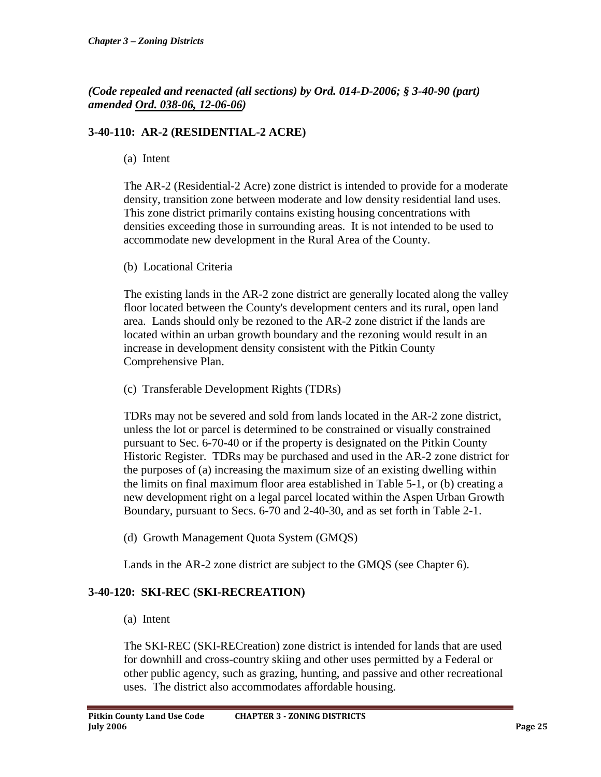## *(Code repealed and reenacted (all sections) by Ord. 014-D-2006; § 3-40-90 (part) amended [Ord. 038-06, 12-06-06\)](http://pitkincounty.com/DocumentCenter/View/8288)*

## <span id="page-24-0"></span>**3-40-110: AR-2 (RESIDENTIAL-2 ACRE)**

#### (a) Intent

The AR-2 (Residential-2 Acre) zone district is intended to provide for a moderate density, transition zone between moderate and low density residential land uses. This zone district primarily contains existing housing concentrations with densities exceeding those in surrounding areas. It is not intended to be used to accommodate new development in the Rural Area of the County.

#### (b) Locational Criteria

The existing lands in the AR-2 zone district are generally located along the valley floor located between the County's development centers and its rural, open land area. Lands should only be rezoned to the AR-2 zone district if the lands are located within an urban growth boundary and the rezoning would result in an increase in development density consistent with the Pitkin County Comprehensive Plan.

#### (c) Transferable Development Rights (TDRs)

TDRs may not be severed and sold from lands located in the AR-2 zone district, unless the lot or parcel is determined to be constrained or visually constrained pursuant to Sec. 6-70-40 or if the property is designated on the Pitkin County Historic Register. TDRs may be purchased and used in the AR-2 zone district for the purposes of (a) increasing the maximum size of an existing dwelling within the limits on final maximum floor area established in Table 5-1, or (b) creating a new development right on a legal parcel located within the Aspen Urban Growth Boundary, pursuant to Secs. 6-70 and 2-40-30, and as set forth in Table 2-1.

(d) Growth Management Quota System (GMQS)

Lands in the AR-2 zone district are subject to the GMQS (see Chapter 6).

### <span id="page-24-1"></span>**3-40-120: SKI-REC (SKI-RECREATION)**

(a) Intent

The SKI-REC (SKI-RECreation) zone district is intended for lands that are used for downhill and cross-country skiing and other uses permitted by a Federal or other public agency, such as grazing, hunting, and passive and other recreational uses. The district also accommodates affordable housing.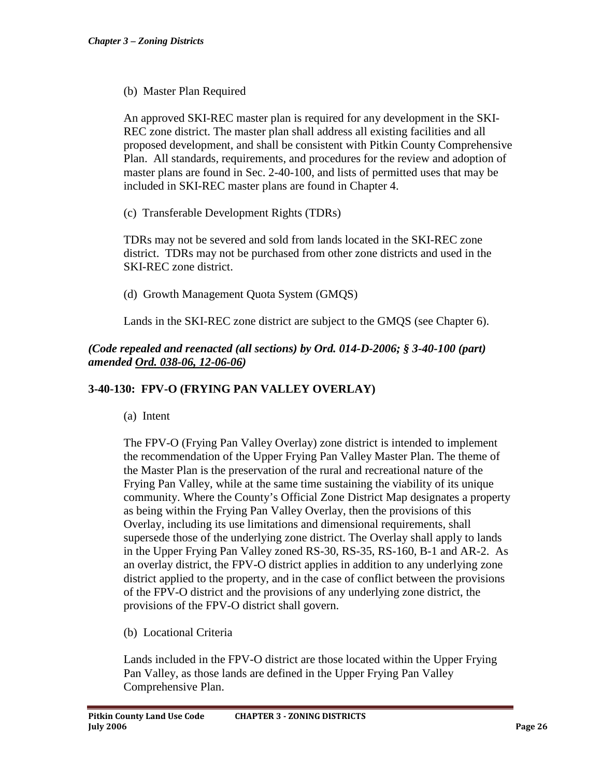(b) Master Plan Required

An approved SKI-REC master plan is required for any development in the SKI-REC zone district. The master plan shall address all existing facilities and all proposed development, and shall be consistent with Pitkin County Comprehensive Plan. All standards, requirements, and procedures for the review and adoption of master plans are found in Sec. 2-40-100, and lists of permitted uses that may be included in SKI-REC master plans are found in Chapter 4.

(c) Transferable Development Rights (TDRs)

TDRs may not be severed and sold from lands located in the SKI-REC zone district. TDRs may not be purchased from other zone districts and used in the SKI-REC zone district.

(d) Growth Management Quota System (GMQS)

Lands in the SKI-REC zone district are subject to the GMQS (see Chapter 6).

### *(Code repealed and reenacted (all sections) by Ord. 014-D-2006; § 3-40-100 (part) amended [Ord. 038-06, 12-06-06\)](http://pitkincounty.com/DocumentCenter/View/8288)*

## <span id="page-25-0"></span>**3-40-130: FPV-O (FRYING PAN VALLEY OVERLAY)**

(a) Intent

The FPV-O (Frying Pan Valley Overlay) zone district is intended to implement the recommendation of the Upper Frying Pan Valley Master Plan. The theme of the Master Plan is the preservation of the rural and recreational nature of the Frying Pan Valley, while at the same time sustaining the viability of its unique community. Where the County's Official Zone District Map designates a property as being within the Frying Pan Valley Overlay, then the provisions of this Overlay, including its use limitations and dimensional requirements, shall supersede those of the underlying zone district. The Overlay shall apply to lands in the Upper Frying Pan Valley zoned RS-30, RS-35, RS-160, B-1 and AR-2. As an overlay district, the FPV-O district applies in addition to any underlying zone district applied to the property, and in the case of conflict between the provisions of the FPV-O district and the provisions of any underlying zone district, the provisions of the FPV-O district shall govern.

(b) Locational Criteria

Lands included in the FPV-O district are those located within the Upper Frying Pan Valley, as those lands are defined in the Upper Frying Pan Valley Comprehensive Plan.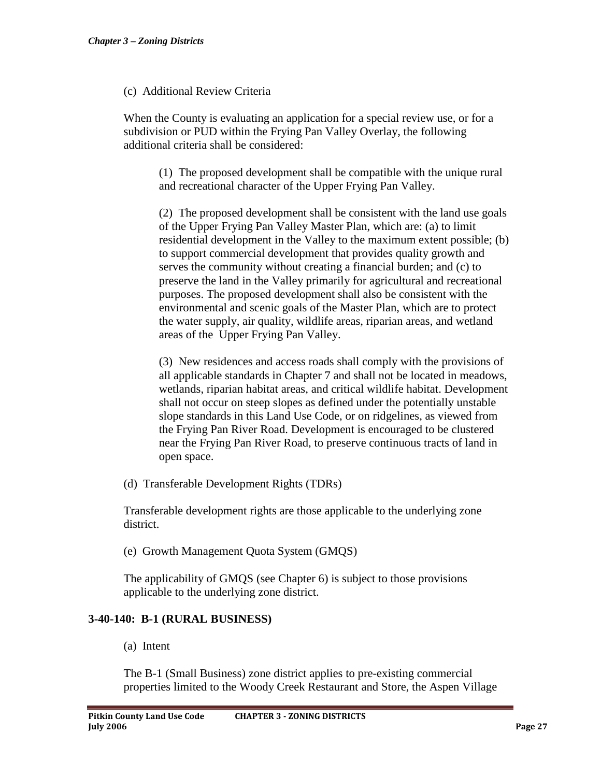(c) Additional Review Criteria

When the County is evaluating an application for a special review use, or for a subdivision or PUD within the Frying Pan Valley Overlay, the following additional criteria shall be considered:

(1) The proposed development shall be compatible with the unique rural and recreational character of the Upper Frying Pan Valley.

(2) The proposed development shall be consistent with the land use goals of the Upper Frying Pan Valley Master Plan, which are: (a) to limit residential development in the Valley to the maximum extent possible; (b) to support commercial development that provides quality growth and serves the community without creating a financial burden; and (c) to preserve the land in the Valley primarily for agricultural and recreational purposes. The proposed development shall also be consistent with the environmental and scenic goals of the Master Plan, which are to protect the water supply, air quality, wildlife areas, riparian areas, and wetland areas of the Upper Frying Pan Valley.

(3) New residences and access roads shall comply with the provisions of all applicable standards in Chapter 7 and shall not be located in meadows, wetlands, riparian habitat areas, and critical wildlife habitat. Development shall not occur on steep slopes as defined under the potentially unstable slope standards in this Land Use Code, or on ridgelines, as viewed from the Frying Pan River Road. Development is encouraged to be clustered near the Frying Pan River Road, to preserve continuous tracts of land in open space.

(d) Transferable Development Rights (TDRs)

Transferable development rights are those applicable to the underlying zone district.

(e) Growth Management Quota System (GMQS)

The applicability of GMQS (see Chapter 6) is subject to those provisions applicable to the underlying zone district.

### <span id="page-26-0"></span>**3-40-140: B-1 (RURAL BUSINESS)**

### (a) Intent

The B-1 (Small Business) zone district applies to pre-existing commercial properties limited to the Woody Creek Restaurant and Store, the Aspen Village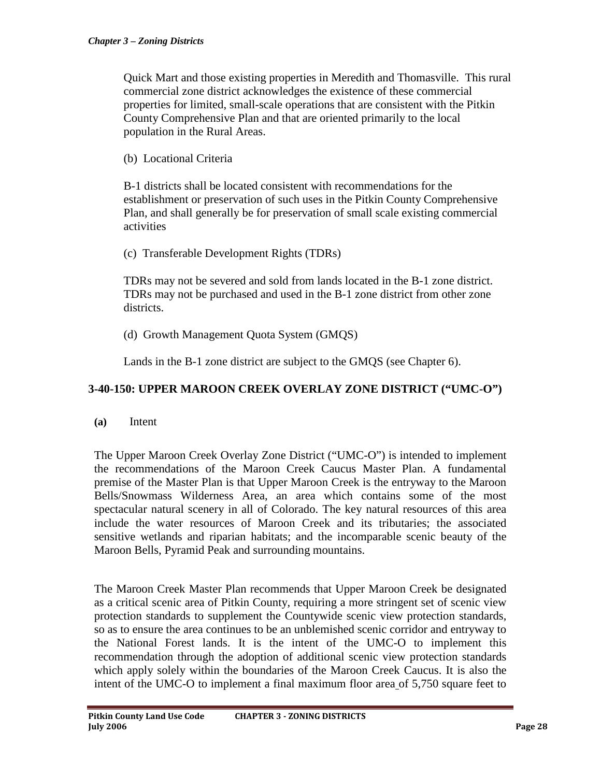Quick Mart and those existing properties in Meredith and Thomasville. This rural commercial zone district acknowledges the existence of these commercial properties for limited, small-scale operations that are consistent with the Pitkin County Comprehensive Plan and that are oriented primarily to the local population in the Rural Areas.

(b) Locational Criteria

B-1 districts shall be located consistent with recommendations for the establishment or preservation of such uses in the Pitkin County Comprehensive Plan, and shall generally be for preservation of small scale existing commercial activities

(c) Transferable Development Rights (TDRs)

TDRs may not be severed and sold from lands located in the B-1 zone district. TDRs may not be purchased and used in the B-1 zone district from other zone districts.

(d) Growth Management Quota System (GMQS)

Lands in the B-1 zone district are subject to the GMQS (see Chapter 6).

# <span id="page-27-0"></span>**3-40-150: UPPER MAROON CREEK OVERLAY ZONE DISTRICT ("UMC-O")**

**(a)** Intent

The Upper Maroon Creek Overlay Zone District ("UMC-O") is intended to implement the recommendations of the Maroon Creek Caucus Master Plan. A fundamental premise of the Master Plan is that Upper Maroon Creek is the entryway to the Maroon Bells/Snowmass Wilderness Area, an area which contains some of the most spectacular natural scenery in all of Colorado. The key natural resources of this area include the water resources of Maroon Creek and its tributaries; the associated sensitive wetlands and riparian habitats; and the incomparable scenic beauty of the Maroon Bells, Pyramid Peak and surrounding mountains.

The Maroon Creek Master Plan recommends that Upper Maroon Creek be designated as a critical scenic area of Pitkin County, requiring a more stringent set of scenic view protection standards to supplement the Countywide scenic view protection standards, so as to ensure the area continues to be an unblemished scenic corridor and entryway to the National Forest lands. It is the intent of the UMC-O to implement this recommendation through the adoption of additional scenic view protection standards which apply solely within the boundaries of the Maroon Creek Caucus. It is also the intent of the UMC-O to implement a final maximum floor area of 5,750 square feet to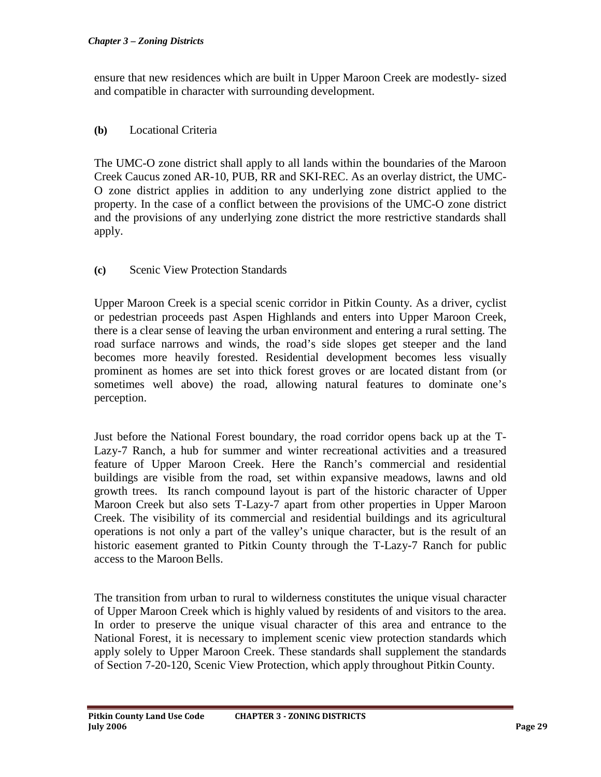ensure that new residences which are built in Upper Maroon Creek are modestly- sized and compatible in character with surrounding development.

# **(b)** Locational Criteria

The UMC-O zone district shall apply to all lands within the boundaries of the Maroon Creek Caucus zoned AR-10, PUB, RR and SKI-REC. As an overlay district, the UMC-O zone district applies in addition to any underlying zone district applied to the property. In the case of a conflict between the provisions of the UMC-O zone district and the provisions of any underlying zone district the more restrictive standards shall apply.

# **(c)** Scenic View Protection Standards

Upper Maroon Creek is a special scenic corridor in Pitkin County. As a driver, cyclist or pedestrian proceeds past Aspen Highlands and enters into Upper Maroon Creek, there is a clear sense of leaving the urban environment and entering a rural setting. The road surface narrows and winds, the road's side slopes get steeper and the land becomes more heavily forested. Residential development becomes less visually prominent as homes are set into thick forest groves or are located distant from (or sometimes well above) the road, allowing natural features to dominate one's perception.

Just before the National Forest boundary, the road corridor opens back up at the T-Lazy-7 Ranch, a hub for summer and winter recreational activities and a treasured feature of Upper Maroon Creek. Here the Ranch's commercial and residential buildings are visible from the road, set within expansive meadows, lawns and old growth trees. Its ranch compound layout is part of the historic character of Upper Maroon Creek but also sets T-Lazy-7 apart from other properties in Upper Maroon Creek. The visibility of its commercial and residential buildings and its agricultural operations is not only a part of the valley's unique character, but is the result of an historic easement granted to Pitkin County through the T-Lazy-7 Ranch for public access to the Maroon Bells.

The transition from urban to rural to wilderness constitutes the unique visual character of Upper Maroon Creek which is highly valued by residents of and visitors to the area. In order to preserve the unique visual character of this area and entrance to the National Forest, it is necessary to implement scenic view protection standards which apply solely to Upper Maroon Creek. These standards shall supplement the standards of Section 7-20-120, Scenic View Protection, which apply throughout Pitkin County.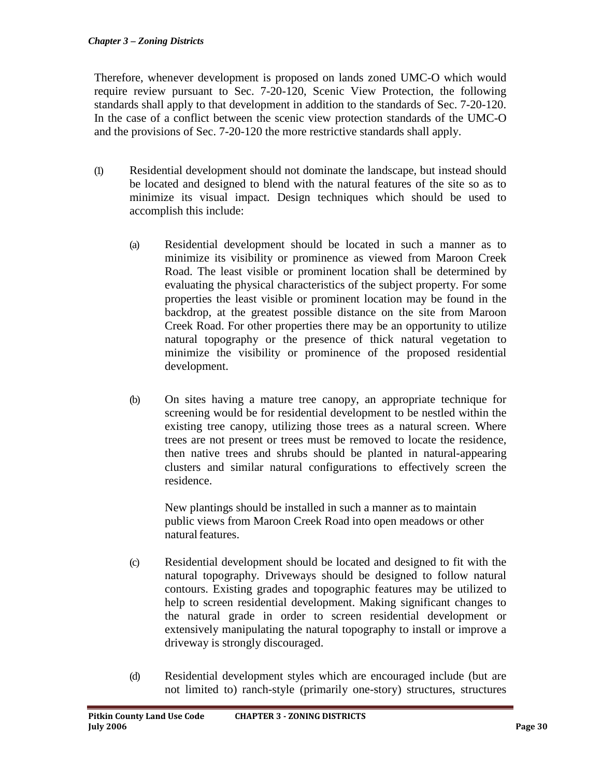#### *Chapter 3 – Zoning Districts*

Therefore, whenever development is proposed on lands zoned UMC-O which would require review pursuant to Sec. 7-20-120, Scenic View Protection, the following standards shall apply to that development in addition to the standards of Sec. 7-20-120. In the case of a conflict between the scenic view protection standards of the UMC-O and the provisions of Sec. 7-20-120 the more restrictive standards shall apply.

- (1) Residential development should not dominate the landscape, but instead should be located and designed to blend with the natural features of the site so as to minimize its visual impact. Design techniques which should be used to accomplish this include:
	- (a) Residential development should be located in such a manner as to minimize its visibility or prominence as viewed from Maroon Creek Road. The least visible or prominent location shall be determined by evaluating the physical characteristics of the subject property. For some properties the least visible or prominent location may be found in the backdrop, at the greatest possible distance on the site from Maroon Creek Road. For other properties there may be an opportunity to utilize natural topography or the presence of thick natural vegetation to minimize the visibility or prominence of the proposed residential development.
	- (b) On sites having a mature tree canopy, an appropriate technique for screening would be for residential development to be nestled within the existing tree canopy, utilizing those trees as a natural screen. Where trees are not present or trees must be removed to locate the residence, then native trees and shrubs should be planted in natural-appearing clusters and similar natural configurations to effectively screen the residence.

New plantings should be installed in such a manner as to maintain public views from Maroon Creek Road into open meadows or other natural features.

- (c) Residential development should be located and designed to fit with the natural topography. Driveways should be designed to follow natural contours. Existing grades and topographic features may be utilized to help to screen residential development. Making significant changes to the natural grade in order to screen residential development or extensively manipulating the natural topography to install or improve a driveway is strongly discouraged.
- (d) Residential development styles which are encouraged include (but are not limited to) ranch-style (primarily one-story) structures, structures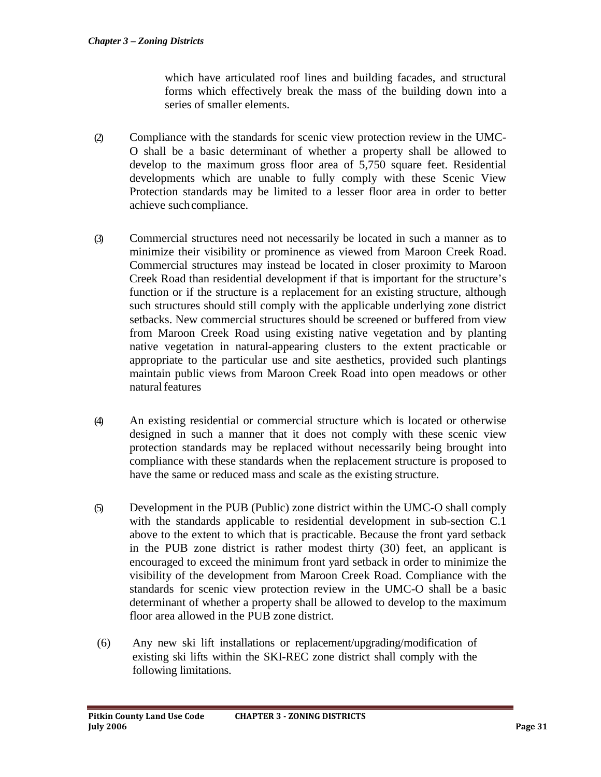which have articulated roof lines and building facades, and structural forms which effectively break the mass of the building down into a series of smaller elements.

- (2) Compliance with the standards for scenic view protection review in the UMC-O shall be a basic determinant of whether a property shall be allowed to develop to the maximum gross floor area of 5,750 square feet. Residential developments which are unable to fully comply with these Scenic View Protection standards may be limited to a lesser floor area in order to better achieve such compliance.
- (3) Commercial structures need not necessarily be located in such a manner as to minimize their visibility or prominence as viewed from Maroon Creek Road. Commercial structures may instead be located in closer proximity to Maroon Creek Road than residential development if that is important for the structure's function or if the structure is a replacement for an existing structure, although such structures should still comply with the applicable underlying zone district setbacks. New commercial structures should be screened or buffered from view from Maroon Creek Road using existing native vegetation and by planting native vegetation in natural-appearing clusters to the extent practicable or appropriate to the particular use and site aesthetics, provided such plantings maintain public views from Maroon Creek Road into open meadows or other natural features
- (4) An existing residential or commercial structure which is located or otherwise designed in such a manner that it does not comply with these scenic view protection standards may be replaced without necessarily being brought into compliance with these standards when the replacement structure is proposed to have the same or reduced mass and scale as the existing structure.
- (5) Development in the PUB (Public) zone district within the UMC-O shall comply with the standards applicable to residential development in sub-section C.1 above to the extent to which that is practicable. Because the front yard setback in the PUB zone district is rather modest thirty (30) feet, an applicant is encouraged to exceed the minimum front yard setback in order to minimize the visibility of the development from Maroon Creek Road. Compliance with the standards for scenic view protection review in the UMC-O shall be a basic determinant of whether a property shall be allowed to develop to the maximum floor area allowed in the PUB zone district.
- (6) Any new ski lift installations or replacement/upgrading/modification of existing ski lifts within the SKI-REC zone district shall comply with the following limitations.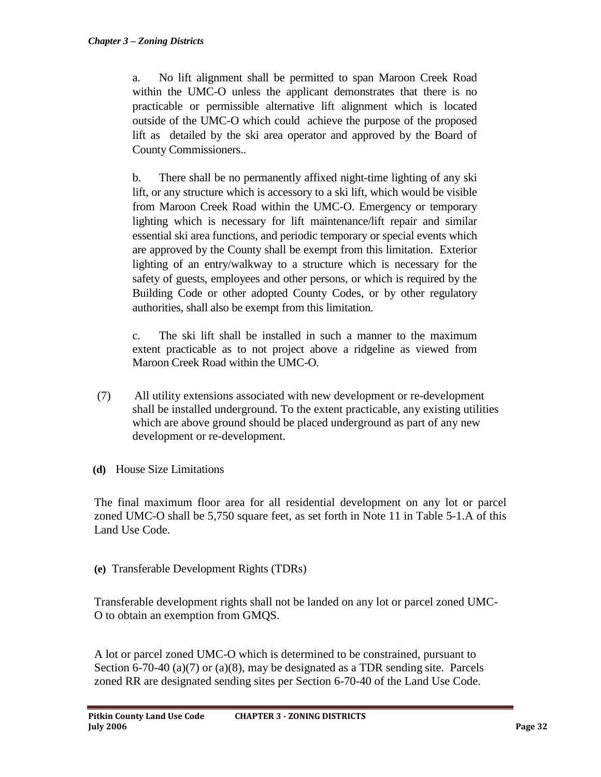a. No lift alignment shall be permitted to span Maroon Creek Road within the UMC-O unless the applicant demonstrates that there is no practicable or permissible alternative lift alignment which is located outside of the UMC-O which could achieve the purpose of the proposed lift as detailed by the ski area operator and approved by the Board of County Commissioners..

b. There shall be no permanently affixed night-time lighting of any ski lift, or any structure which is accessory to a ski lift, which would be visible from Maroon Creek Road within the UMC-O. Emergency or temporary lighting which is necessary for lift maintenance/lift repair and similar essential ski area functions, and periodic temporary or special events which are approved by the County shall be exempt from this limitation. Exterior lighting of an entry/walkway to a structure which is necessary for the safety of guests, employees and other persons, or which is required by the Building Code or other adopted County Codes, or by other regulatory authorities, shall also be exempt from this limitation.

c. The ski lift shall be installed in such a manner to the maximum extent practicable as to not project above a ridgeline as viewed from Maroon Creek Road within the UMC-O.

- (7) All utility extensions associated with new development or re-development shall be installed underground. To the extent practicable, any existing utilities which are above ground should be placed underground as part of any new development or re-development.
- **(d)** House Size Limitations

The final maximum floor area for all residential development on any lot or parcel zoned UMC-O shall be 5,750 square feet, as set forth in Note 11 in Table 5-1.A of this Land Use Code.

**(e)** Transferable Development Rights (TDRs)

Transferable development rights shall not be landed on any lot or parcel zoned UMC-O to obtain an exemption from GMQS.

A lot or parcel zoned UMC-O which is determined to be constrained, pursuant to Section 6-70-40 (a)(7) or (a)(8), may be designated as a TDR sending site. Parcels zoned RR are designated sending sites per Section 6-70-40 of the Land Use Code.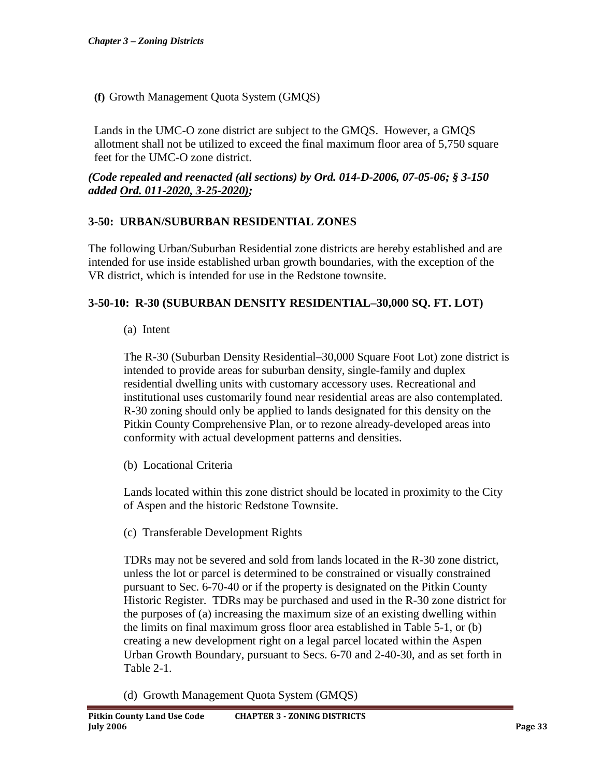**(f)** Growth Management Quota System (GMQS)

Lands in the UMC-O zone district are subject to the GMQS. However, a GMQS allotment shall not be utilized to exceed the final maximum floor area of 5,750 square feet for the UMC-O zone district.

#### *(Code repealed and reenacted (all sections) by Ord. 014-D-2006, 07-05-06; § 3-150 added [Ord. 011-2020, 3-25-2020\);](https://pitkincounty.com/DocumentCenter/View/25865/boccord011-2020)*

### <span id="page-32-0"></span>**3-50: URBAN/SUBURBAN RESIDENTIAL ZONES**

The following Urban/Suburban Residential zone districts are hereby established and are intended for use inside established urban growth boundaries, with the exception of the VR district, which is intended for use in the Redstone townsite.

#### <span id="page-32-1"></span>**3-50-10: R-30 (SUBURBAN DENSITY RESIDENTIAL–30,000 SQ. FT. LOT)**

(a) Intent

The R-30 (Suburban Density Residential–30,000 Square Foot Lot) zone district is intended to provide areas for suburban density, single-family and duplex residential dwelling units with customary accessory uses. Recreational and institutional uses customarily found near residential areas are also contemplated. R-30 zoning should only be applied to lands designated for this density on the Pitkin County Comprehensive Plan, or to rezone already-developed areas into conformity with actual development patterns and densities.

(b) Locational Criteria

Lands located within this zone district should be located in proximity to the City of Aspen and the historic Redstone Townsite.

(c) Transferable Development Rights

TDRs may not be severed and sold from lands located in the R-30 zone district, unless the lot or parcel is determined to be constrained or visually constrained pursuant to Sec. 6-70-40 or if the property is designated on the Pitkin County Historic Register. TDRs may be purchased and used in the R-30 zone district for the purposes of (a) increasing the maximum size of an existing dwelling within the limits on final maximum gross floor area established in Table 5-1, or (b) creating a new development right on a legal parcel located within the Aspen Urban Growth Boundary, pursuant to Secs. 6-70 and 2-40-30, and as set forth in Table 2-1.

(d) Growth Management Quota System (GMQS)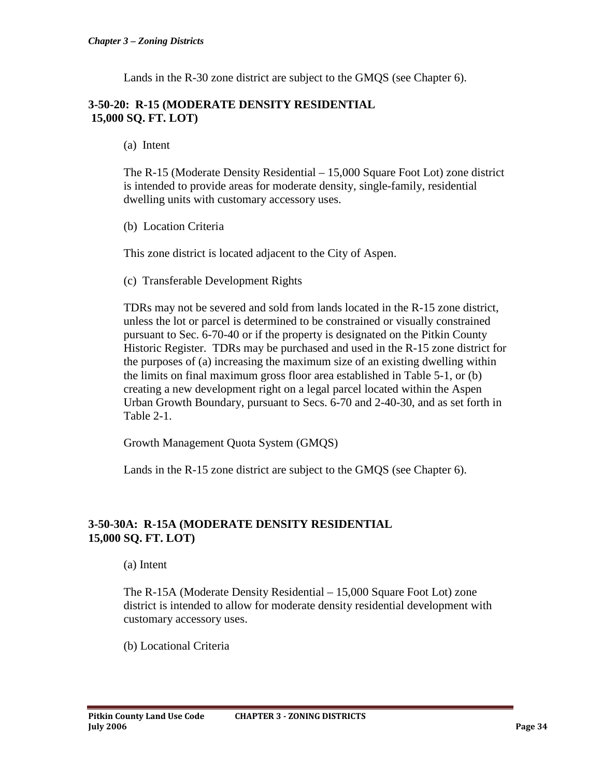Lands in the R-30 zone district are subject to the GMQS (see Chapter 6).

#### <span id="page-33-1"></span><span id="page-33-0"></span>**3-50-20: R-15 (MODERATE DENSITY RESIDENTIAL 15,000 SQ. FT. LOT)**

(a) Intent

The R-15 (Moderate Density Residential – 15,000 Square Foot Lot) zone district is intended to provide areas for moderate density, single-family, residential dwelling units with customary accessory uses.

(b) Location Criteria

This zone district is located adjacent to the City of Aspen.

(c) Transferable Development Rights

TDRs may not be severed and sold from lands located in the R-15 zone district, unless the lot or parcel is determined to be constrained or visually constrained pursuant to Sec. 6-70-40 or if the property is designated on the Pitkin County Historic Register. TDRs may be purchased and used in the R-15 zone district for the purposes of (a) increasing the maximum size of an existing dwelling within the limits on final maximum gross floor area established in Table 5-1, or (b) creating a new development right on a legal parcel located within the Aspen Urban Growth Boundary, pursuant to Secs. 6-70 and 2-40-30, and as set forth in Table 2-1.

Growth Management Quota System (GMQS)

Lands in the R-15 zone district are subject to the GMQS (see Chapter 6).

### <span id="page-33-3"></span><span id="page-33-2"></span>**3-50-30A: R-15A (MODERATE DENSITY RESIDENTIAL 15,000 SQ. FT. LOT)**

(a) Intent

The R-15A (Moderate Density Residential – 15,000 Square Foot Lot) zone district is intended to allow for moderate density residential development with customary accessory uses.

(b) Locational Criteria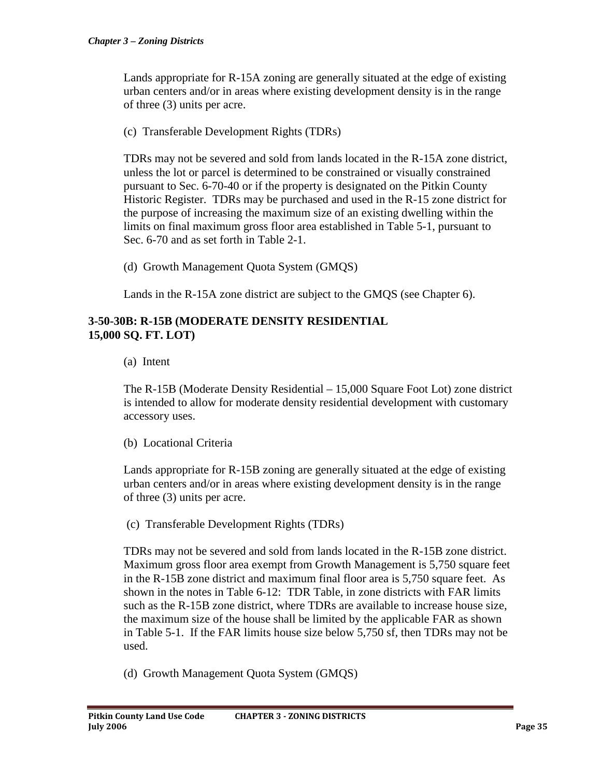Lands appropriate for R-15A zoning are generally situated at the edge of existing urban centers and/or in areas where existing development density is in the range of three (3) units per acre.

(c) Transferable Development Rights (TDRs)

TDRs may not be severed and sold from lands located in the R-15A zone district, unless the lot or parcel is determined to be constrained or visually constrained pursuant to Sec. 6-70-40 or if the property is designated on the Pitkin County Historic Register. TDRs may be purchased and used in the R-15 zone district for the purpose of increasing the maximum size of an existing dwelling within the limits on final maximum gross floor area established in Table 5-1, pursuant to Sec. 6-70 and as set forth in Table 2-1.

(d) Growth Management Quota System (GMQS)

Lands in the R-15A zone district are subject to the GMQS (see Chapter 6).

#### <span id="page-34-1"></span><span id="page-34-0"></span>**3-50-30B: R-15B (MODERATE DENSITY RESIDENTIAL 15,000 SQ. FT. LOT)**

(a) Intent

The R-15B (Moderate Density Residential – 15,000 Square Foot Lot) zone district is intended to allow for moderate density residential development with customary accessory uses.

(b) Locational Criteria

Lands appropriate for R-15B zoning are generally situated at the edge of existing urban centers and/or in areas where existing development density is in the range of three (3) units per acre.

### (c) Transferable Development Rights (TDRs)

TDRs may not be severed and sold from lands located in the R-15B zone district. Maximum gross floor area exempt from Growth Management is 5,750 square feet in the R-15B zone district and maximum final floor area is 5,750 square feet. As shown in the notes in Table 6-12: TDR Table, in zone districts with FAR limits such as the R-15B zone district, where TDRs are available to increase house size, the maximum size of the house shall be limited by the applicable FAR as shown in Table 5-1. If the FAR limits house size below 5,750 sf, then TDRs may not be used.

(d) Growth Management Quota System (GMQS)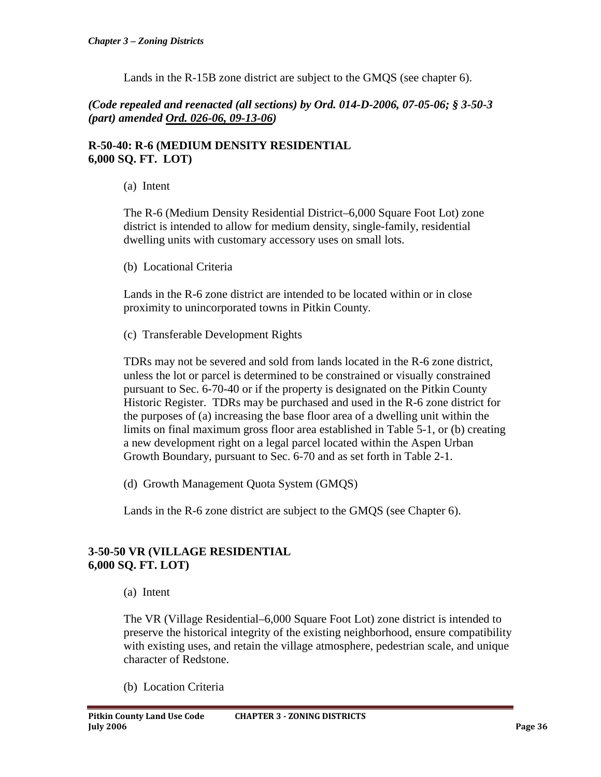Lands in the R-15B zone district are subject to the GMQS (see chapter 6).

*(Code repealed and reenacted (all sections) by Ord. 014-D-2006, 07-05-06; § 3-50-3 (part) amended [Ord. 026-06, 09-13-06\)](http://pitkincounty.com/DocumentCenter/View/12795)*

### <span id="page-35-1"></span><span id="page-35-0"></span>**R-50-40: R-6 (MEDIUM DENSITY RESIDENTIAL 6,000 SQ. FT. LOT)**

(a) Intent

The R-6 (Medium Density Residential District–6,000 Square Foot Lot) zone district is intended to allow for medium density, single-family, residential dwelling units with customary accessory uses on small lots.

(b) Locational Criteria

Lands in the R-6 zone district are intended to be located within or in close proximity to unincorporated towns in Pitkin County.

(c) Transferable Development Rights

TDRs may not be severed and sold from lands located in the R-6 zone district, unless the lot or parcel is determined to be constrained or visually constrained pursuant to Sec. 6-70-40 or if the property is designated on the Pitkin County Historic Register. TDRs may be purchased and used in the R-6 zone district for the purposes of (a) increasing the base floor area of a dwelling unit within the limits on final maximum gross floor area established in Table 5-1, or (b) creating a new development right on a legal parcel located within the Aspen Urban Growth Boundary, pursuant to Sec. 6-70 and as set forth in Table 2-1.

(d) Growth Management Quota System (GMQS)

Lands in the R-6 zone district are subject to the GMQS (see Chapter 6).

### <span id="page-35-3"></span><span id="page-35-2"></span>**3-50-50 VR (VILLAGE RESIDENTIAL 6,000 SQ. FT. LOT)**

(a) Intent

The VR (Village Residential–6,000 Square Foot Lot) zone district is intended to preserve the historical integrity of the existing neighborhood, ensure compatibility with existing uses, and retain the village atmosphere, pedestrian scale, and unique character of Redstone.

(b) Location Criteria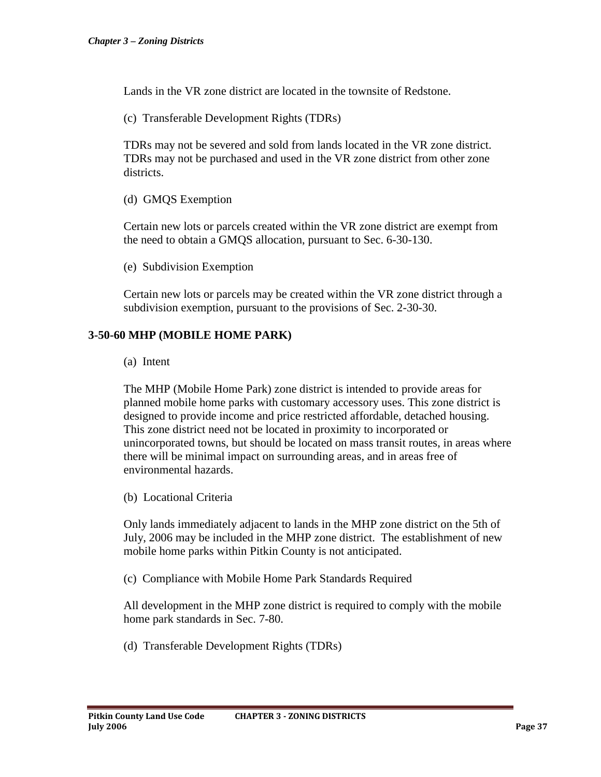Lands in the VR zone district are located in the townsite of Redstone.

(c) Transferable Development Rights (TDRs)

TDRs may not be severed and sold from lands located in the VR zone district. TDRs may not be purchased and used in the VR zone district from other zone districts.

(d) GMQS Exemption

Certain new lots or parcels created within the VR zone district are exempt from the need to obtain a GMQS allocation, pursuant to Sec. 6-30-130.

(e) Subdivision Exemption

Certain new lots or parcels may be created within the VR zone district through a subdivision exemption, pursuant to the provisions of Sec. 2-30-30.

## **3-50-60 MHP (MOBILE HOME PARK)**

(a) Intent

The MHP (Mobile Home Park) zone district is intended to provide areas for planned mobile home parks with customary accessory uses. This zone district is designed to provide income and price restricted affordable, detached housing. This zone district need not be located in proximity to incorporated or unincorporated towns, but should be located on mass transit routes, in areas where there will be minimal impact on surrounding areas, and in areas free of environmental hazards.

(b) Locational Criteria

Only lands immediately adjacent to lands in the MHP zone district on the 5th of July, 2006 may be included in the MHP zone district. The establishment of new mobile home parks within Pitkin County is not anticipated.

(c) Compliance with Mobile Home Park Standards Required

All development in the MHP zone district is required to comply with the mobile home park standards in Sec. 7-80.

(d) Transferable Development Rights (TDRs)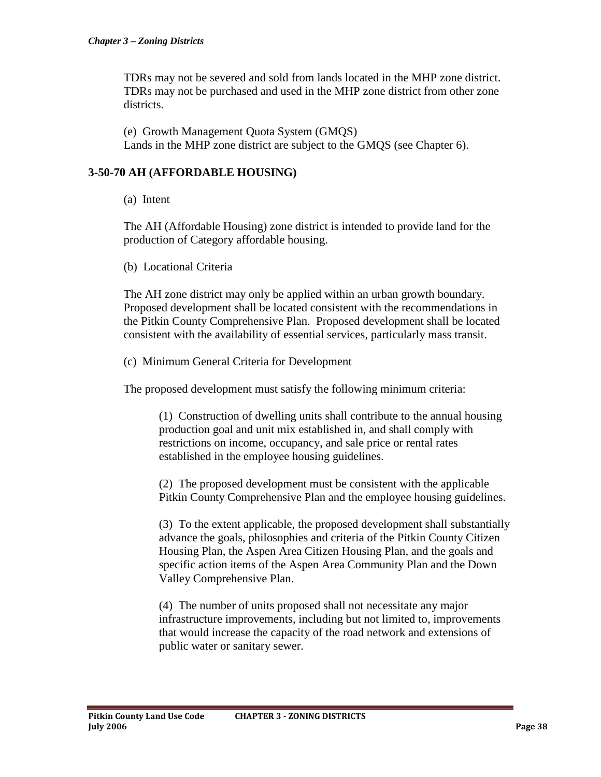TDRs may not be severed and sold from lands located in the MHP zone district. TDRs may not be purchased and used in the MHP zone district from other zone districts.

(e) Growth Management Quota System (GMQS) Lands in the MHP zone district are subject to the GMQS (see Chapter 6).

# **3-50-70 AH (AFFORDABLE HOUSING)**

(a) Intent

The AH (Affordable Housing) zone district is intended to provide land for the production of Category affordable housing.

(b) Locational Criteria

The AH zone district may only be applied within an urban growth boundary. Proposed development shall be located consistent with the recommendations in the Pitkin County Comprehensive Plan. Proposed development shall be located consistent with the availability of essential services, particularly mass transit.

(c) Minimum General Criteria for Development

The proposed development must satisfy the following minimum criteria:

(1) Construction of dwelling units shall contribute to the annual housing production goal and unit mix established in, and shall comply with restrictions on income, occupancy, and sale price or rental rates established in the employee housing guidelines.

(2) The proposed development must be consistent with the applicable Pitkin County Comprehensive Plan and the employee housing guidelines.

(3) To the extent applicable, the proposed development shall substantially advance the goals, philosophies and criteria of the Pitkin County Citizen Housing Plan, the Aspen Area Citizen Housing Plan, and the goals and specific action items of the Aspen Area Community Plan and the Down Valley Comprehensive Plan.

(4) The number of units proposed shall not necessitate any major infrastructure improvements, including but not limited to, improvements that would increase the capacity of the road network and extensions of public water or sanitary sewer.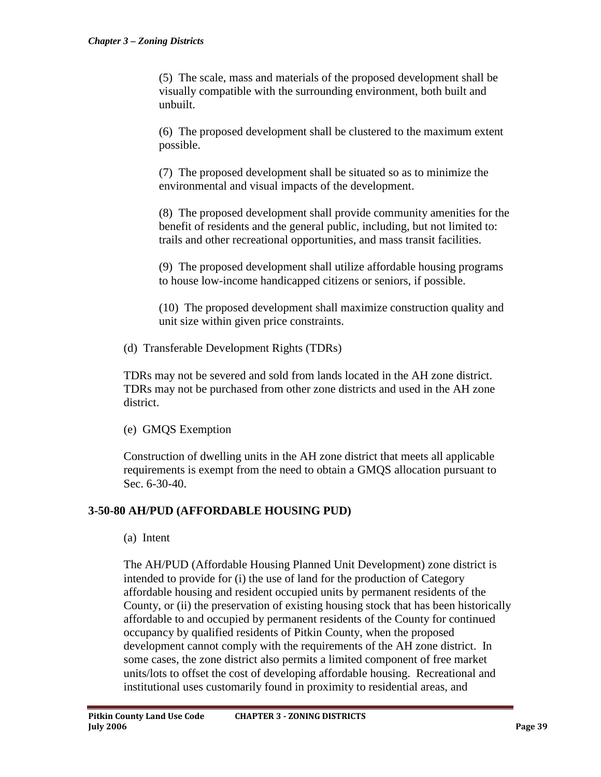(5) The scale, mass and materials of the proposed development shall be visually compatible with the surrounding environment, both built and unbuilt.

(6) The proposed development shall be clustered to the maximum extent possible.

(7) The proposed development shall be situated so as to minimize the environmental and visual impacts of the development.

(8) The proposed development shall provide community amenities for the benefit of residents and the general public, including, but not limited to: trails and other recreational opportunities, and mass transit facilities.

(9) The proposed development shall utilize affordable housing programs to house low-income handicapped citizens or seniors, if possible.

(10) The proposed development shall maximize construction quality and unit size within given price constraints.

(d) Transferable Development Rights (TDRs)

TDRs may not be severed and sold from lands located in the AH zone district. TDRs may not be purchased from other zone districts and used in the AH zone district.

(e) GMQS Exemption

Construction of dwelling units in the AH zone district that meets all applicable requirements is exempt from the need to obtain a GMQS allocation pursuant to Sec. 6-30-40.

# **3-50-80 AH/PUD (AFFORDABLE HOUSING PUD)**

(a) Intent

The AH/PUD (Affordable Housing Planned Unit Development) zone district is intended to provide for (i) the use of land for the production of Category affordable housing and resident occupied units by permanent residents of the County, or (ii) the preservation of existing housing stock that has been historically affordable to and occupied by permanent residents of the County for continued occupancy by qualified residents of Pitkin County, when the proposed development cannot comply with the requirements of the AH zone district. In some cases, the zone district also permits a limited component of free market units/lots to offset the cost of developing affordable housing. Recreational and institutional uses customarily found in proximity to residential areas, and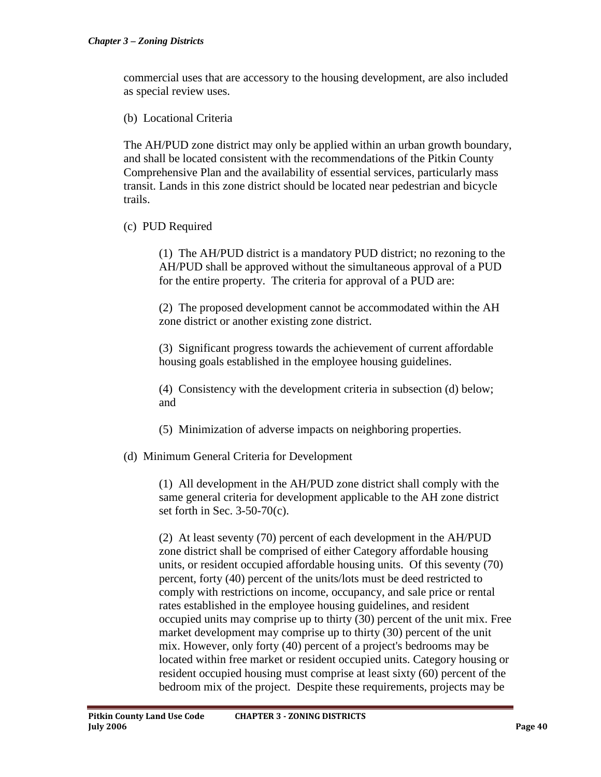commercial uses that are accessory to the housing development, are also included as special review uses.

(b) Locational Criteria

The AH/PUD zone district may only be applied within an urban growth boundary, and shall be located consistent with the recommendations of the Pitkin County Comprehensive Plan and the availability of essential services, particularly mass transit. Lands in this zone district should be located near pedestrian and bicycle trails.

#### (c) PUD Required

(1) The AH/PUD district is a mandatory PUD district; no rezoning to the AH/PUD shall be approved without the simultaneous approval of a PUD for the entire property. The criteria for approval of a PUD are:

(2) The proposed development cannot be accommodated within the AH zone district or another existing zone district.

(3) Significant progress towards the achievement of current affordable housing goals established in the employee housing guidelines.

(4) Consistency with the development criteria in subsection (d) below; and

(5) Minimization of adverse impacts on neighboring properties.

(d) Minimum General Criteria for Development

(1) All development in the AH/PUD zone district shall comply with the same general criteria for development applicable to the AH zone district set forth in Sec. 3-50-70(c).

(2) At least seventy (70) percent of each development in the AH/PUD zone district shall be comprised of either Category affordable housing units, or resident occupied affordable housing units. Of this seventy (70) percent, forty (40) percent of the units/lots must be deed restricted to comply with restrictions on income, occupancy, and sale price or rental rates established in the employee housing guidelines, and resident occupied units may comprise up to thirty (30) percent of the unit mix. Free market development may comprise up to thirty (30) percent of the unit mix. However, only forty (40) percent of a project's bedrooms may be located within free market or resident occupied units. Category housing or resident occupied housing must comprise at least sixty (60) percent of the bedroom mix of the project. Despite these requirements, projects may be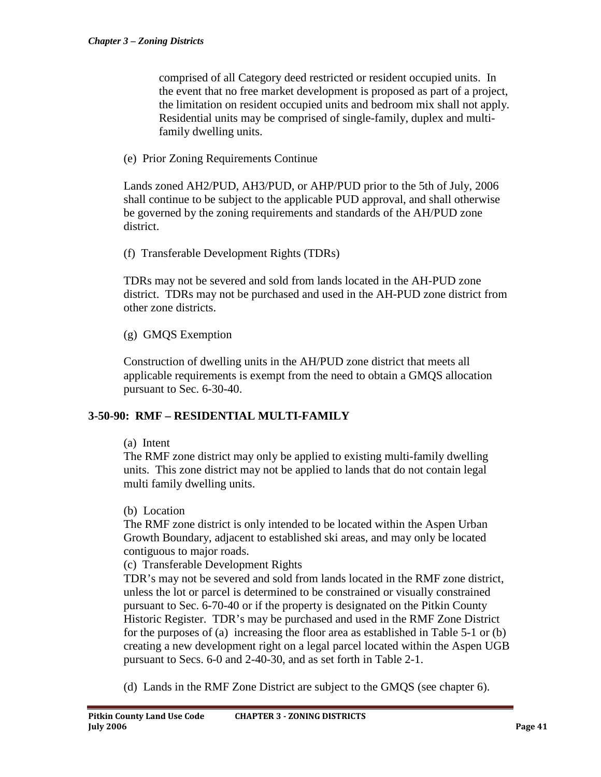comprised of all Category deed restricted or resident occupied units. In the event that no free market development is proposed as part of a project, the limitation on resident occupied units and bedroom mix shall not apply. Residential units may be comprised of single-family, duplex and multifamily dwelling units.

(e) Prior Zoning Requirements Continue

Lands zoned AH2/PUD, AH3/PUD, or AHP/PUD prior to the 5th of July, 2006 shall continue to be subject to the applicable PUD approval, and shall otherwise be governed by the zoning requirements and standards of the AH/PUD zone district.

(f) Transferable Development Rights (TDRs)

TDRs may not be severed and sold from lands located in the AH-PUD zone district. TDRs may not be purchased and used in the AH-PUD zone district from other zone districts.

# (g) GMQS Exemption

Construction of dwelling units in the AH/PUD zone district that meets all applicable requirements is exempt from the need to obtain a GMQS allocation pursuant to Sec. 6-30-40.

# **3-50-90: RMF – RESIDENTIAL MULTI-FAMILY**

### (a) Intent

The RMF zone district may only be applied to existing multi-family dwelling units. This zone district may not be applied to lands that do not contain legal multi family dwelling units.

# (b) Location

The RMF zone district is only intended to be located within the Aspen Urban Growth Boundary, adjacent to established ski areas, and may only be located contiguous to major roads.

(c) Transferable Development Rights

TDR's may not be severed and sold from lands located in the RMF zone district, unless the lot or parcel is determined to be constrained or visually constrained pursuant to Sec. 6-70-40 or if the property is designated on the Pitkin County Historic Register. TDR's may be purchased and used in the RMF Zone District for the purposes of (a) increasing the floor area as established in Table 5-1 or (b) creating a new development right on a legal parcel located within the Aspen UGB pursuant to Secs. 6-0 and 2-40-30, and as set forth in Table 2-1.

(d) Lands in the RMF Zone District are subject to the GMQS (see chapter 6).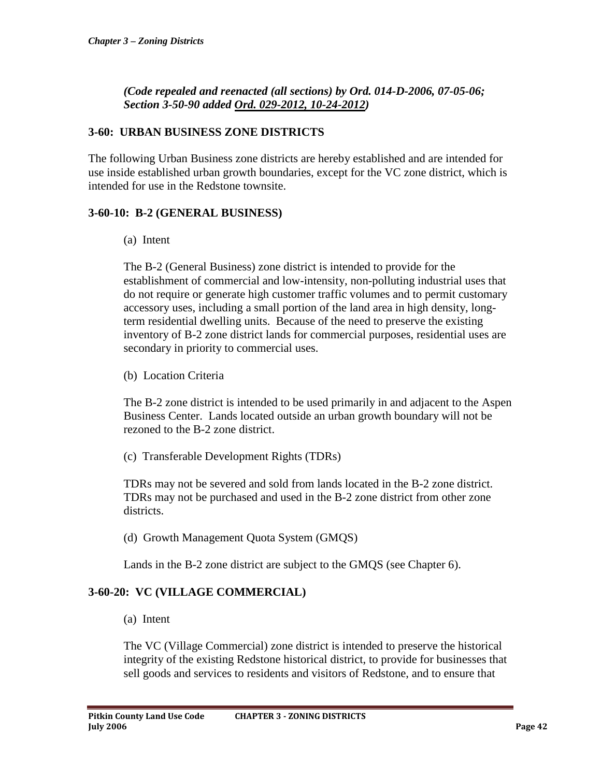*(Code repealed and reenacted (all sections) by Ord. 014-D-2006, 07-05-06; Section 3-50-90 added [Ord. 029-2012, 10-24-2012\)](http://pitkincounty.com/DocumentCenter/View/12801)*

## **3-60: URBAN BUSINESS ZONE DISTRICTS**

The following Urban Business zone districts are hereby established and are intended for use inside established urban growth boundaries, except for the VC zone district, which is intended for use in the Redstone townsite.

## **3-60-10: B-2 (GENERAL BUSINESS)**

(a) Intent

The B-2 (General Business) zone district is intended to provide for the establishment of commercial and low-intensity, non-polluting industrial uses that do not require or generate high customer traffic volumes and to permit customary accessory uses, including a small portion of the land area in high density, longterm residential dwelling units. Because of the need to preserve the existing inventory of B-2 zone district lands for commercial purposes, residential uses are secondary in priority to commercial uses.

(b) Location Criteria

The B-2 zone district is intended to be used primarily in and adjacent to the Aspen Business Center. Lands located outside an urban growth boundary will not be rezoned to the B-2 zone district.

(c) Transferable Development Rights (TDRs)

TDRs may not be severed and sold from lands located in the B-2 zone district. TDRs may not be purchased and used in the B-2 zone district from other zone districts.

(d) Growth Management Quota System (GMQS)

Lands in the B-2 zone district are subject to the GMQS (see Chapter 6).

# **3-60-20: VC (VILLAGE COMMERCIAL)**

(a) Intent

The VC (Village Commercial) zone district is intended to preserve the historical integrity of the existing Redstone historical district, to provide for businesses that sell goods and services to residents and visitors of Redstone, and to ensure that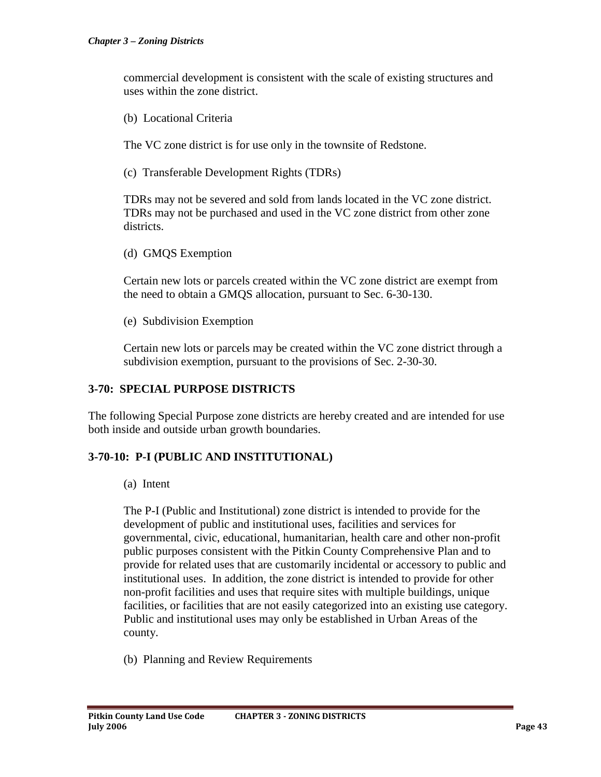commercial development is consistent with the scale of existing structures and uses within the zone district.

(b) Locational Criteria

The VC zone district is for use only in the townsite of Redstone.

(c) Transferable Development Rights (TDRs)

TDRs may not be severed and sold from lands located in the VC zone district. TDRs may not be purchased and used in the VC zone district from other zone districts.

(d) GMQS Exemption

Certain new lots or parcels created within the VC zone district are exempt from the need to obtain a GMQS allocation, pursuant to Sec. 6-30-130.

(e) Subdivision Exemption

Certain new lots or parcels may be created within the VC zone district through a subdivision exemption, pursuant to the provisions of Sec. 2-30-30.

### **3-70: SPECIAL PURPOSE DISTRICTS**

The following Special Purpose zone districts are hereby created and are intended for use both inside and outside urban growth boundaries.

### **3-70-10: P-I (PUBLIC AND INSTITUTIONAL)**

(a) Intent

The P-I (Public and Institutional) zone district is intended to provide for the development of public and institutional uses, facilities and services for governmental, civic, educational, humanitarian, health care and other non-profit public purposes consistent with the Pitkin County Comprehensive Plan and to provide for related uses that are customarily incidental or accessory to public and institutional uses. In addition, the zone district is intended to provide for other non-profit facilities and uses that require sites with multiple buildings, unique facilities, or facilities that are not easily categorized into an existing use category. Public and institutional uses may only be established in Urban Areas of the county.

(b) Planning and Review Requirements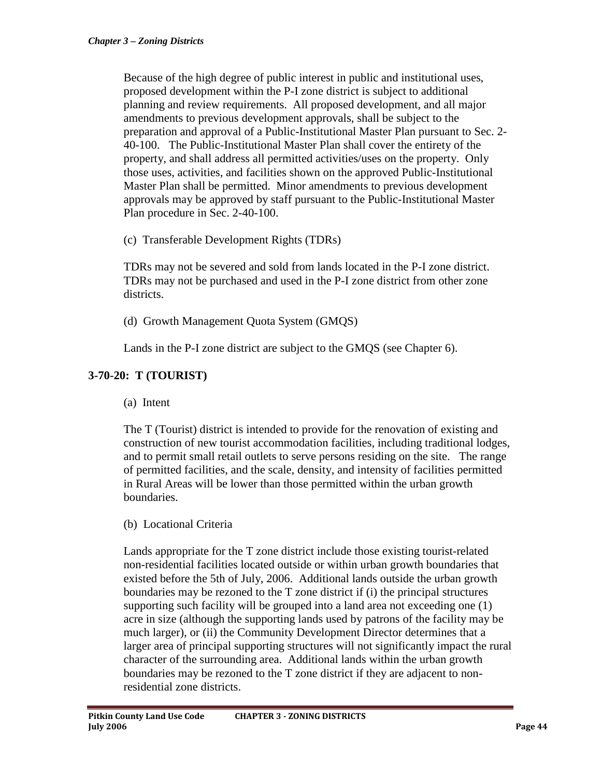Because of the high degree of public interest in public and institutional uses, proposed development within the P-I zone district is subject to additional planning and review requirements. All proposed development, and all major amendments to previous development approvals, shall be subject to the preparation and approval of a Public-Institutional Master Plan pursuant to Sec. 2- 40-100. The Public-Institutional Master Plan shall cover the entirety of the property, and shall address all permitted activities/uses on the property. Only those uses, activities, and facilities shown on the approved Public-Institutional Master Plan shall be permitted. Minor amendments to previous development approvals may be approved by staff pursuant to the Public-Institutional Master Plan procedure in Sec. 2-40-100.

(c) Transferable Development Rights (TDRs)

TDRs may not be severed and sold from lands located in the P-I zone district. TDRs may not be purchased and used in the P-I zone district from other zone districts.

(d) Growth Management Quota System (GMQS)

Lands in the P-I zone district are subject to the GMQS (see Chapter 6).

# **3-70-20: T (TOURIST)**

(a) Intent

The T (Tourist) district is intended to provide for the renovation of existing and construction of new tourist accommodation facilities, including traditional lodges, and to permit small retail outlets to serve persons residing on the site. The range of permitted facilities, and the scale, density, and intensity of facilities permitted in Rural Areas will be lower than those permitted within the urban growth boundaries.

(b) Locational Criteria

Lands appropriate for the T zone district include those existing tourist-related non-residential facilities located outside or within urban growth boundaries that existed before the 5th of July, 2006. Additional lands outside the urban growth boundaries may be rezoned to the T zone district if (i) the principal structures supporting such facility will be grouped into a land area not exceeding one (1) acre in size (although the supporting lands used by patrons of the facility may be much larger), or (ii) the Community Development Director determines that a larger area of principal supporting structures will not significantly impact the rural character of the surrounding area. Additional lands within the urban growth boundaries may be rezoned to the T zone district if they are adjacent to nonresidential zone districts.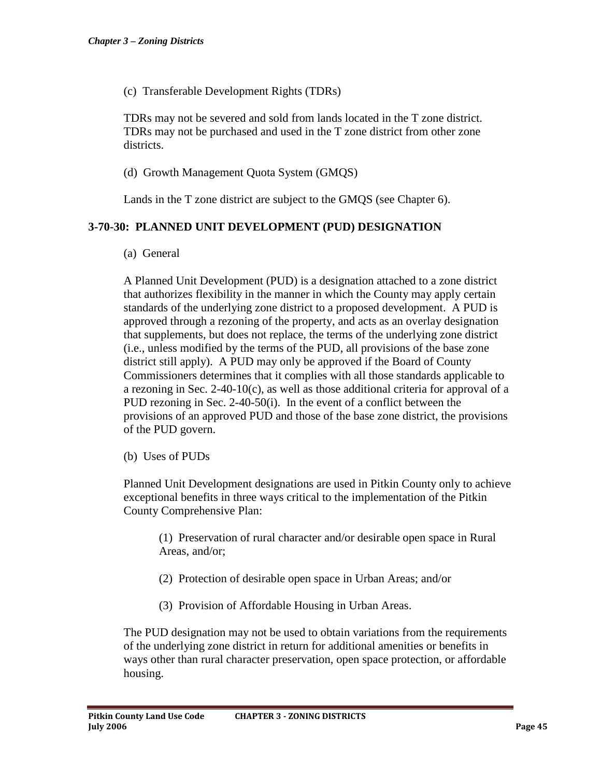(c) Transferable Development Rights (TDRs)

TDRs may not be severed and sold from lands located in the T zone district. TDRs may not be purchased and used in the T zone district from other zone districts.

(d) Growth Management Quota System (GMQS)

Lands in the T zone district are subject to the GMQS (see Chapter 6).

# **3-70-30: PLANNED UNIT DEVELOPMENT (PUD) DESIGNATION**

(a) General

A Planned Unit Development (PUD) is a designation attached to a zone district that authorizes flexibility in the manner in which the County may apply certain standards of the underlying zone district to a proposed development. A PUD is approved through a rezoning of the property, and acts as an overlay designation that supplements, but does not replace, the terms of the underlying zone district (i.e., unless modified by the terms of the PUD, all provisions of the base zone district still apply). A PUD may only be approved if the Board of County Commissioners determines that it complies with all those standards applicable to a rezoning in Sec. 2-40-10(c), as well as those additional criteria for approval of a PUD rezoning in Sec. 2-40-50(i). In the event of a conflict between the provisions of an approved PUD and those of the base zone district, the provisions of the PUD govern.

(b) Uses of PUDs

Planned Unit Development designations are used in Pitkin County only to achieve exceptional benefits in three ways critical to the implementation of the Pitkin County Comprehensive Plan:

(1) Preservation of rural character and/or desirable open space in Rural Areas, and/or;

- (2) Protection of desirable open space in Urban Areas; and/or
- (3) Provision of Affordable Housing in Urban Areas.

The PUD designation may not be used to obtain variations from the requirements of the underlying zone district in return for additional amenities or benefits in ways other than rural character preservation, open space protection, or affordable housing.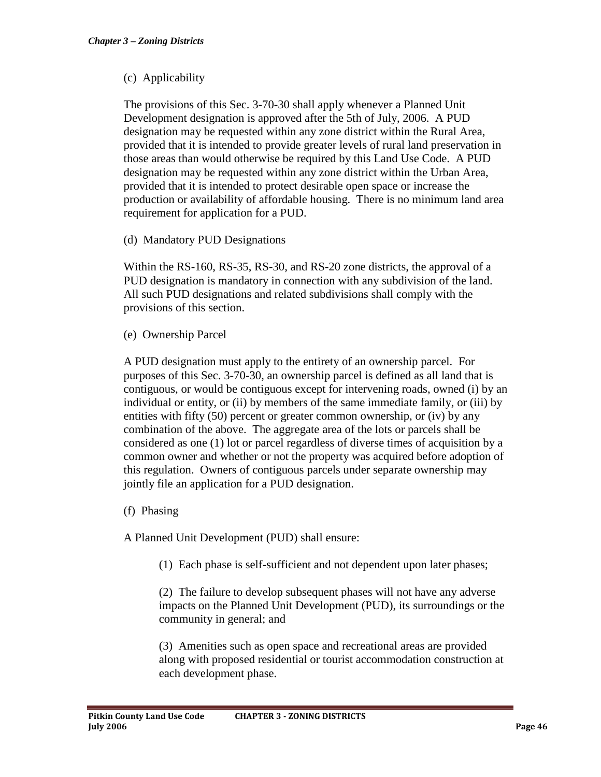## (c) Applicability

The provisions of this Sec. 3-70-30 shall apply whenever a Planned Unit Development designation is approved after the 5th of July, 2006. A PUD designation may be requested within any zone district within the Rural Area, provided that it is intended to provide greater levels of rural land preservation in those areas than would otherwise be required by this Land Use Code. A PUD designation may be requested within any zone district within the Urban Area, provided that it is intended to protect desirable open space or increase the production or availability of affordable housing. There is no minimum land area requirement for application for a PUD.

### (d) Mandatory PUD Designations

Within the RS-160, RS-35, RS-30, and RS-20 zone districts, the approval of a PUD designation is mandatory in connection with any subdivision of the land. All such PUD designations and related subdivisions shall comply with the provisions of this section.

(e) Ownership Parcel

A PUD designation must apply to the entirety of an ownership parcel. For purposes of this Sec. 3-70-30, an ownership parcel is defined as all land that is contiguous, or would be contiguous except for intervening roads, owned (i) by an individual or entity, or (ii) by members of the same immediate family, or (iii) by entities with fifty (50) percent or greater common ownership, or (iv) by any combination of the above. The aggregate area of the lots or parcels shall be considered as one (1) lot or parcel regardless of diverse times of acquisition by a common owner and whether or not the property was acquired before adoption of this regulation. Owners of contiguous parcels under separate ownership may jointly file an application for a PUD designation.

### (f) Phasing

A Planned Unit Development (PUD) shall ensure:

(1) Each phase is self-sufficient and not dependent upon later phases;

(2) The failure to develop subsequent phases will not have any adverse impacts on the Planned Unit Development (PUD), its surroundings or the community in general; and

(3) Amenities such as open space and recreational areas are provided along with proposed residential or tourist accommodation construction at each development phase.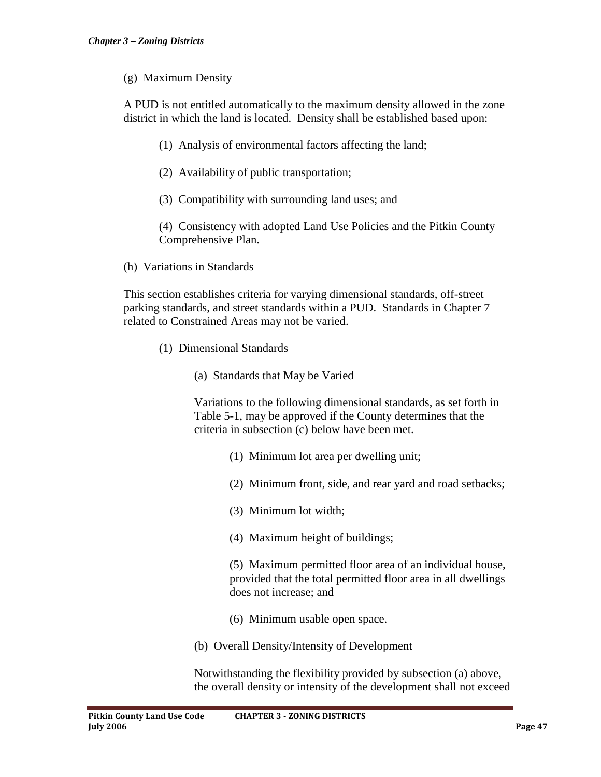### (g) Maximum Density

A PUD is not entitled automatically to the maximum density allowed in the zone district in which the land is located. Density shall be established based upon:

- (1) Analysis of environmental factors affecting the land;
- (2) Availability of public transportation;
- (3) Compatibility with surrounding land uses; and

(4) Consistency with adopted Land Use Policies and the Pitkin County Comprehensive Plan.

(h) Variations in Standards

This section establishes criteria for varying dimensional standards, off-street parking standards, and street standards within a PUD. Standards in Chapter 7 related to Constrained Areas may not be varied.

- (1) Dimensional Standards
	- (a) Standards that May be Varied

Variations to the following dimensional standards, as set forth in Table 5-1, may be approved if the County determines that the criteria in subsection (c) below have been met.

- (1) Minimum lot area per dwelling unit;
- (2) Minimum front, side, and rear yard and road setbacks;
- (3) Minimum lot width;
- (4) Maximum height of buildings;

(5) Maximum permitted floor area of an individual house, provided that the total permitted floor area in all dwellings does not increase; and

- (6) Minimum usable open space.
- (b) Overall Density/Intensity of Development

Notwithstanding the flexibility provided by subsection (a) above, the overall density or intensity of the development shall not exceed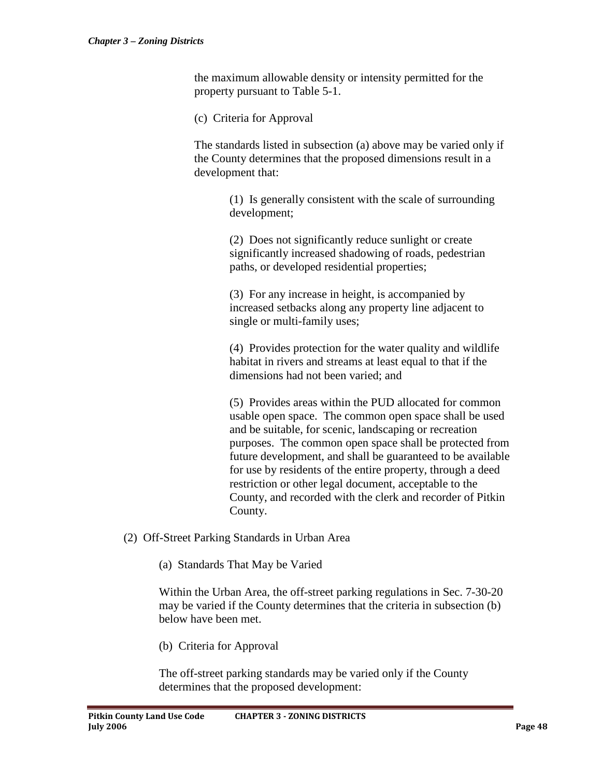the maximum allowable density or intensity permitted for the property pursuant to Table 5-1.

(c) Criteria for Approval

The standards listed in subsection (a) above may be varied only if the County determines that the proposed dimensions result in a development that:

> (1) Is generally consistent with the scale of surrounding development;

(2) Does not significantly reduce sunlight or create significantly increased shadowing of roads, pedestrian paths, or developed residential properties;

(3) For any increase in height, is accompanied by increased setbacks along any property line adjacent to single or multi-family uses;

(4) Provides protection for the water quality and wildlife habitat in rivers and streams at least equal to that if the dimensions had not been varied; and

(5) Provides areas within the PUD allocated for common usable open space. The common open space shall be used and be suitable, for scenic, landscaping or recreation purposes. The common open space shall be protected from future development, and shall be guaranteed to be available for use by residents of the entire property, through a deed restriction or other legal document, acceptable to the County, and recorded with the clerk and recorder of Pitkin County.

- (2) Off-Street Parking Standards in Urban Area
	- (a) Standards That May be Varied

Within the Urban Area, the off-street parking regulations in Sec. 7-30-20 may be varied if the County determines that the criteria in subsection (b) below have been met.

(b) Criteria for Approval

The off-street parking standards may be varied only if the County determines that the proposed development: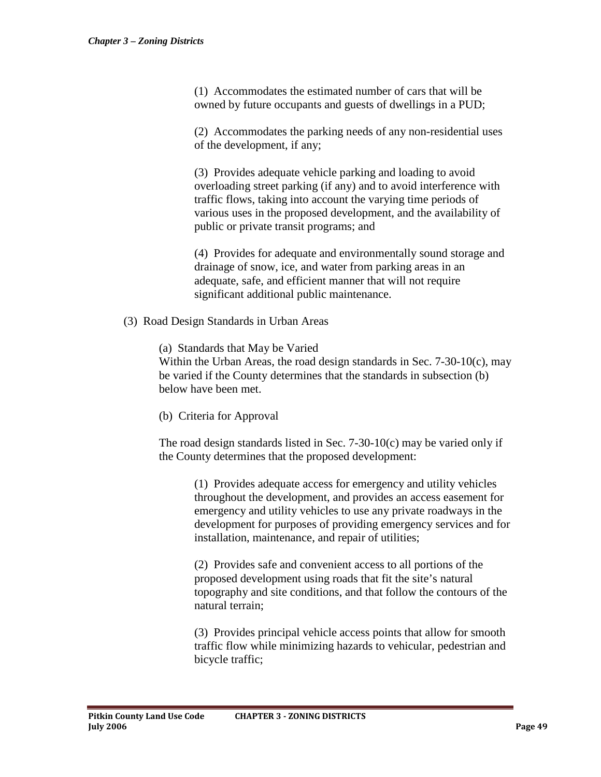(1) Accommodates the estimated number of cars that will be owned by future occupants and guests of dwellings in a PUD;

(2) Accommodates the parking needs of any non-residential uses of the development, if any;

(3) Provides adequate vehicle parking and loading to avoid overloading street parking (if any) and to avoid interference with traffic flows, taking into account the varying time periods of various uses in the proposed development, and the availability of public or private transit programs; and

(4) Provides for adequate and environmentally sound storage and drainage of snow, ice, and water from parking areas in an adequate, safe, and efficient manner that will not require significant additional public maintenance.

(3) Road Design Standards in Urban Areas

(a) Standards that May be Varied

Within the Urban Areas, the road design standards in Sec. 7-30-10(c), may be varied if the County determines that the standards in subsection (b) below have been met.

(b) Criteria for Approval

The road design standards listed in Sec. 7-30-10(c) may be varied only if the County determines that the proposed development:

> (1) Provides adequate access for emergency and utility vehicles throughout the development, and provides an access easement for emergency and utility vehicles to use any private roadways in the development for purposes of providing emergency services and for installation, maintenance, and repair of utilities;

> (2) Provides safe and convenient access to all portions of the proposed development using roads that fit the site's natural topography and site conditions, and that follow the contours of the natural terrain;

> (3) Provides principal vehicle access points that allow for smooth traffic flow while minimizing hazards to vehicular, pedestrian and bicycle traffic;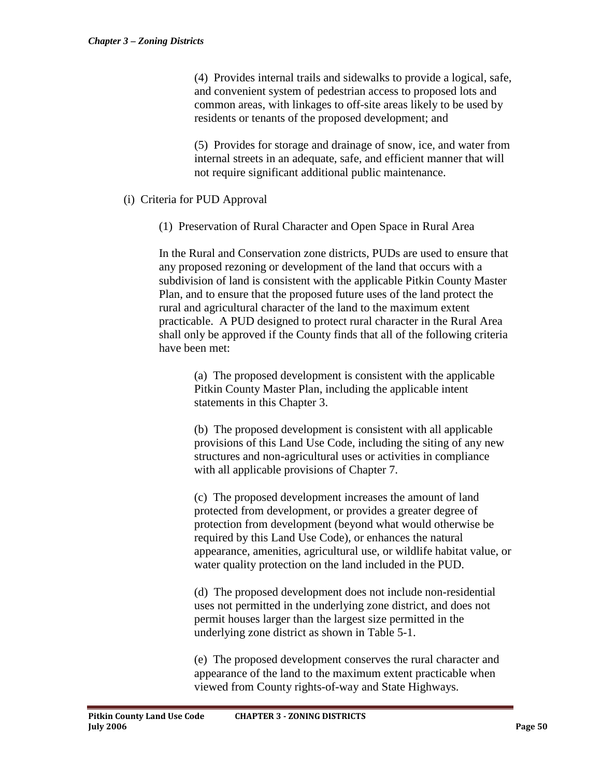(4) Provides internal trails and sidewalks to provide a logical, safe, and convenient system of pedestrian access to proposed lots and common areas, with linkages to off-site areas likely to be used by residents or tenants of the proposed development; and

(5) Provides for storage and drainage of snow, ice, and water from internal streets in an adequate, safe, and efficient manner that will not require significant additional public maintenance.

## (i) Criteria for PUD Approval

(1) Preservation of Rural Character and Open Space in Rural Area

In the Rural and Conservation zone districts, PUDs are used to ensure that any proposed rezoning or development of the land that occurs with a subdivision of land is consistent with the applicable Pitkin County Master Plan, and to ensure that the proposed future uses of the land protect the rural and agricultural character of the land to the maximum extent practicable. A PUD designed to protect rural character in the Rural Area shall only be approved if the County finds that all of the following criteria have been met:

> (a) The proposed development is consistent with the applicable Pitkin County Master Plan, including the applicable intent statements in this Chapter 3.

(b) The proposed development is consistent with all applicable provisions of this Land Use Code, including the siting of any new structures and non-agricultural uses or activities in compliance with all applicable provisions of Chapter 7.

(c) The proposed development increases the amount of land protected from development, or provides a greater degree of protection from development (beyond what would otherwise be required by this Land Use Code), or enhances the natural appearance, amenities, agricultural use, or wildlife habitat value, or water quality protection on the land included in the PUD.

(d) The proposed development does not include non-residential uses not permitted in the underlying zone district, and does not permit houses larger than the largest size permitted in the underlying zone district as shown in Table 5-1.

(e) The proposed development conserves the rural character and appearance of the land to the maximum extent practicable when viewed from County rights-of-way and State Highways.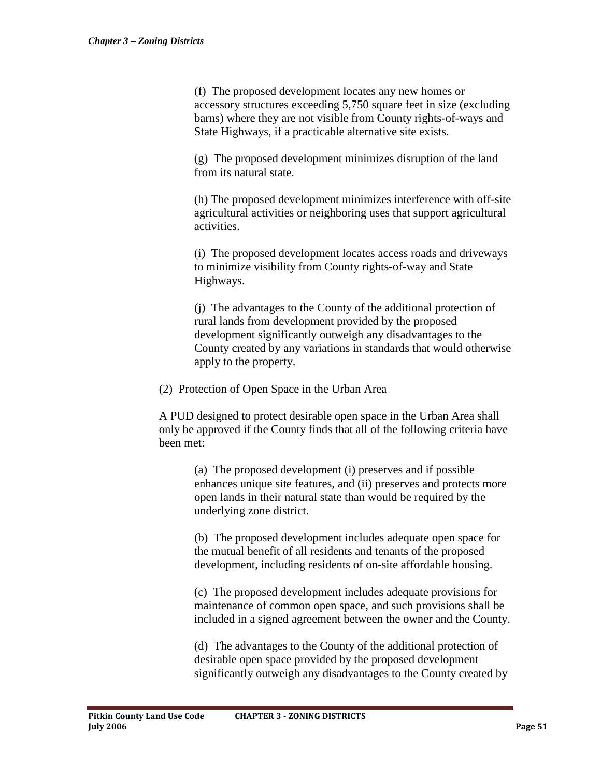(f) The proposed development locates any new homes or accessory structures exceeding 5,750 square feet in size (excluding barns) where they are not visible from County rights-of-ways and State Highways, if a practicable alternative site exists.

(g) The proposed development minimizes disruption of the land from its natural state.

(h) The proposed development minimizes interference with off-site agricultural activities or neighboring uses that support agricultural activities.

(i) The proposed development locates access roads and driveways to minimize visibility from County rights-of-way and State Highways.

(j) The advantages to the County of the additional protection of rural lands from development provided by the proposed development significantly outweigh any disadvantages to the County created by any variations in standards that would otherwise apply to the property.

(2) Protection of Open Space in the Urban Area

A PUD designed to protect desirable open space in the Urban Area shall only be approved if the County finds that all of the following criteria have been met:

> (a) The proposed development (i) preserves and if possible enhances unique site features, and (ii) preserves and protects more open lands in their natural state than would be required by the underlying zone district.

(b) The proposed development includes adequate open space for the mutual benefit of all residents and tenants of the proposed development, including residents of on-site affordable housing.

(c) The proposed development includes adequate provisions for maintenance of common open space, and such provisions shall be included in a signed agreement between the owner and the County.

(d) The advantages to the County of the additional protection of desirable open space provided by the proposed development significantly outweigh any disadvantages to the County created by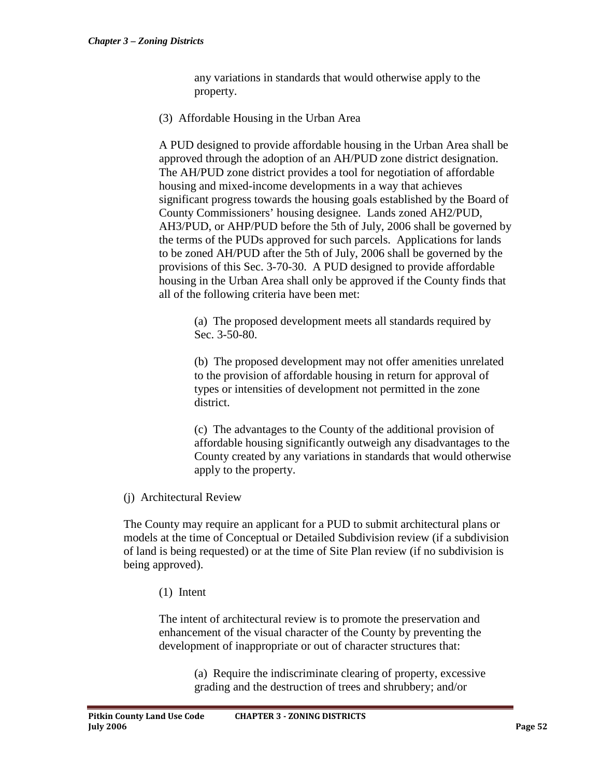any variations in standards that would otherwise apply to the property.

(3) Affordable Housing in the Urban Area

A PUD designed to provide affordable housing in the Urban Area shall be approved through the adoption of an AH/PUD zone district designation. The AH/PUD zone district provides a tool for negotiation of affordable housing and mixed-income developments in a way that achieves significant progress towards the housing goals established by the Board of County Commissioners' housing designee. Lands zoned AH2/PUD, AH3/PUD, or AHP/PUD before the 5th of July, 2006 shall be governed by the terms of the PUDs approved for such parcels. Applications for lands to be zoned AH/PUD after the 5th of July, 2006 shall be governed by the provisions of this Sec. 3-70-30. A PUD designed to provide affordable housing in the Urban Area shall only be approved if the County finds that all of the following criteria have been met:

> (a) The proposed development meets all standards required by Sec. 3-50-80.

(b) The proposed development may not offer amenities unrelated to the provision of affordable housing in return for approval of types or intensities of development not permitted in the zone district.

(c) The advantages to the County of the additional provision of affordable housing significantly outweigh any disadvantages to the County created by any variations in standards that would otherwise apply to the property.

(j) Architectural Review

The County may require an applicant for a PUD to submit architectural plans or models at the time of Conceptual or Detailed Subdivision review (if a subdivision of land is being requested) or at the time of Site Plan review (if no subdivision is being approved).

(1) Intent

The intent of architectural review is to promote the preservation and enhancement of the visual character of the County by preventing the development of inappropriate or out of character structures that:

> (a) Require the indiscriminate clearing of property, excessive grading and the destruction of trees and shrubbery; and/or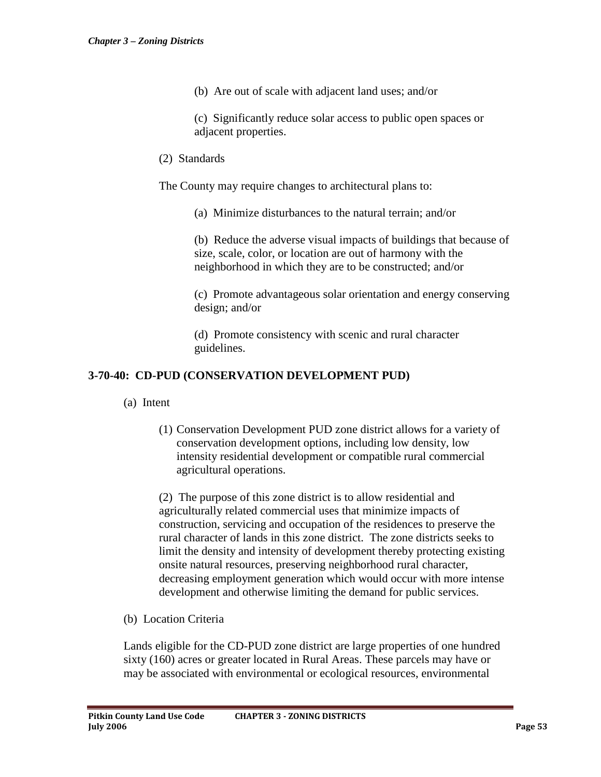(b) Are out of scale with adjacent land uses; and/or

(c) Significantly reduce solar access to public open spaces or adjacent properties.

(2) Standards

The County may require changes to architectural plans to:

(a) Minimize disturbances to the natural terrain; and/or

(b) Reduce the adverse visual impacts of buildings that because of size, scale, color, or location are out of harmony with the neighborhood in which they are to be constructed; and/or

(c) Promote advantageous solar orientation and energy conserving design; and/or

(d) Promote consistency with scenic and rural character guidelines.

## **3-70-40: CD-PUD (CONSERVATION DEVELOPMENT PUD)**

- (a) Intent
	- (1) Conservation Development PUD zone district allows for a variety of conservation development options, including low density, low intensity residential development or compatible rural commercial agricultural operations.

(2) The purpose of this zone district is to allow residential and agriculturally related commercial uses that minimize impacts of construction, servicing and occupation of the residences to preserve the rural character of lands in this zone district. The zone districts seeks to limit the density and intensity of development thereby protecting existing onsite natural resources, preserving neighborhood rural character, decreasing employment generation which would occur with more intense development and otherwise limiting the demand for public services.

(b) Location Criteria

Lands eligible for the CD-PUD zone district are large properties of one hundred sixty (160) acres or greater located in Rural Areas. These parcels may have or may be associated with environmental or ecological resources, environmental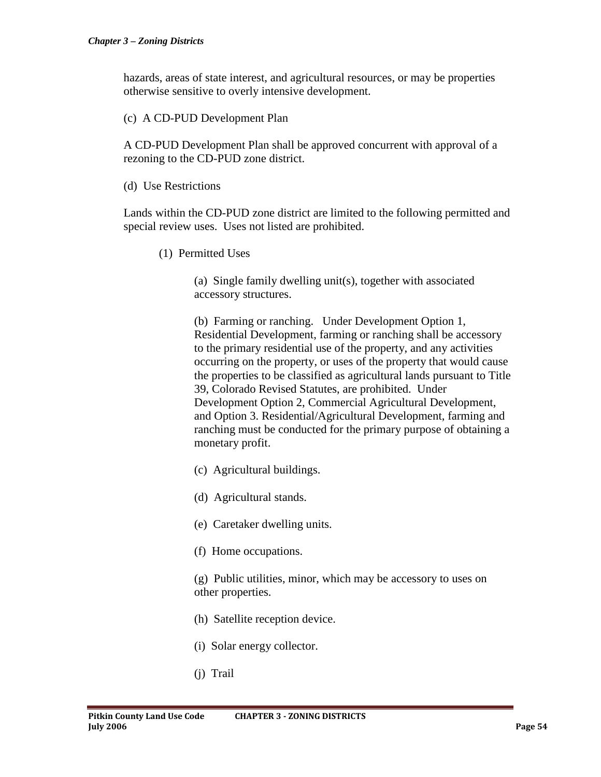hazards, areas of state interest, and agricultural resources, or may be properties otherwise sensitive to overly intensive development.

(c) A CD-PUD Development Plan

A CD-PUD Development Plan shall be approved concurrent with approval of a rezoning to the CD-PUD zone district.

(d) Use Restrictions

Lands within the CD-PUD zone district are limited to the following permitted and special review uses. Uses not listed are prohibited.

(1) Permitted Uses

(a) Single family dwelling unit(s), together with associated accessory structures.

(b) Farming or ranching. Under Development Option 1, Residential Development, farming or ranching shall be accessory to the primary residential use of the property, and any activities occurring on the property, or uses of the property that would cause the properties to be classified as agricultural lands pursuant to Title 39, Colorado Revised Statutes, are prohibited. Under Development Option 2, Commercial Agricultural Development, and Option 3. Residential/Agricultural Development, farming and ranching must be conducted for the primary purpose of obtaining a monetary profit.

- (c) Agricultural buildings.
- (d) Agricultural stands.
- (e) Caretaker dwelling units.
- (f) Home occupations.

(g) Public utilities, minor, which may be accessory to uses on other properties.

- (h) Satellite reception device.
- (i) Solar energy collector.
- (j) Trail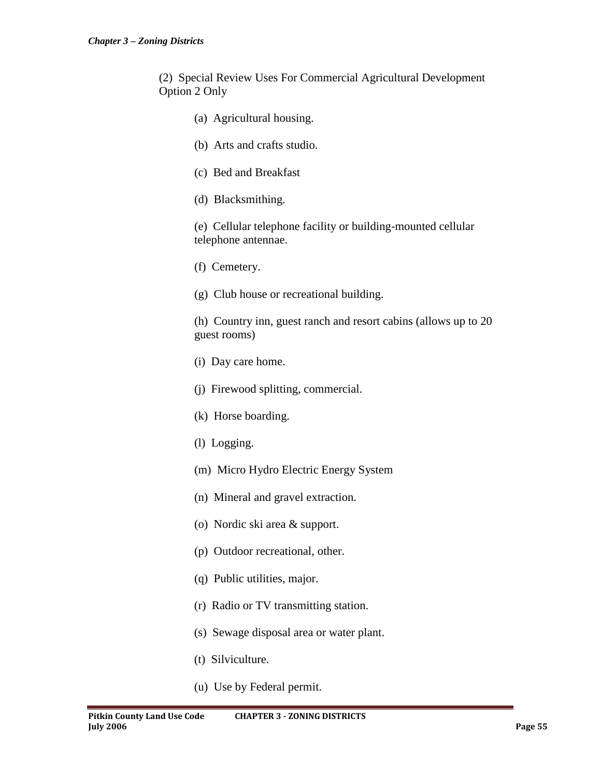(2) Special Review Uses For Commercial Agricultural Development Option 2 Only

- (a) Agricultural housing.
- (b) Arts and crafts studio.
- (c) Bed and Breakfast
- (d) Blacksmithing.

(e) Cellular telephone facility or building-mounted cellular telephone antennae.

(f) Cemetery.

(g) Club house or recreational building.

(h) Country inn, guest ranch and resort cabins (allows up to 20 guest rooms)

- (i) Day care home.
- (j) Firewood splitting, commercial.
- (k) Horse boarding.
- (l) Logging.
- (m) Micro Hydro Electric Energy System
- (n) Mineral and gravel extraction.
- (o) Nordic ski area & support.
- (p) Outdoor recreational, other.
- (q) Public utilities, major.
- (r) Radio or TV transmitting station.
- (s) Sewage disposal area or water plant.
- (t) Silviculture.
- (u) Use by Federal permit.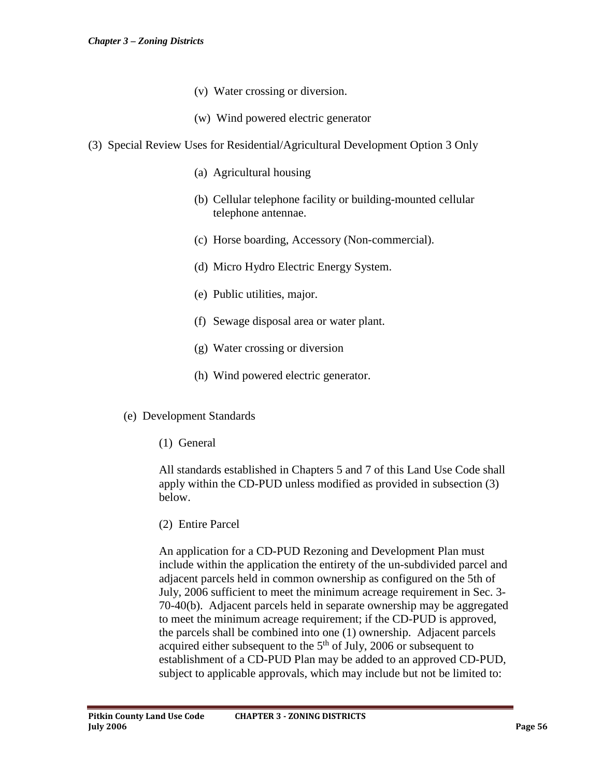- (v) Water crossing or diversion.
- (w) Wind powered electric generator
- (3) Special Review Uses for Residential/Agricultural Development Option 3 Only
	- (a) Agricultural housing
	- (b) Cellular telephone facility or building-mounted cellular telephone antennae.
	- (c) Horse boarding, Accessory (Non-commercial).
	- (d) Micro Hydro Electric Energy System.
	- (e) Public utilities, major.
	- (f) Sewage disposal area or water plant.
	- (g) Water crossing or diversion
	- (h) Wind powered electric generator.

### (e) Development Standards

(1) General

All standards established in Chapters 5 and 7 of this Land Use Code shall apply within the CD-PUD unless modified as provided in subsection (3) below.

(2) Entire Parcel

An application for a CD-PUD Rezoning and Development Plan must include within the application the entirety of the un-subdivided parcel and adjacent parcels held in common ownership as configured on the 5th of July, 2006 sufficient to meet the minimum acreage requirement in Sec. 3- 70-40(b). Adjacent parcels held in separate ownership may be aggregated to meet the minimum acreage requirement; if the CD-PUD is approved, the parcels shall be combined into one (1) ownership. Adjacent parcels acquired either subsequent to the  $5<sup>th</sup>$  of July, 2006 or subsequent to establishment of a CD-PUD Plan may be added to an approved CD-PUD, subject to applicable approvals, which may include but not be limited to: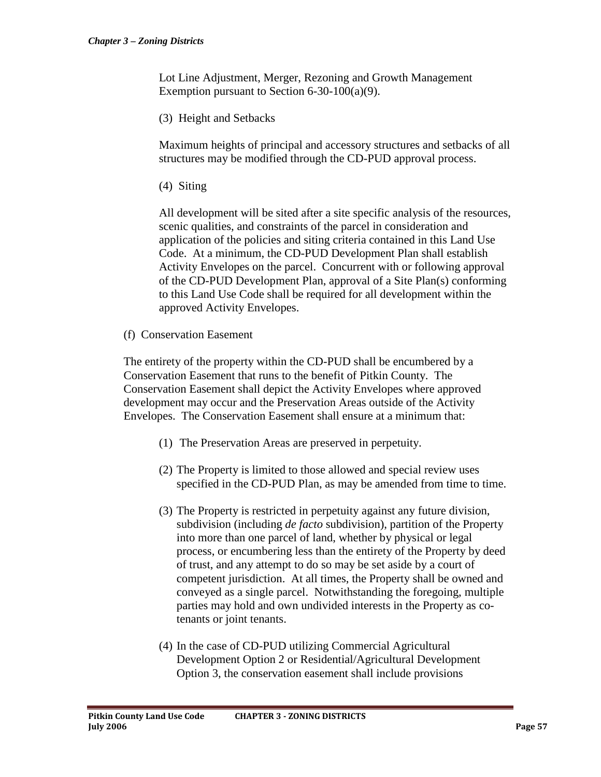Lot Line Adjustment, Merger, Rezoning and Growth Management Exemption pursuant to Section 6-30-100(a)(9).

(3) Height and Setbacks

Maximum heights of principal and accessory structures and setbacks of all structures may be modified through the CD-PUD approval process.

(4) Siting

All development will be sited after a site specific analysis of the resources, scenic qualities, and constraints of the parcel in consideration and application of the policies and siting criteria contained in this Land Use Code. At a minimum, the CD-PUD Development Plan shall establish Activity Envelopes on the parcel. Concurrent with or following approval of the CD-PUD Development Plan, approval of a Site Plan(s) conforming to this Land Use Code shall be required for all development within the approved Activity Envelopes.

(f) Conservation Easement

The entirety of the property within the CD-PUD shall be encumbered by a Conservation Easement that runs to the benefit of Pitkin County. The Conservation Easement shall depict the Activity Envelopes where approved development may occur and the Preservation Areas outside of the Activity Envelopes. The Conservation Easement shall ensure at a minimum that:

- (1) The Preservation Areas are preserved in perpetuity.
- (2) The Property is limited to those allowed and special review uses specified in the CD-PUD Plan, as may be amended from time to time.
- (3) The Property is restricted in perpetuity against any future division, subdivision (including *de facto* subdivision), partition of the Property into more than one parcel of land, whether by physical or legal process, or encumbering less than the entirety of the Property by deed of trust, and any attempt to do so may be set aside by a court of competent jurisdiction. At all times, the Property shall be owned and conveyed as a single parcel. Notwithstanding the foregoing, multiple parties may hold and own undivided interests in the Property as cotenants or joint tenants.
- (4) In the case of CD-PUD utilizing Commercial Agricultural Development Option 2 or Residential/Agricultural Development Option 3, the conservation easement shall include provisions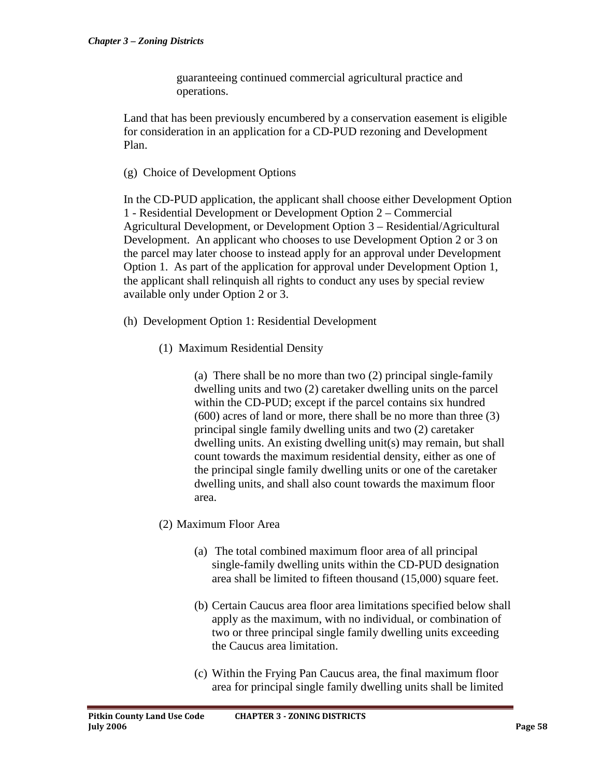guaranteeing continued commercial agricultural practice and operations.

Land that has been previously encumbered by a conservation easement is eligible for consideration in an application for a CD-PUD rezoning and Development Plan.

(g) Choice of Development Options

In the CD-PUD application, the applicant shall choose either Development Option 1 - Residential Development or Development Option 2 – Commercial Agricultural Development, or Development Option 3 – Residential/Agricultural Development. An applicant who chooses to use Development Option 2 or 3 on the parcel may later choose to instead apply for an approval under Development Option 1. As part of the application for approval under Development Option 1, the applicant shall relinquish all rights to conduct any uses by special review available only under Option 2 or 3.

- (h) Development Option 1: Residential Development
	- (1) Maximum Residential Density

(a) There shall be no more than two (2) principal single-family dwelling units and two (2) caretaker dwelling units on the parcel within the CD-PUD; except if the parcel contains six hundred (600) acres of land or more, there shall be no more than three (3) principal single family dwelling units and two (2) caretaker dwelling units. An existing dwelling unit(s) may remain, but shall count towards the maximum residential density, either as one of the principal single family dwelling units or one of the caretaker dwelling units, and shall also count towards the maximum floor area.

- (2) Maximum Floor Area
	- (a) The total combined maximum floor area of all principal single-family dwelling units within the CD-PUD designation area shall be limited to fifteen thousand (15,000) square feet.
	- (b) Certain Caucus area floor area limitations specified below shall apply as the maximum, with no individual, or combination of two or three principal single family dwelling units exceeding the Caucus area limitation.
	- (c) Within the Frying Pan Caucus area, the final maximum floor area for principal single family dwelling units shall be limited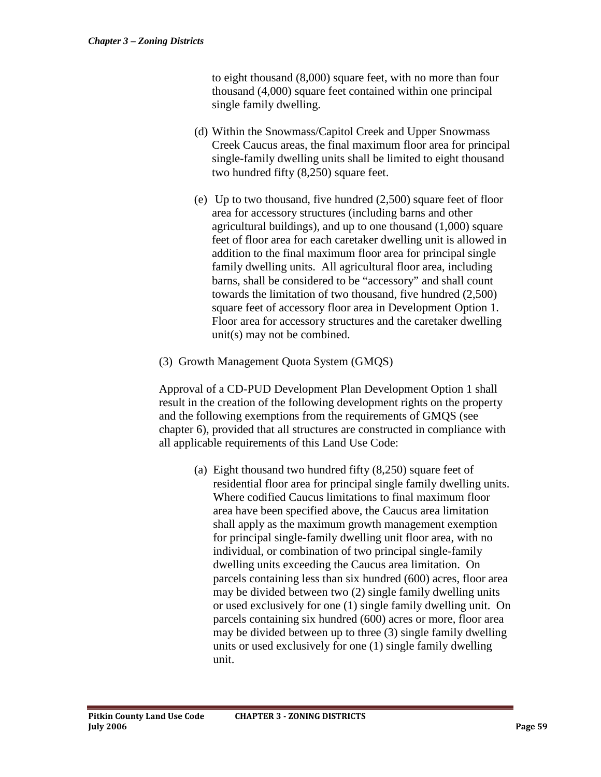to eight thousand (8,000) square feet, with no more than four thousand (4,000) square feet contained within one principal single family dwelling.

- (d) Within the Snowmass/Capitol Creek and Upper Snowmass Creek Caucus areas, the final maximum floor area for principal single-family dwelling units shall be limited to eight thousand two hundred fifty (8,250) square feet.
- (e) Up to two thousand, five hundred (2,500) square feet of floor area for accessory structures (including barns and other agricultural buildings), and up to one thousand (1,000) square feet of floor area for each caretaker dwelling unit is allowed in addition to the final maximum floor area for principal single family dwelling units. All agricultural floor area, including barns, shall be considered to be "accessory" and shall count towards the limitation of two thousand, five hundred (2,500) square feet of accessory floor area in Development Option 1. Floor area for accessory structures and the caretaker dwelling unit(s) may not be combined.
- (3) Growth Management Quota System (GMQS)

Approval of a CD-PUD Development Plan Development Option 1 shall result in the creation of the following development rights on the property and the following exemptions from the requirements of GMQS (see chapter 6), provided that all structures are constructed in compliance with all applicable requirements of this Land Use Code:

> (a) Eight thousand two hundred fifty (8,250) square feet of residential floor area for principal single family dwelling units. Where codified Caucus limitations to final maximum floor area have been specified above, the Caucus area limitation shall apply as the maximum growth management exemption for principal single-family dwelling unit floor area, with no individual, or combination of two principal single-family dwelling units exceeding the Caucus area limitation. On parcels containing less than six hundred (600) acres, floor area may be divided between two (2) single family dwelling units or used exclusively for one (1) single family dwelling unit. On parcels containing six hundred (600) acres or more, floor area may be divided between up to three (3) single family dwelling units or used exclusively for one (1) single family dwelling unit.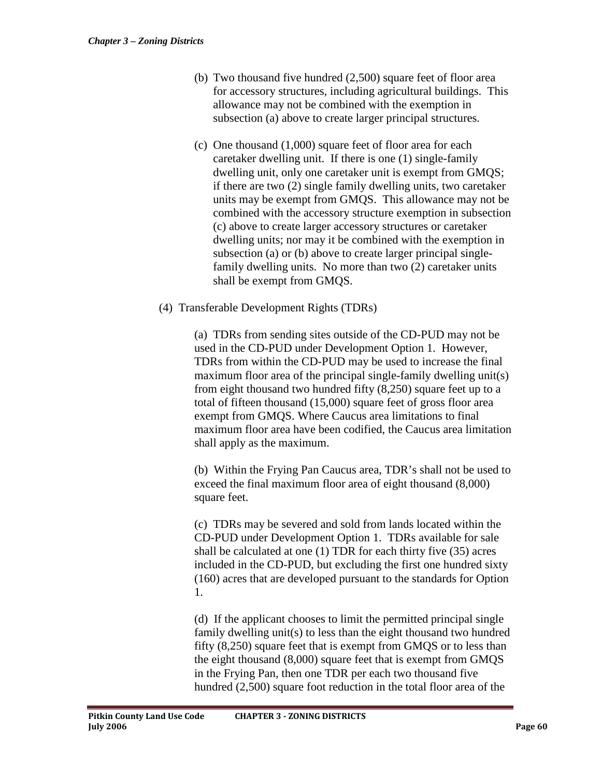- (b) Two thousand five hundred (2,500) square feet of floor area for accessory structures, including agricultural buildings. This allowance may not be combined with the exemption in subsection (a) above to create larger principal structures.
- (c) One thousand (1,000) square feet of floor area for each caretaker dwelling unit. If there is one (1) single-family dwelling unit, only one caretaker unit is exempt from GMQS; if there are two (2) single family dwelling units, two caretaker units may be exempt from GMQS. This allowance may not be combined with the accessory structure exemption in subsection (c) above to create larger accessory structures or caretaker dwelling units; nor may it be combined with the exemption in subsection (a) or (b) above to create larger principal singlefamily dwelling units. No more than two (2) caretaker units shall be exempt from GMQS.
- (4) Transferable Development Rights (TDRs)

(a) TDRs from sending sites outside of the CD-PUD may not be used in the CD-PUD under Development Option 1. However, TDRs from within the CD-PUD may be used to increase the final maximum floor area of the principal single-family dwelling unit(s) from eight thousand two hundred fifty (8,250) square feet up to a total of fifteen thousand (15,000) square feet of gross floor area exempt from GMQS. Where Caucus area limitations to final maximum floor area have been codified, the Caucus area limitation shall apply as the maximum.

(b) Within the Frying Pan Caucus area, TDR's shall not be used to exceed the final maximum floor area of eight thousand (8,000) square feet.

(c) TDRs may be severed and sold from lands located within the CD-PUD under Development Option 1. TDRs available for sale shall be calculated at one (1) TDR for each thirty five (35) acres included in the CD-PUD, but excluding the first one hundred sixty (160) acres that are developed pursuant to the standards for Option 1.

(d) If the applicant chooses to limit the permitted principal single family dwelling unit(s) to less than the eight thousand two hundred fifty (8,250) square feet that is exempt from GMQS or to less than the eight thousand (8,000) square feet that is exempt from GMQS in the Frying Pan, then one TDR per each two thousand five hundred (2,500) square foot reduction in the total floor area of the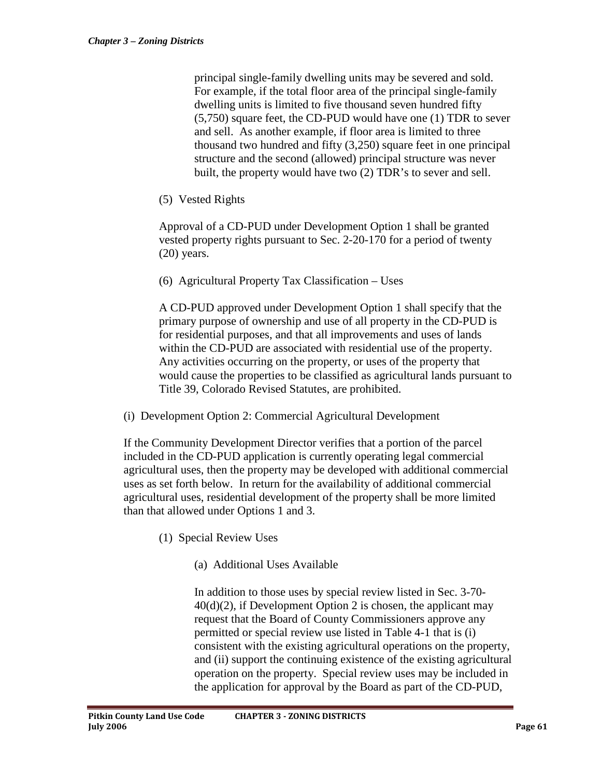principal single-family dwelling units may be severed and sold. For example, if the total floor area of the principal single-family dwelling units is limited to five thousand seven hundred fifty (5,750) square feet, the CD-PUD would have one (1) TDR to sever and sell. As another example, if floor area is limited to three thousand two hundred and fifty (3,250) square feet in one principal structure and the second (allowed) principal structure was never built, the property would have two (2) TDR's to sever and sell.

(5) Vested Rights

Approval of a CD-PUD under Development Option 1 shall be granted vested property rights pursuant to Sec. 2-20-170 for a period of twenty (20) years.

(6) Agricultural Property Tax Classification – Uses

A CD-PUD approved under Development Option 1 shall specify that the primary purpose of ownership and use of all property in the CD-PUD is for residential purposes, and that all improvements and uses of lands within the CD-PUD are associated with residential use of the property. Any activities occurring on the property, or uses of the property that would cause the properties to be classified as agricultural lands pursuant to Title 39, Colorado Revised Statutes, are prohibited.

(i) Development Option 2: Commercial Agricultural Development

If the Community Development Director verifies that a portion of the parcel included in the CD-PUD application is currently operating legal commercial agricultural uses, then the property may be developed with additional commercial uses as set forth below. In return for the availability of additional commercial agricultural uses, residential development of the property shall be more limited than that allowed under Options 1 and 3.

- (1) Special Review Uses
	- (a) Additional Uses Available

In addition to those uses by special review listed in Sec. 3-70-  $40(d)(2)$ , if Development Option 2 is chosen, the applicant may request that the Board of County Commissioners approve any permitted or special review use listed in Table 4-1 that is (i) consistent with the existing agricultural operations on the property, and (ii) support the continuing existence of the existing agricultural operation on the property. Special review uses may be included in the application for approval by the Board as part of the CD-PUD,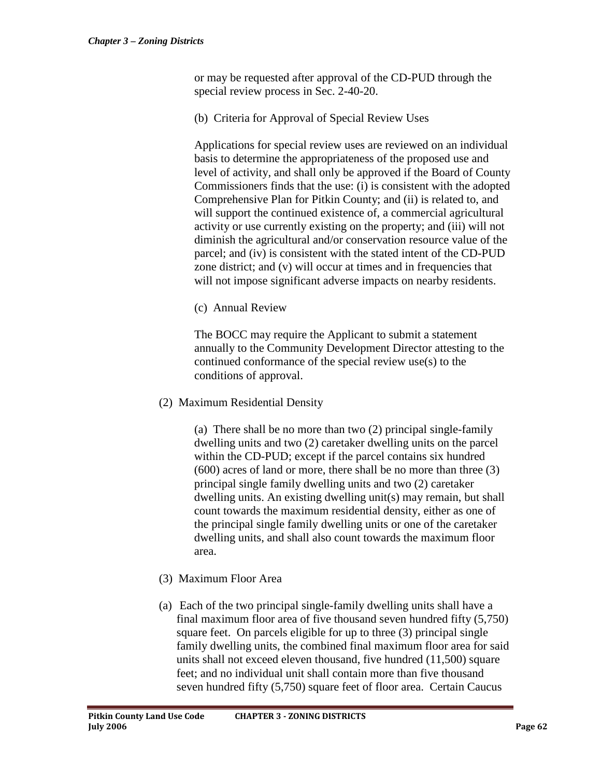or may be requested after approval of the CD-PUD through the special review process in Sec. 2-40-20.

(b) Criteria for Approval of Special Review Uses

Applications for special review uses are reviewed on an individual basis to determine the appropriateness of the proposed use and level of activity, and shall only be approved if the Board of County Commissioners finds that the use: (i) is consistent with the adopted Comprehensive Plan for Pitkin County; and (ii) is related to, and will support the continued existence of, a commercial agricultural activity or use currently existing on the property; and (iii) will not diminish the agricultural and/or conservation resource value of the parcel; and (iv) is consistent with the stated intent of the CD-PUD zone district; and (v) will occur at times and in frequencies that will not impose significant adverse impacts on nearby residents.

(c) Annual Review

The BOCC may require the Applicant to submit a statement annually to the Community Development Director attesting to the continued conformance of the special review use(s) to the conditions of approval.

(2) Maximum Residential Density

(a) There shall be no more than two (2) principal single-family dwelling units and two (2) caretaker dwelling units on the parcel within the CD-PUD; except if the parcel contains six hundred (600) acres of land or more, there shall be no more than three (3) principal single family dwelling units and two (2) caretaker dwelling units. An existing dwelling unit(s) may remain, but shall count towards the maximum residential density, either as one of the principal single family dwelling units or one of the caretaker dwelling units, and shall also count towards the maximum floor area.

- (3) Maximum Floor Area
- (a) Each of the two principal single-family dwelling units shall have a final maximum floor area of five thousand seven hundred fifty (5,750) square feet. On parcels eligible for up to three (3) principal single family dwelling units, the combined final maximum floor area for said units shall not exceed eleven thousand, five hundred (11,500) square feet; and no individual unit shall contain more than five thousand seven hundred fifty (5,750) square feet of floor area. Certain Caucus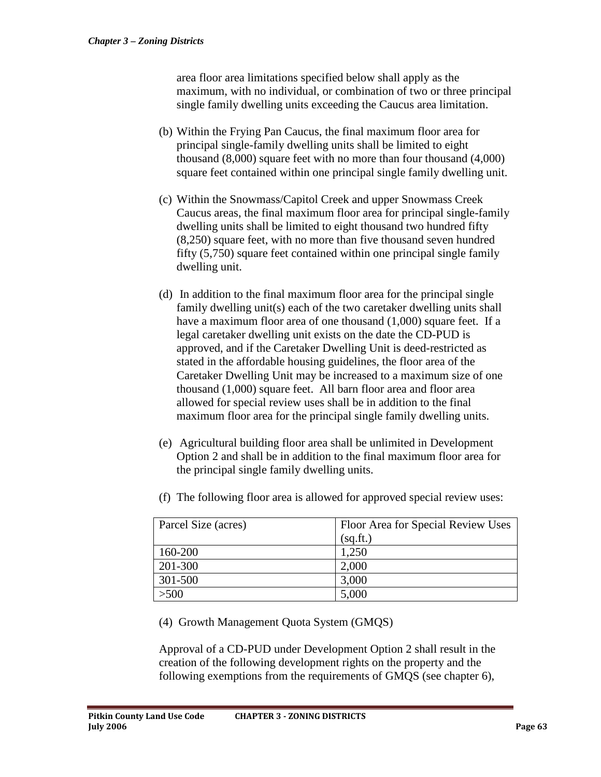area floor area limitations specified below shall apply as the maximum, with no individual, or combination of two or three principal single family dwelling units exceeding the Caucus area limitation.

- (b) Within the Frying Pan Caucus, the final maximum floor area for principal single-family dwelling units shall be limited to eight thousand (8,000) square feet with no more than four thousand (4,000) square feet contained within one principal single family dwelling unit.
- (c) Within the Snowmass/Capitol Creek and upper Snowmass Creek Caucus areas, the final maximum floor area for principal single-family dwelling units shall be limited to eight thousand two hundred fifty (8,250) square feet, with no more than five thousand seven hundred fifty (5,750) square feet contained within one principal single family dwelling unit.
- (d) In addition to the final maximum floor area for the principal single family dwelling unit(s) each of the two caretaker dwelling units shall have a maximum floor area of one thousand  $(1,000)$  square feet. If a legal caretaker dwelling unit exists on the date the CD-PUD is approved, and if the Caretaker Dwelling Unit is deed-restricted as stated in the affordable housing guidelines, the floor area of the Caretaker Dwelling Unit may be increased to a maximum size of one thousand (1,000) square feet. All barn floor area and floor area allowed for special review uses shall be in addition to the final maximum floor area for the principal single family dwelling units.
- (e) Agricultural building floor area shall be unlimited in Development Option 2 and shall be in addition to the final maximum floor area for the principal single family dwelling units.

| Parcel Size (acres) | Floor Area for Special Review Uses |
|---------------------|------------------------------------|
|                     | (sq.fr.)                           |
| 160-200             | 1,250                              |
| 201-300             | 2,000                              |
| 301-500             | 3,000                              |
| $>500$              | 5,000                              |

(f) The following floor area is allowed for approved special review uses:

(4) Growth Management Quota System (GMQS)

Approval of a CD-PUD under Development Option 2 shall result in the creation of the following development rights on the property and the following exemptions from the requirements of GMQS (see chapter 6),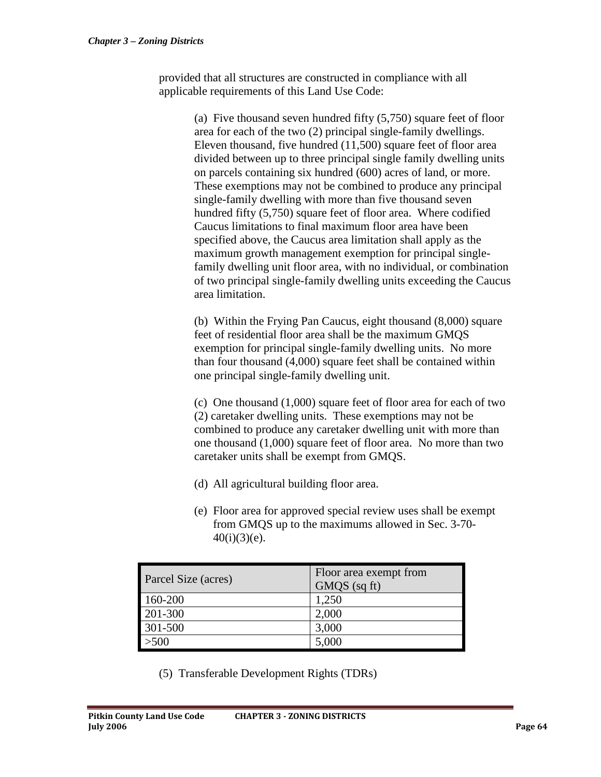provided that all structures are constructed in compliance with all applicable requirements of this Land Use Code:

> (a) Five thousand seven hundred fifty (5,750) square feet of floor area for each of the two (2) principal single-family dwellings. Eleven thousand, five hundred (11,500) square feet of floor area divided between up to three principal single family dwelling units on parcels containing six hundred (600) acres of land, or more. These exemptions may not be combined to produce any principal single-family dwelling with more than five thousand seven hundred fifty (5,750) square feet of floor area. Where codified Caucus limitations to final maximum floor area have been specified above, the Caucus area limitation shall apply as the maximum growth management exemption for principal singlefamily dwelling unit floor area, with no individual, or combination of two principal single-family dwelling units exceeding the Caucus area limitation.

(b) Within the Frying Pan Caucus, eight thousand (8,000) square feet of residential floor area shall be the maximum GMQS exemption for principal single-family dwelling units. No more than four thousand (4,000) square feet shall be contained within one principal single-family dwelling unit.

(c) One thousand (1,000) square feet of floor area for each of two (2) caretaker dwelling units. These exemptions may not be combined to produce any caretaker dwelling unit with more than one thousand (1,000) square feet of floor area. No more than two caretaker units shall be exempt from GMQS.

- (d) All agricultural building floor area.
- (e) Floor area for approved special review uses shall be exempt from GMQS up to the maximums allowed in Sec. 3-70-  $40(i)(3)(e)$ .

| Parcel Size (acres) | Floor area exempt from<br>GMQS (sq ft) |
|---------------------|----------------------------------------|
| 160-200             | 1,250                                  |
| 201-300             | 2,000                                  |
| 301-500             | 3,000                                  |
| >500                | 5,000                                  |

(5) Transferable Development Rights (TDRs)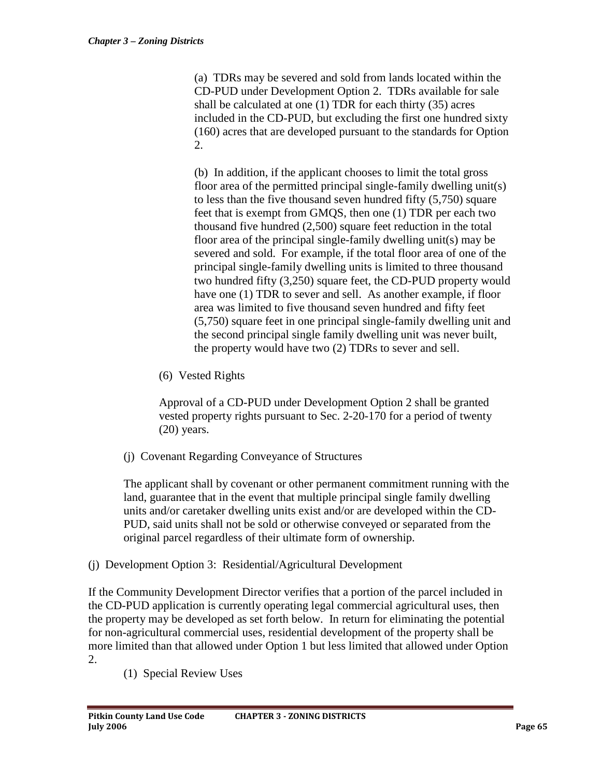(a) TDRs may be severed and sold from lands located within the CD-PUD under Development Option 2. TDRs available for sale shall be calculated at one (1) TDR for each thirty (35) acres included in the CD-PUD, but excluding the first one hundred sixty (160) acres that are developed pursuant to the standards for Option 2.

(b) In addition, if the applicant chooses to limit the total gross floor area of the permitted principal single-family dwelling unit(s) to less than the five thousand seven hundred fifty (5,750) square feet that is exempt from GMQS, then one (1) TDR per each two thousand five hundred (2,500) square feet reduction in the total floor area of the principal single-family dwelling unit(s) may be severed and sold. For example, if the total floor area of one of the principal single-family dwelling units is limited to three thousand two hundred fifty (3,250) square feet, the CD-PUD property would have one (1) TDR to sever and sell. As another example, if floor area was limited to five thousand seven hundred and fifty feet (5,750) square feet in one principal single-family dwelling unit and the second principal single family dwelling unit was never built, the property would have two (2) TDRs to sever and sell.

(6) Vested Rights

Approval of a CD-PUD under Development Option 2 shall be granted vested property rights pursuant to Sec. 2-20-170 for a period of twenty (20) years.

(j) Covenant Regarding Conveyance of Structures

The applicant shall by covenant or other permanent commitment running with the land, guarantee that in the event that multiple principal single family dwelling units and/or caretaker dwelling units exist and/or are developed within the CD-PUD, said units shall not be sold or otherwise conveyed or separated from the original parcel regardless of their ultimate form of ownership.

(j) Development Option 3: Residential/Agricultural Development

If the Community Development Director verifies that a portion of the parcel included in the CD-PUD application is currently operating legal commercial agricultural uses, then the property may be developed as set forth below. In return for eliminating the potential for non-agricultural commercial uses, residential development of the property shall be more limited than that allowed under Option 1 but less limited that allowed under Option 2.

(1) Special Review Uses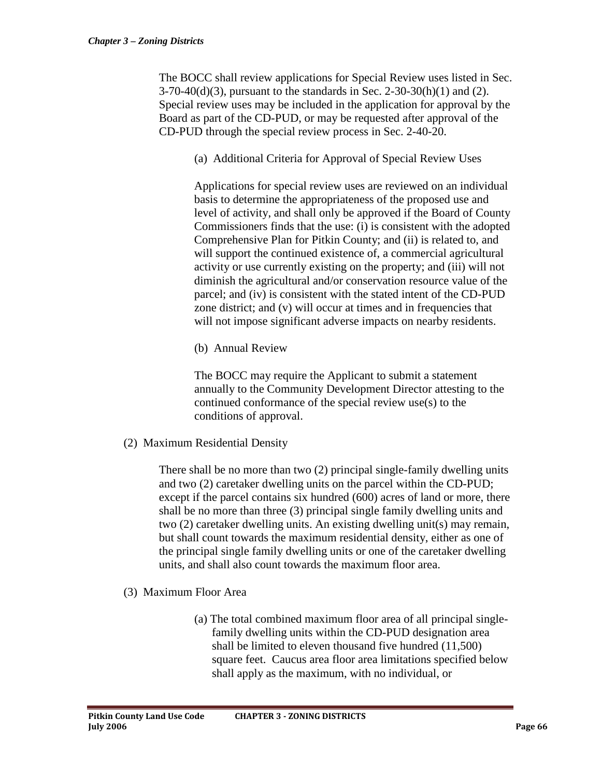The BOCC shall review applications for Special Review uses listed in Sec.  $3-70-40(d)(3)$ , pursuant to the standards in Sec.  $2-30-30(h)(1)$  and (2). Special review uses may be included in the application for approval by the Board as part of the CD-PUD, or may be requested after approval of the CD-PUD through the special review process in Sec. 2-40-20.

(a) Additional Criteria for Approval of Special Review Uses

Applications for special review uses are reviewed on an individual basis to determine the appropriateness of the proposed use and level of activity, and shall only be approved if the Board of County Commissioners finds that the use: (i) is consistent with the adopted Comprehensive Plan for Pitkin County; and (ii) is related to, and will support the continued existence of, a commercial agricultural activity or use currently existing on the property; and (iii) will not diminish the agricultural and/or conservation resource value of the parcel; and (iv) is consistent with the stated intent of the CD-PUD zone district; and (v) will occur at times and in frequencies that will not impose significant adverse impacts on nearby residents.

(b) Annual Review

The BOCC may require the Applicant to submit a statement annually to the Community Development Director attesting to the continued conformance of the special review use(s) to the conditions of approval.

(2) Maximum Residential Density

There shall be no more than two (2) principal single-family dwelling units and two (2) caretaker dwelling units on the parcel within the CD-PUD; except if the parcel contains six hundred (600) acres of land or more, there shall be no more than three (3) principal single family dwelling units and two (2) caretaker dwelling units. An existing dwelling unit(s) may remain, but shall count towards the maximum residential density, either as one of the principal single family dwelling units or one of the caretaker dwelling units, and shall also count towards the maximum floor area.

- (3) Maximum Floor Area
	- (a) The total combined maximum floor area of all principal singlefamily dwelling units within the CD-PUD designation area shall be limited to eleven thousand five hundred (11,500) square feet. Caucus area floor area limitations specified below shall apply as the maximum, with no individual, or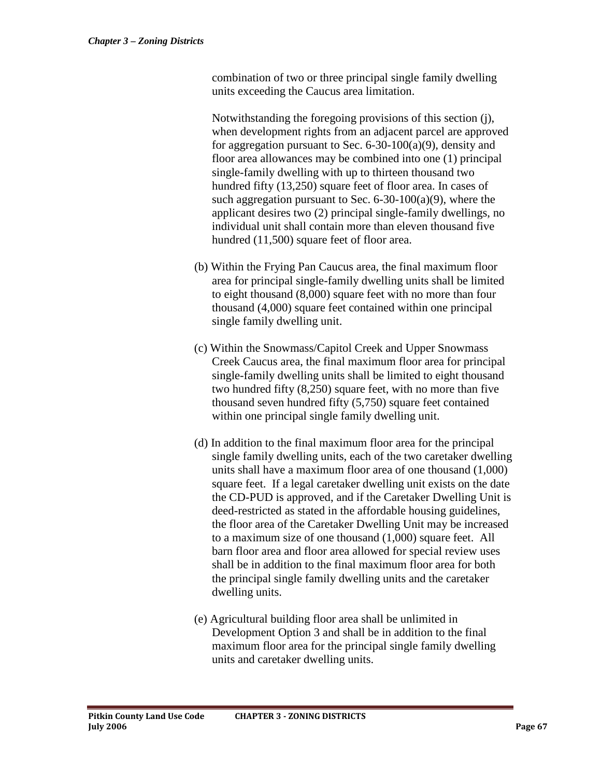combination of two or three principal single family dwelling units exceeding the Caucus area limitation.

Notwithstanding the foregoing provisions of this section (j), when development rights from an adjacent parcel are approved for aggregation pursuant to Sec. 6-30-100(a)(9), density and floor area allowances may be combined into one (1) principal single-family dwelling with up to thirteen thousand two hundred fifty (13,250) square feet of floor area. In cases of such aggregation pursuant to Sec.  $6-30-100(a)(9)$ , where the applicant desires two (2) principal single-family dwellings, no individual unit shall contain more than eleven thousand five hundred (11,500) square feet of floor area.

- (b) Within the Frying Pan Caucus area, the final maximum floor area for principal single-family dwelling units shall be limited to eight thousand (8,000) square feet with no more than four thousand (4,000) square feet contained within one principal single family dwelling unit.
- (c) Within the Snowmass/Capitol Creek and Upper Snowmass Creek Caucus area, the final maximum floor area for principal single-family dwelling units shall be limited to eight thousand two hundred fifty (8,250) square feet, with no more than five thousand seven hundred fifty (5,750) square feet contained within one principal single family dwelling unit.
- (d) In addition to the final maximum floor area for the principal single family dwelling units, each of the two caretaker dwelling units shall have a maximum floor area of one thousand (1,000) square feet. If a legal caretaker dwelling unit exists on the date the CD-PUD is approved, and if the Caretaker Dwelling Unit is deed-restricted as stated in the affordable housing guidelines, the floor area of the Caretaker Dwelling Unit may be increased to a maximum size of one thousand (1,000) square feet. All barn floor area and floor area allowed for special review uses shall be in addition to the final maximum floor area for both the principal single family dwelling units and the caretaker dwelling units.
- (e) Agricultural building floor area shall be unlimited in Development Option 3 and shall be in addition to the final maximum floor area for the principal single family dwelling units and caretaker dwelling units.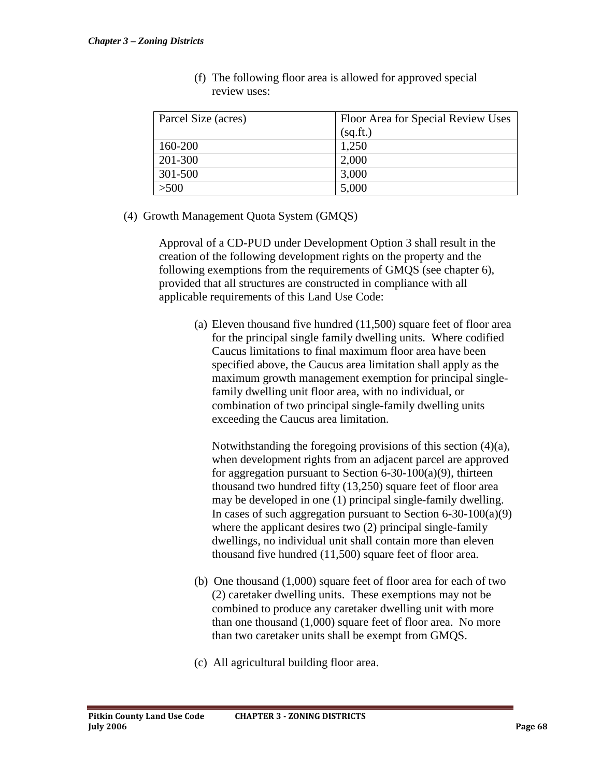(f) The following floor area is allowed for approved special review uses:

| Parcel Size (acres) | Floor Area for Special Review Uses |
|---------------------|------------------------------------|
|                     | (sq.fr.)                           |
| 160-200             | 1,250                              |
| 201-300             | 2,000                              |
| 301-500             | 3,000                              |
| >500                | 5,000                              |

### (4) Growth Management Quota System (GMQS)

Approval of a CD-PUD under Development Option 3 shall result in the creation of the following development rights on the property and the following exemptions from the requirements of GMQS (see chapter 6), provided that all structures are constructed in compliance with all applicable requirements of this Land Use Code:

> (a) Eleven thousand five hundred (11,500) square feet of floor area for the principal single family dwelling units. Where codified Caucus limitations to final maximum floor area have been specified above, the Caucus area limitation shall apply as the maximum growth management exemption for principal singlefamily dwelling unit floor area, with no individual, or combination of two principal single-family dwelling units exceeding the Caucus area limitation.

Notwithstanding the foregoing provisions of this section (4)(a), when development rights from an adjacent parcel are approved for aggregation pursuant to Section  $6-30-100(a)(9)$ , thirteen thousand two hundred fifty (13,250) square feet of floor area may be developed in one (1) principal single-family dwelling. In cases of such aggregation pursuant to Section  $6-30-100(a)(9)$ where the applicant desires two  $(2)$  principal single-family dwellings, no individual unit shall contain more than eleven thousand five hundred (11,500) square feet of floor area.

- (b) One thousand (1,000) square feet of floor area for each of two (2) caretaker dwelling units. These exemptions may not be combined to produce any caretaker dwelling unit with more than one thousand (1,000) square feet of floor area. No more than two caretaker units shall be exempt from GMQS.
- (c) All agricultural building floor area.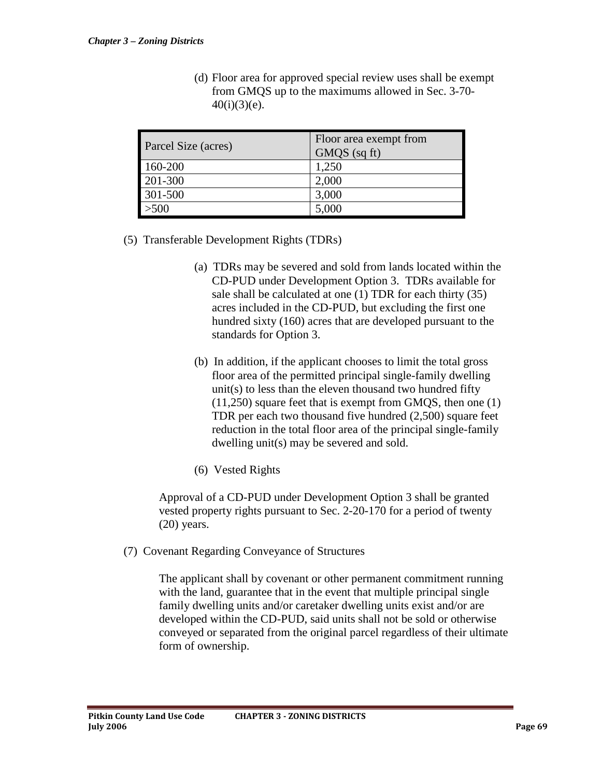(d) Floor area for approved special review uses shall be exempt from GMQS up to the maximums allowed in Sec. 3-70-  $40(i)(3)(e)$ .

| Parcel Size (acres) | Floor area exempt from<br>GMQS (sq ft) |
|---------------------|----------------------------------------|
| 160-200             | 1,250                                  |
| 201-300             | 2,000                                  |
| 301-500             | 3,000                                  |
| $>500$              | 5,000                                  |

(5) Transferable Development Rights (TDRs)

- (a) TDRs may be severed and sold from lands located within the CD-PUD under Development Option 3. TDRs available for sale shall be calculated at one (1) TDR for each thirty (35) acres included in the CD-PUD, but excluding the first one hundred sixty (160) acres that are developed pursuant to the standards for Option 3.
- (b) In addition, if the applicant chooses to limit the total gross floor area of the permitted principal single-family dwelling unit(s) to less than the eleven thousand two hundred fifty (11,250) square feet that is exempt from GMQS, then one (1) TDR per each two thousand five hundred (2,500) square feet reduction in the total floor area of the principal single-family dwelling unit(s) may be severed and sold.
- (6) Vested Rights

Approval of a CD-PUD under Development Option 3 shall be granted vested property rights pursuant to Sec. 2-20-170 for a period of twenty (20) years.

(7) Covenant Regarding Conveyance of Structures

The applicant shall by covenant or other permanent commitment running with the land, guarantee that in the event that multiple principal single family dwelling units and/or caretaker dwelling units exist and/or are developed within the CD-PUD, said units shall not be sold or otherwise conveyed or separated from the original parcel regardless of their ultimate form of ownership.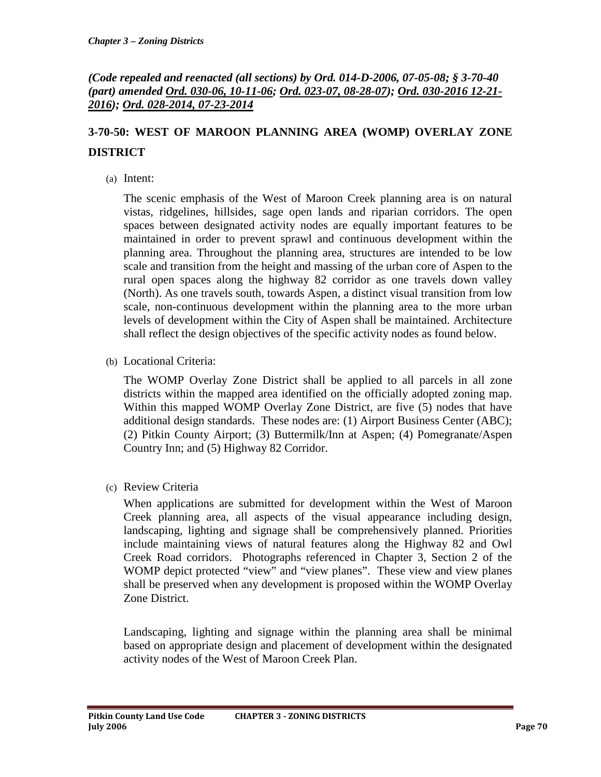## *(Code repealed and reenacted (all sections) by Ord. 014-D-2006, 07-05-08; § 3-70-40 (part) amended [Ord. 030-06, 10-11-06;](http://pitkincounty.com/DocumentCenter/View/8290) [Ord. 023-07, 08-28-07\)](http://pitkincounty.com/DocumentCenter/View/8249); [Ord. 030-2016 12-21-](http://pitkincounty.com/DocumentCenter/View/12806) [2016\)](http://pitkincounty.com/DocumentCenter/View/12806); [Ord. 028-2014, 07-23-2014](http://pitkincounty.com/DocumentCenter/View/12803)*

# **3-70-50: WEST OF MAROON PLANNING AREA (WOMP) OVERLAY ZONE DISTRICT**

(a) Intent:

The scenic emphasis of the West of Maroon Creek planning area is on natural vistas, ridgelines, hillsides, sage open lands and riparian corridors. The open spaces between designated activity nodes are equally important features to be maintained in order to prevent sprawl and continuous development within the planning area. Throughout the planning area, structures are intended to be low scale and transition from the height and massing of the urban core of Aspen to the rural open spaces along the highway 82 corridor as one travels down valley (North). As one travels south, towards Aspen, a distinct visual transition from low scale, non-continuous development within the planning area to the more urban levels of development within the City of Aspen shall be maintained. Architecture shall reflect the design objectives of the specific activity nodes as found below.

(b) Locational Criteria:

The WOMP Overlay Zone District shall be applied to all parcels in all zone districts within the mapped area identified on the officially adopted zoning map. Within this mapped WOMP Overlay Zone District, are five (5) nodes that have additional design standards. These nodes are: (1) Airport Business Center (ABC); (2) Pitkin County Airport; (3) Buttermilk/Inn at Aspen; (4) Pomegranate/Aspen Country Inn; and (5) Highway 82 Corridor.

(c) Review Criteria

When applications are submitted for development within the West of Maroon Creek planning area, all aspects of the visual appearance including design, landscaping, lighting and signage shall be comprehensively planned. Priorities include maintaining views of natural features along the Highway 82 and Owl Creek Road corridors. Photographs referenced in Chapter 3, Section 2 of the WOMP depict protected "view" and "view planes". These view and view planes shall be preserved when any development is proposed within the WOMP Overlay Zone District.

Landscaping, lighting and signage within the planning area shall be minimal based on appropriate design and placement of development within the designated activity nodes of the West of Maroon Creek Plan.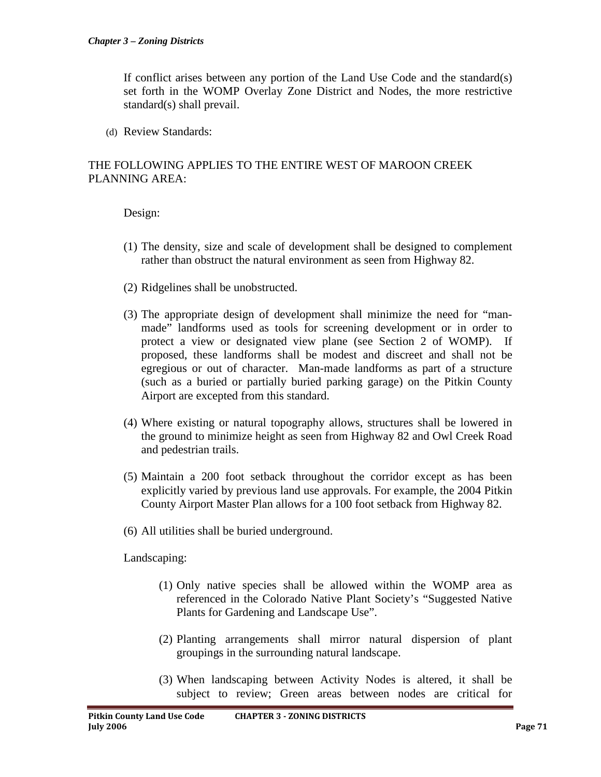If conflict arises between any portion of the Land Use Code and the standard(s) set forth in the WOMP Overlay Zone District and Nodes, the more restrictive standard(s) shall prevail.

(d) Review Standards:

### THE FOLLOWING APPLIES TO THE ENTIRE WEST OF MAROON CREEK PLANNING AREA:

Design:

- (1) The density, size and scale of development shall be designed to complement rather than obstruct the natural environment as seen from Highway 82.
- (2) Ridgelines shall be unobstructed.
- (3) The appropriate design of development shall minimize the need for "manmade" landforms used as tools for screening development or in order to protect a view or designated view plane (see Section 2 of WOMP). If proposed, these landforms shall be modest and discreet and shall not be egregious or out of character. Man-made landforms as part of a structure (such as a buried or partially buried parking garage) on the Pitkin County Airport are excepted from this standard.
- (4) Where existing or natural topography allows, structures shall be lowered in the ground to minimize height as seen from Highway 82 and Owl Creek Road and pedestrian trails.
- (5) Maintain a 200 foot setback throughout the corridor except as has been explicitly varied by previous land use approvals. For example, the 2004 Pitkin County Airport Master Plan allows for a 100 foot setback from Highway 82.
- (6) All utilities shall be buried underground.

Landscaping:

- (1) Only native species shall be allowed within the WOMP area as referenced in the Colorado Native Plant Society's "Suggested Native Plants for Gardening and Landscape Use".
- (2) Planting arrangements shall mirror natural dispersion of plant groupings in the surrounding natural landscape.
- (3) When landscaping between Activity Nodes is altered, it shall be subject to review; Green areas between nodes are critical for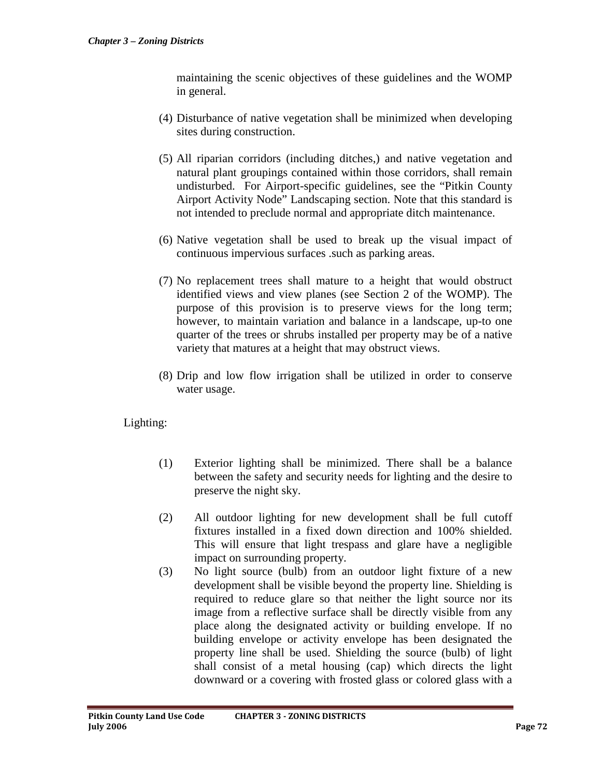maintaining the scenic objectives of these guidelines and the WOMP in general.

- (4) Disturbance of native vegetation shall be minimized when developing sites during construction.
- (5) All riparian corridors (including ditches,) and native vegetation and natural plant groupings contained within those corridors, shall remain undisturbed. For Airport-specific guidelines, see the "Pitkin County Airport Activity Node" Landscaping section. Note that this standard is not intended to preclude normal and appropriate ditch maintenance.
- (6) Native vegetation shall be used to break up the visual impact of continuous impervious surfaces .such as parking areas.
- (7) No replacement trees shall mature to a height that would obstruct identified views and view planes (see Section 2 of the WOMP). The purpose of this provision is to preserve views for the long term; however, to maintain variation and balance in a landscape, up-to one quarter of the trees or shrubs installed per property may be of a native variety that matures at a height that may obstruct views.
- (8) Drip and low flow irrigation shall be utilized in order to conserve water usage.

# Lighting:

- (1) Exterior lighting shall be minimized. There shall be a balance between the safety and security needs for lighting and the desire to preserve the night sky.
- (2) All outdoor lighting for new development shall be full cutoff fixtures installed in a fixed down direction and 100% shielded. This will ensure that light trespass and glare have a negligible impact on surrounding property.
- (3) No light source (bulb) from an outdoor light fixture of a new development shall be visible beyond the property line. Shielding is required to reduce glare so that neither the light source nor its image from a reflective surface shall be directly visible from any place along the designated activity or building envelope. If no building envelope or activity envelope has been designated the property line shall be used. Shielding the source (bulb) of light shall consist of a metal housing (cap) which directs the light downward or a covering with frosted glass or colored glass with a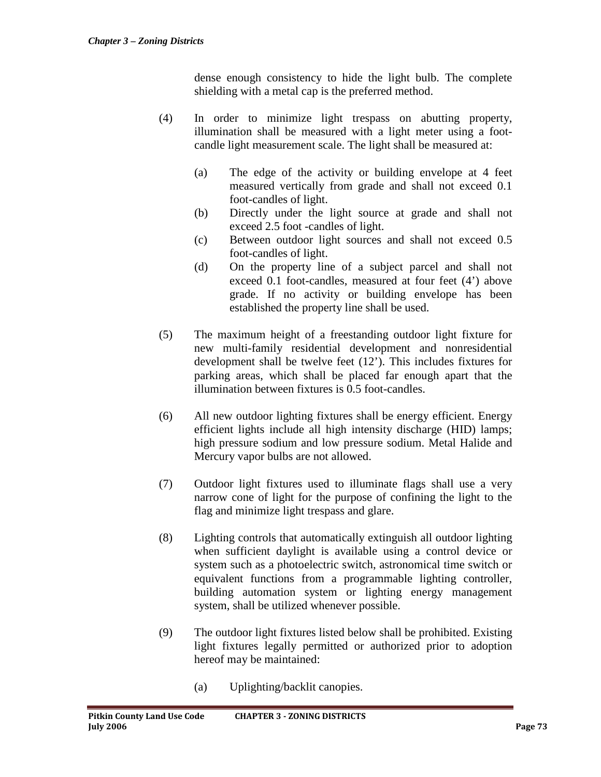dense enough consistency to hide the light bulb. The complete shielding with a metal cap is the preferred method.

- (4) In order to minimize light trespass on abutting property, illumination shall be measured with a light meter using a footcandle light measurement scale. The light shall be measured at:
	- (a) The edge of the activity or building envelope at 4 feet measured vertically from grade and shall not exceed 0.1 foot-candles of light.
	- (b) Directly under the light source at grade and shall not exceed 2.5 foot -candles of light.
	- (c) Between outdoor light sources and shall not exceed 0.5 foot-candles of light.
	- (d) On the property line of a subject parcel and shall not exceed 0.1 foot-candles, measured at four feet (4') above grade. If no activity or building envelope has been established the property line shall be used.
- (5) The maximum height of a freestanding outdoor light fixture for new multi-family residential development and nonresidential development shall be twelve feet (12'). This includes fixtures for parking areas, which shall be placed far enough apart that the illumination between fixtures is 0.5 foot-candles.
- (6) All new outdoor lighting fixtures shall be energy efficient. Energy efficient lights include all high intensity discharge (HID) lamps; high pressure sodium and low pressure sodium. Metal Halide and Mercury vapor bulbs are not allowed.
- (7) Outdoor light fixtures used to illuminate flags shall use a very narrow cone of light for the purpose of confining the light to the flag and minimize light trespass and glare.
- (8) Lighting controls that automatically extinguish all outdoor lighting when sufficient daylight is available using a control device or system such as a photoelectric switch, astronomical time switch or equivalent functions from a programmable lighting controller, building automation system or lighting energy management system, shall be utilized whenever possible.
- (9) The outdoor light fixtures listed below shall be prohibited. Existing light fixtures legally permitted or authorized prior to adoption hereof may be maintained:
	- (a) Uplighting/backlit canopies.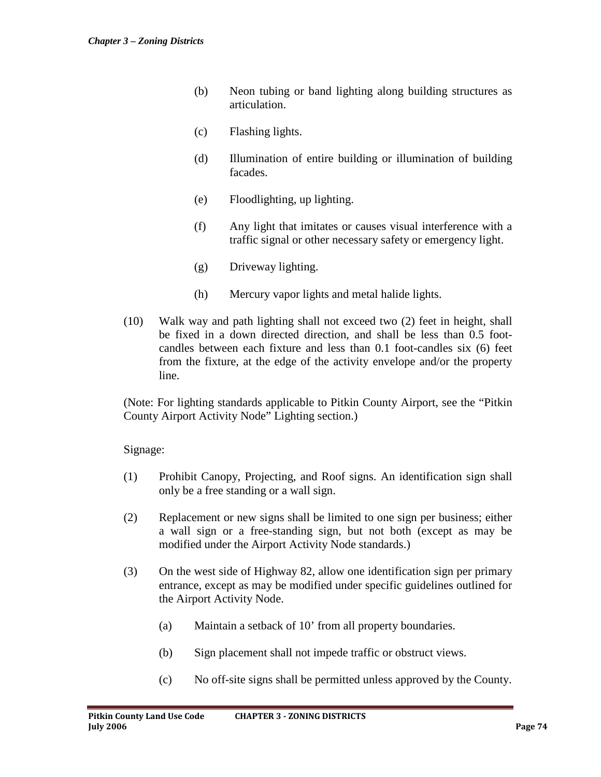- (b) Neon tubing or band lighting along building structures as articulation.
- (c) Flashing lights.
- (d) Illumination of entire building or illumination of building facades.
- (e) Floodlighting, up lighting.
- (f) Any light that imitates or causes visual interference with a traffic signal or other necessary safety or emergency light.
- (g) Driveway lighting.
- (h) Mercury vapor lights and metal halide lights.
- (10) Walk way and path lighting shall not exceed two (2) feet in height, shall be fixed in a down directed direction, and shall be less than 0.5 footcandles between each fixture and less than 0.1 foot-candles six (6) feet from the fixture, at the edge of the activity envelope and/or the property line.

(Note: For lighting standards applicable to Pitkin County Airport, see the "Pitkin County Airport Activity Node" Lighting section.)

Signage:

- (1) Prohibit Canopy, Projecting, and Roof signs. An identification sign shall only be a free standing or a wall sign.
- (2) Replacement or new signs shall be limited to one sign per business; either a wall sign or a free-standing sign, but not both (except as may be modified under the Airport Activity Node standards.)
- (3) On the west side of Highway 82, allow one identification sign per primary entrance, except as may be modified under specific guidelines outlined for the Airport Activity Node.
	- (a) Maintain a setback of 10' from all property boundaries.
	- (b) Sign placement shall not impede traffic or obstruct views.
	- (c) No off-site signs shall be permitted unless approved by the County.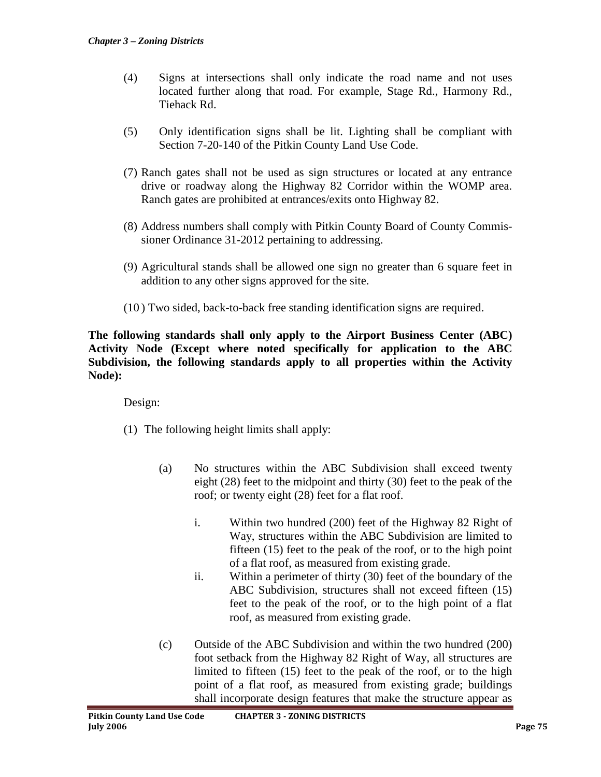- (4) Signs at intersections shall only indicate the road name and not uses located further along that road. For example, Stage Rd., Harmony Rd., Tiehack Rd.
- (5) Only identification signs shall be lit. Lighting shall be compliant with Section 7-20-140 of the Pitkin County Land Use Code.
- (7) Ranch gates shall not be used as sign structures or located at any entrance drive or roadway along the Highway 82 Corridor within the WOMP area. Ranch gates are prohibited at entrances/exits onto Highway 82.
- (8) Address numbers shall comply with Pitkin County Board of County Commissioner Ordinance 31-2012 pertaining to addressing.
- (9) Agricultural stands shall be allowed one sign no greater than 6 square feet in addition to any other signs approved for the site.
- (10 ) Two sided, back-to-back free standing identification signs are required.

**The following standards shall only apply to the Airport Business Center (ABC) Activity Node (Except where noted specifically for application to the ABC Subdivision, the following standards apply to all properties within the Activity Node):**

# Design:

- (1) The following height limits shall apply:
	- (a) No structures within the ABC Subdivision shall exceed twenty eight (28) feet to the midpoint and thirty (30) feet to the peak of the roof; or twenty eight (28) feet for a flat roof.
		- i. Within two hundred (200) feet of the Highway 82 Right of Way, structures within the ABC Subdivision are limited to fifteen (15) feet to the peak of the roof, or to the high point of a flat roof, as measured from existing grade.
		- ii. Within a perimeter of thirty (30) feet of the boundary of the ABC Subdivision, structures shall not exceed fifteen (15) feet to the peak of the roof, or to the high point of a flat roof, as measured from existing grade.
	- (c) Outside of the ABC Subdivision and within the two hundred (200) foot setback from the Highway 82 Right of Way, all structures are limited to fifteen (15) feet to the peak of the roof, or to the high point of a flat roof, as measured from existing grade; buildings shall incorporate design features that make the structure appear as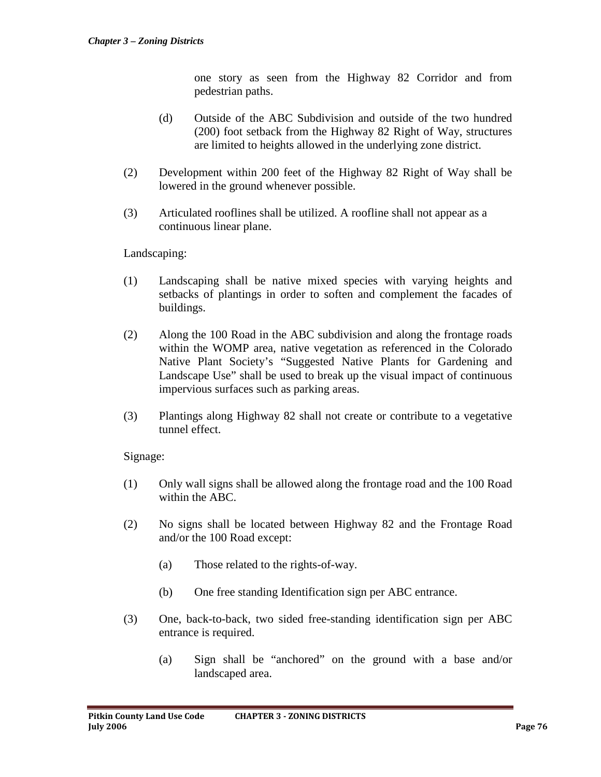one story as seen from the Highway 82 Corridor and from pedestrian paths.

- (d) Outside of the ABC Subdivision and outside of the two hundred (200) foot setback from the Highway 82 Right of Way, structures are limited to heights allowed in the underlying zone district.
- (2) Development within 200 feet of the Highway 82 Right of Way shall be lowered in the ground whenever possible.
- (3) Articulated rooflines shall be utilized. A roofline shall not appear as a continuous linear plane.

Landscaping:

- (1) Landscaping shall be native mixed species with varying heights and setbacks of plantings in order to soften and complement the facades of buildings.
- (2) Along the 100 Road in the ABC subdivision and along the frontage roads within the WOMP area, native vegetation as referenced in the Colorado Native Plant Society's "Suggested Native Plants for Gardening and Landscape Use" shall be used to break up the visual impact of continuous impervious surfaces such as parking areas.
- (3) Plantings along Highway 82 shall not create or contribute to a vegetative tunnel effect.

Signage:

- (1) Only wall signs shall be allowed along the frontage road and the 100 Road within the ABC.
- (2) No signs shall be located between Highway 82 and the Frontage Road and/or the 100 Road except:
	- (a) Those related to the rights-of-way.
	- (b) One free standing Identification sign per ABC entrance.
- (3) One, back-to-back, two sided free-standing identification sign per ABC entrance is required.
	- (a) Sign shall be "anchored" on the ground with a base and/or landscaped area.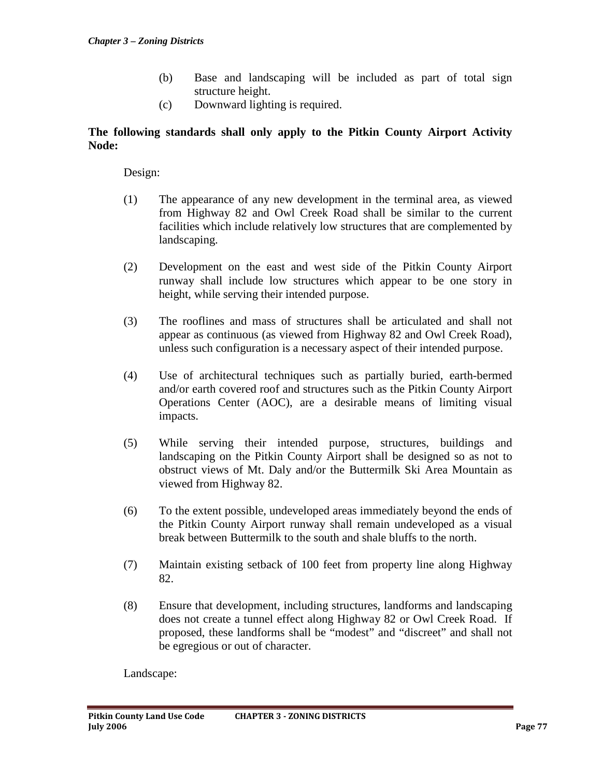- (b) Base and landscaping will be included as part of total sign structure height.
- (c) Downward lighting is required.

# **The following standards shall only apply to the Pitkin County Airport Activity Node:**

Design:

- (1) The appearance of any new development in the terminal area, as viewed from Highway 82 and Owl Creek Road shall be similar to the current facilities which include relatively low structures that are complemented by landscaping.
- (2) Development on the east and west side of the Pitkin County Airport runway shall include low structures which appear to be one story in height, while serving their intended purpose.
- (3) The rooflines and mass of structures shall be articulated and shall not appear as continuous (as viewed from Highway 82 and Owl Creek Road), unless such configuration is a necessary aspect of their intended purpose.
- (4) Use of architectural techniques such as partially buried, earth-bermed and/or earth covered roof and structures such as the Pitkin County Airport Operations Center (AOC), are a desirable means of limiting visual impacts.
- (5) While serving their intended purpose, structures, buildings and landscaping on the Pitkin County Airport shall be designed so as not to obstruct views of Mt. Daly and/or the Buttermilk Ski Area Mountain as viewed from Highway 82.
- (6) To the extent possible, undeveloped areas immediately beyond the ends of the Pitkin County Airport runway shall remain undeveloped as a visual break between Buttermilk to the south and shale bluffs to the north.
- (7) Maintain existing setback of 100 feet from property line along Highway 82.
- (8) Ensure that development, including structures, landforms and landscaping does not create a tunnel effect along Highway 82 or Owl Creek Road. If proposed, these landforms shall be "modest" and "discreet" and shall not be egregious or out of character.

Landscape: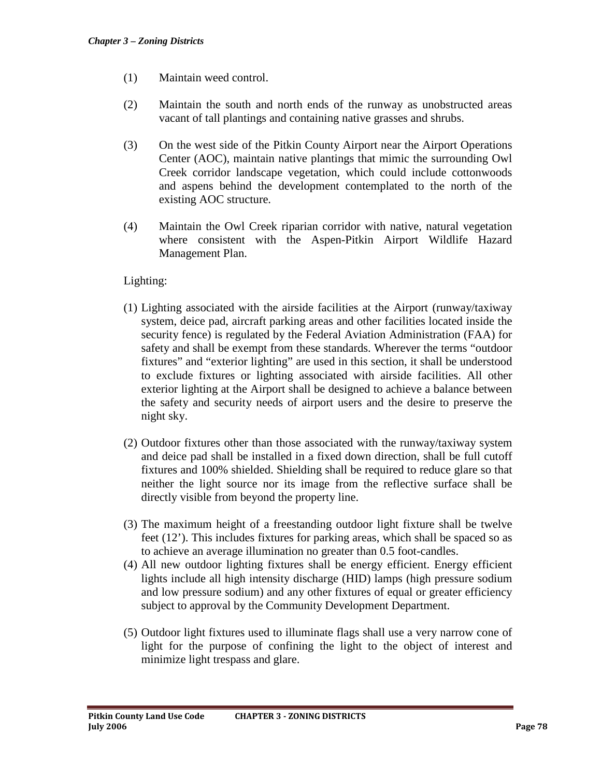- (1) Maintain weed control.
- (2) Maintain the south and north ends of the runway as unobstructed areas vacant of tall plantings and containing native grasses and shrubs.
- (3) On the west side of the Pitkin County Airport near the Airport Operations Center (AOC), maintain native plantings that mimic the surrounding Owl Creek corridor landscape vegetation, which could include cottonwoods and aspens behind the development contemplated to the north of the existing AOC structure.
- (4) Maintain the Owl Creek riparian corridor with native, natural vegetation where consistent with the Aspen-Pitkin Airport Wildlife Hazard Management Plan.

# Lighting:

- (1) Lighting associated with the airside facilities at the Airport (runway/taxiway system, deice pad, aircraft parking areas and other facilities located inside the security fence) is regulated by the Federal Aviation Administration (FAA) for safety and shall be exempt from these standards. Wherever the terms "outdoor fixtures" and "exterior lighting" are used in this section, it shall be understood to exclude fixtures or lighting associated with airside facilities. All other exterior lighting at the Airport shall be designed to achieve a balance between the safety and security needs of airport users and the desire to preserve the night sky.
- (2) Outdoor fixtures other than those associated with the runway/taxiway system and deice pad shall be installed in a fixed down direction, shall be full cutoff fixtures and 100% shielded. Shielding shall be required to reduce glare so that neither the light source nor its image from the reflective surface shall be directly visible from beyond the property line.
- (3) The maximum height of a freestanding outdoor light fixture shall be twelve feet (12'). This includes fixtures for parking areas, which shall be spaced so as to achieve an average illumination no greater than 0.5 foot-candles.
- (4) All new outdoor lighting fixtures shall be energy efficient. Energy efficient lights include all high intensity discharge (HID) lamps (high pressure sodium and low pressure sodium) and any other fixtures of equal or greater efficiency subject to approval by the Community Development Department.
- (5) Outdoor light fixtures used to illuminate flags shall use a very narrow cone of light for the purpose of confining the light to the object of interest and minimize light trespass and glare.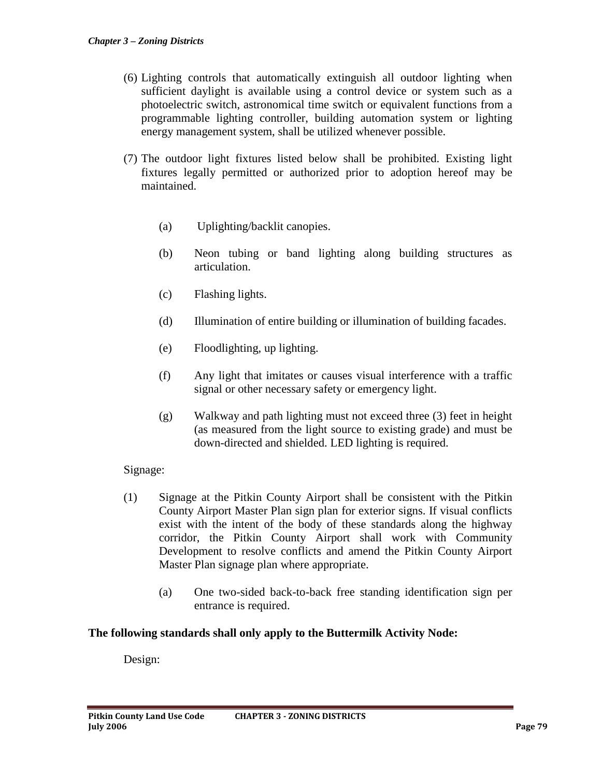- (6) Lighting controls that automatically extinguish all outdoor lighting when sufficient daylight is available using a control device or system such as a photoelectric switch, astronomical time switch or equivalent functions from a programmable lighting controller, building automation system or lighting energy management system, shall be utilized whenever possible.
- (7) The outdoor light fixtures listed below shall be prohibited. Existing light fixtures legally permitted or authorized prior to adoption hereof may be maintained.
	- (a) Uplighting/backlit canopies.
	- (b) Neon tubing or band lighting along building structures as articulation.
	- (c) Flashing lights.
	- (d) Illumination of entire building or illumination of building facades.
	- (e) Floodlighting, up lighting.
	- (f) Any light that imitates or causes visual interference with a traffic signal or other necessary safety or emergency light.
	- (g) Walkway and path lighting must not exceed three (3) feet in height (as measured from the light source to existing grade) and must be down-directed and shielded. LED lighting is required.

Signage:

- (1) Signage at the Pitkin County Airport shall be consistent with the Pitkin County Airport Master Plan sign plan for exterior signs. If visual conflicts exist with the intent of the body of these standards along the highway corridor, the Pitkin County Airport shall work with Community Development to resolve conflicts and amend the Pitkin County Airport Master Plan signage plan where appropriate.
	- (a) One two-sided back-to-back free standing identification sign per entrance is required.

# **The following standards shall only apply to the Buttermilk Activity Node:**

Design: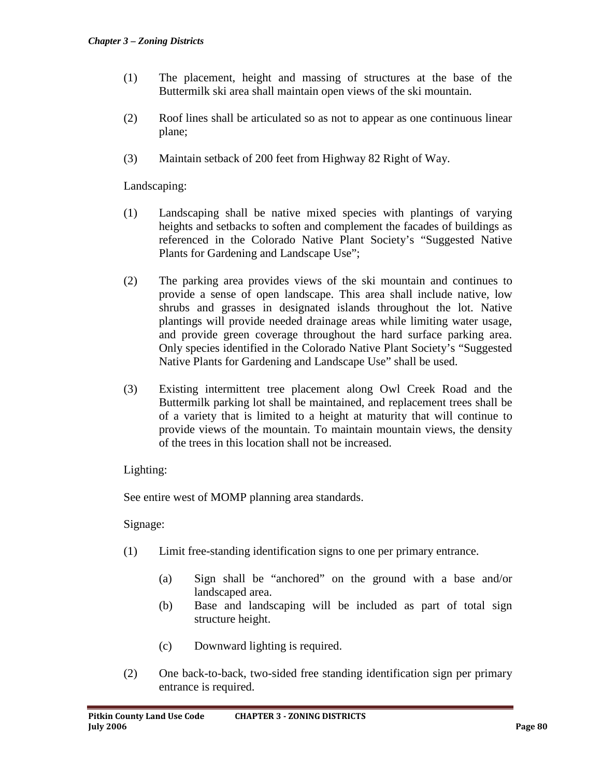- (1) The placement, height and massing of structures at the base of the Buttermilk ski area shall maintain open views of the ski mountain.
- (2) Roof lines shall be articulated so as not to appear as one continuous linear plane;
- (3) Maintain setback of 200 feet from Highway 82 Right of Way.

Landscaping:

- (1) Landscaping shall be native mixed species with plantings of varying heights and setbacks to soften and complement the facades of buildings as referenced in the Colorado Native Plant Society's "Suggested Native Plants for Gardening and Landscape Use";
- (2) The parking area provides views of the ski mountain and continues to provide a sense of open landscape. This area shall include native, low shrubs and grasses in designated islands throughout the lot. Native plantings will provide needed drainage areas while limiting water usage, and provide green coverage throughout the hard surface parking area. Only species identified in the Colorado Native Plant Society's "Suggested Native Plants for Gardening and Landscape Use" shall be used.
- (3) Existing intermittent tree placement along Owl Creek Road and the Buttermilk parking lot shall be maintained, and replacement trees shall be of a variety that is limited to a height at maturity that will continue to provide views of the mountain. To maintain mountain views, the density of the trees in this location shall not be increased.

# Lighting:

See entire west of MOMP planning area standards.

Signage:

- (1) Limit free-standing identification signs to one per primary entrance.
	- (a) Sign shall be "anchored" on the ground with a base and/or landscaped area.
	- (b) Base and landscaping will be included as part of total sign structure height.
	- (c) Downward lighting is required.
- (2) One back-to-back, two-sided free standing identification sign per primary entrance is required.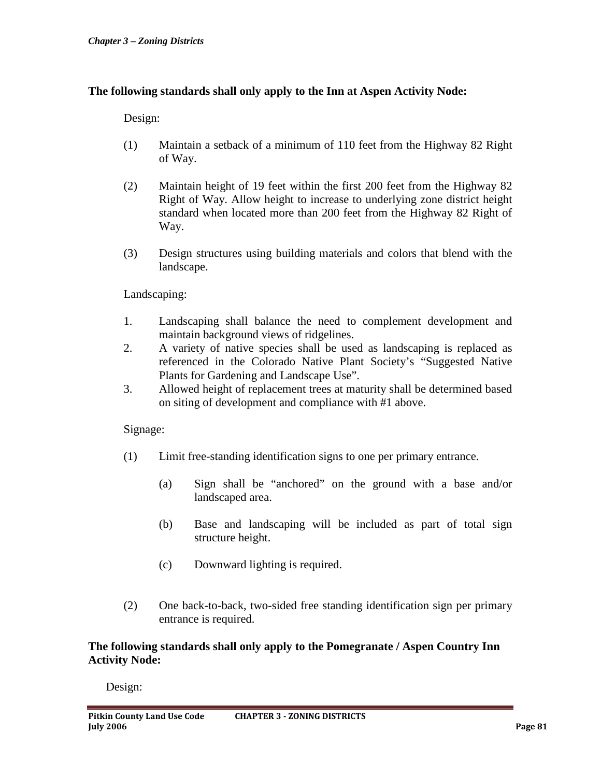# **The following standards shall only apply to the Inn at Aspen Activity Node:**

Design:

- (1) Maintain a setback of a minimum of 110 feet from the Highway 82 Right of Way.
- (2) Maintain height of 19 feet within the first 200 feet from the Highway 82 Right of Way. Allow height to increase to underlying zone district height standard when located more than 200 feet from the Highway 82 Right of Way.
- (3) Design structures using building materials and colors that blend with the landscape.

Landscaping:

- 1. Landscaping shall balance the need to complement development and maintain background views of ridgelines.
- 2. A variety of native species shall be used as landscaping is replaced as referenced in the Colorado Native Plant Society's "Suggested Native Plants for Gardening and Landscape Use".
- 3. Allowed height of replacement trees at maturity shall be determined based on siting of development and compliance with #1 above.

Signage:

- (1) Limit free-standing identification signs to one per primary entrance.
	- (a) Sign shall be "anchored" on the ground with a base and/or landscaped area.
	- (b) Base and landscaping will be included as part of total sign structure height.
	- (c) Downward lighting is required.
- (2) One back-to-back, two-sided free standing identification sign per primary entrance is required.

#### **The following standards shall only apply to the Pomegranate / Aspen Country Inn Activity Node:**

Design: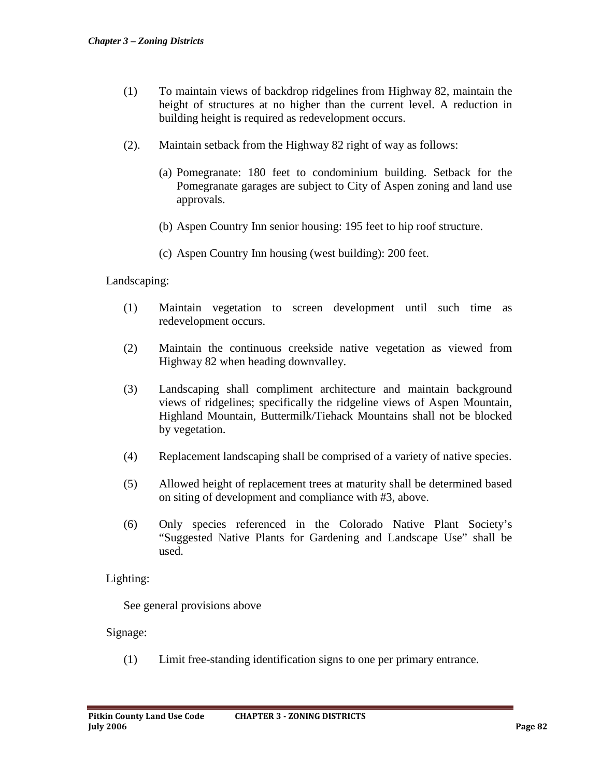- (1) To maintain views of backdrop ridgelines from Highway 82, maintain the height of structures at no higher than the current level. A reduction in building height is required as redevelopment occurs.
- (2). Maintain setback from the Highway 82 right of way as follows:
	- (a) Pomegranate: 180 feet to condominium building. Setback for the Pomegranate garages are subject to City of Aspen zoning and land use approvals.
	- (b) Aspen Country Inn senior housing: 195 feet to hip roof structure.
	- (c) Aspen Country Inn housing (west building): 200 feet.

Landscaping:

- (1) Maintain vegetation to screen development until such time as redevelopment occurs.
- (2) Maintain the continuous creekside native vegetation as viewed from Highway 82 when heading downvalley.
- (3) Landscaping shall compliment architecture and maintain background views of ridgelines; specifically the ridgeline views of Aspen Mountain, Highland Mountain, Buttermilk/Tiehack Mountains shall not be blocked by vegetation.
- (4) Replacement landscaping shall be comprised of a variety of native species.
- (5) Allowed height of replacement trees at maturity shall be determined based on siting of development and compliance with #3, above.
- (6) Only species referenced in the Colorado Native Plant Society's "Suggested Native Plants for Gardening and Landscape Use" shall be used.

Lighting:

See general provisions above

Signage:

(1) Limit free-standing identification signs to one per primary entrance.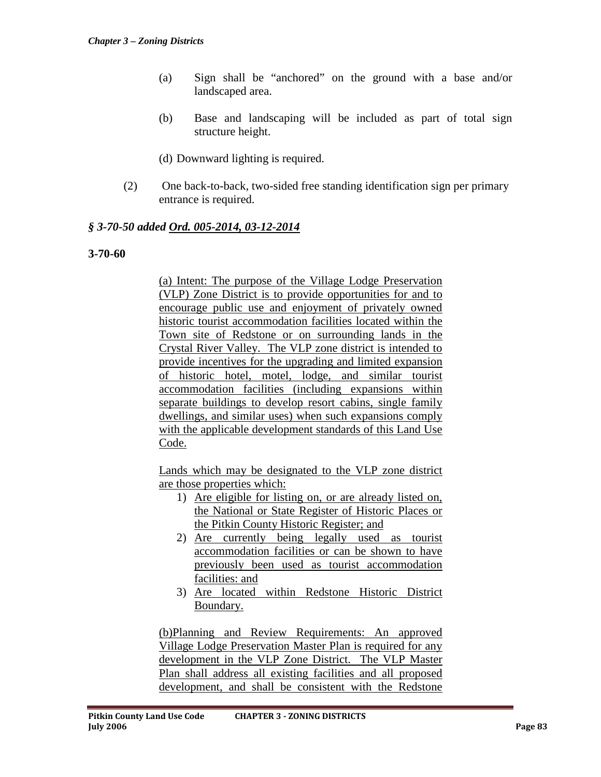- (a) Sign shall be "anchored" on the ground with a base and/or landscaped area.
- (b) Base and landscaping will be included as part of total sign structure height.
- (d) Downward lighting is required.
- (2) One back-to-back, two-sided free standing identification sign per primary entrance is required.

# *§ 3-70-50 added [Ord. 005-2014, 03-12-2014](http://pitkincounty.com/DocumentCenter/View/8284)*

# **3-70-60**

(a) Intent: The purpose of the Village Lodge Preservation (VLP) Zone District is to provide opportunities for and to encourage public use and enjoyment of privately owned historic tourist accommodation facilities located within the Town site of Redstone or on surrounding lands in the Crystal River Valley. The VLP zone district is intended to provide incentives for the upgrading and limited expansion of historic hotel, motel, lodge, and similar tourist accommodation facilities (including expansions within separate buildings to develop resort cabins, single family dwellings, and similar uses) when such expansions comply with the applicable development standards of this Land Use Code.

Lands which may be designated to the VLP zone district are those properties which:

- 1) Are eligible for listing on, or are already listed on, the National or State Register of Historic Places or the Pitkin County Historic Register; and
- 2) Are currently being legally used as tourist accommodation facilities or can be shown to have previously been used as tourist accommodation facilities: and
- 3) Are located within Redstone Historic District Boundary.

(b)Planning and Review Requirements: An approved Village Lodge Preservation Master Plan is required for any development in the VLP Zone District. The VLP Master Plan shall address all existing facilities and all proposed development, and shall be consistent with the Redstone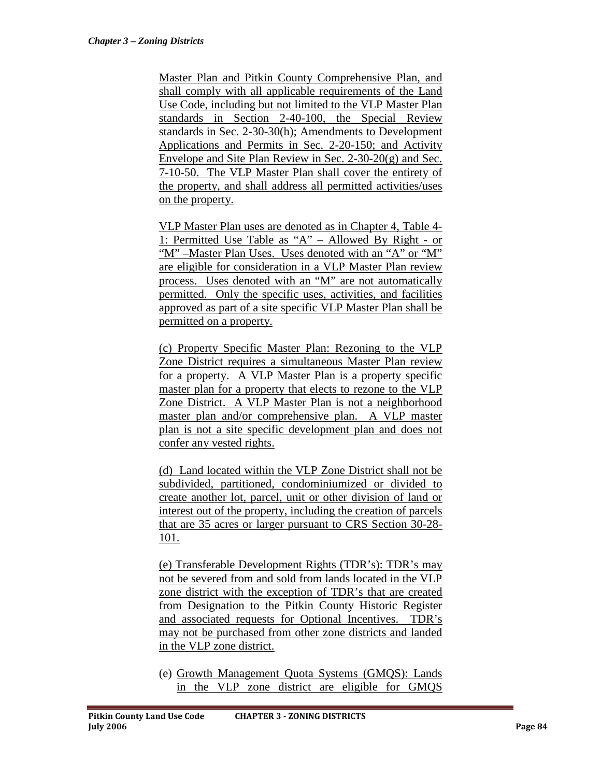Master Plan and Pitkin County Comprehensive Plan, and shall comply with all applicable requirements of the Land Use Code, including but not limited to the VLP Master Plan standards in Section 2-40-100, the Special Review standards in Sec. 2-30-30(h); Amendments to Development Applications and Permits in Sec. 2-20-150; and Activity Envelope and Site Plan Review in Sec. 2-30-20(g) and Sec. 7-10-50. The VLP Master Plan shall cover the entirety of the property, and shall address all permitted activities/uses on the property.

VLP Master Plan uses are denoted as in Chapter 4, Table 4- 1: Permitted Use Table as "A" – Allowed By Right - or "M" –Master Plan Uses. Uses denoted with an "A" or "M" are eligible for consideration in a VLP Master Plan review process. Uses denoted with an "M" are not automatically permitted. Only the specific uses, activities, and facilities approved as part of a site specific VLP Master Plan shall be permitted on a property.

(c) Property Specific Master Plan: Rezoning to the VLP Zone District requires a simultaneous Master Plan review for a property. A VLP Master Plan is a property specific master plan for a property that elects to rezone to the VLP Zone District. A VLP Master Plan is not a neighborhood master plan and/or comprehensive plan. A VLP master plan is not a site specific development plan and does not confer any vested rights.

(d) Land located within the VLP Zone District shall not be subdivided, partitioned, condominiumized or divided to create another lot, parcel, unit or other division of land or interest out of the property, including the creation of parcels that are 35 acres or larger pursuant to CRS Section 30-28- 101.

(e) Transferable Development Rights (TDR's): TDR's may not be severed from and sold from lands located in the VLP zone district with the exception of TDR's that are created from Designation to the Pitkin County Historic Register and associated requests for Optional Incentives. TDR's may not be purchased from other zone districts and landed in the VLP zone district.

(e) Growth Management Quota Systems (GMQS): Lands in the VLP zone district are eligible for GMQS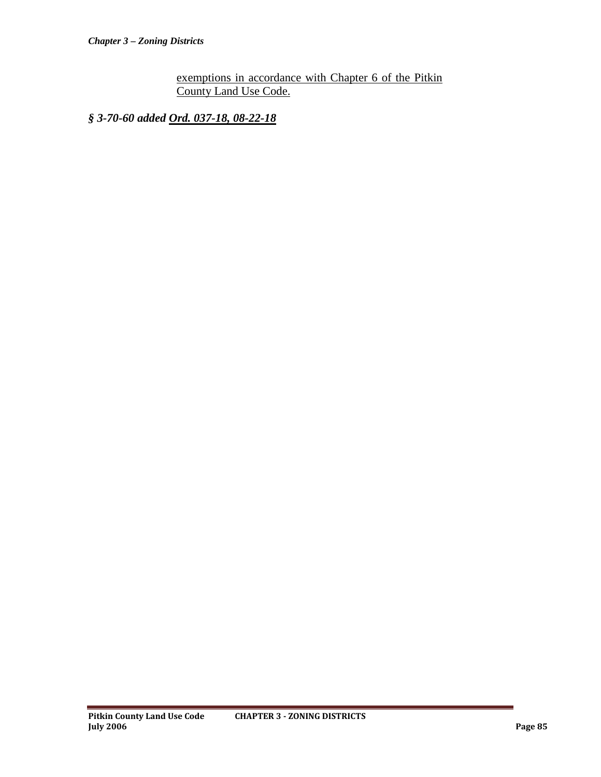exemptions in accordance with Chapter 6 of the Pitkin County Land Use Code.

*§ 3-70-60 added [Ord. 037-18, 08-22-18](https://pitkincounty.com/DocumentCenter/View/18785/boccord0372018)*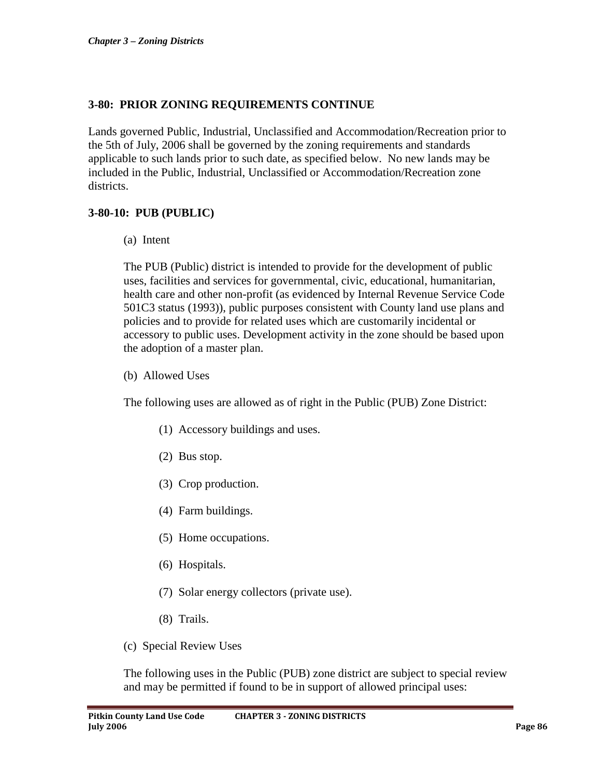### **3-80: PRIOR ZONING REQUIREMENTS CONTINUE**

Lands governed Public, Industrial, Unclassified and Accommodation/Recreation prior to the 5th of July, 2006 shall be governed by the zoning requirements and standards applicable to such lands prior to such date, as specified below. No new lands may be included in the Public, Industrial, Unclassified or Accommodation/Recreation zone districts.

#### **3-80-10: PUB (PUBLIC)**

(a) Intent

The PUB (Public) district is intended to provide for the development of public uses, facilities and services for governmental, civic, educational, humanitarian, health care and other non-profit (as evidenced by Internal Revenue Service Code 501C3 status (1993)), public purposes consistent with County land use plans and policies and to provide for related uses which are customarily incidental or accessory to public uses. Development activity in the zone should be based upon the adoption of a master plan.

(b) Allowed Uses

The following uses are allowed as of right in the Public (PUB) Zone District:

- (1) Accessory buildings and uses.
- (2) Bus stop.
- (3) Crop production.
- (4) Farm buildings.
- (5) Home occupations.
- (6) Hospitals.
- (7) Solar energy collectors (private use).
- (8) Trails.
- (c) Special Review Uses

The following uses in the Public (PUB) zone district are subject to special review and may be permitted if found to be in support of allowed principal uses: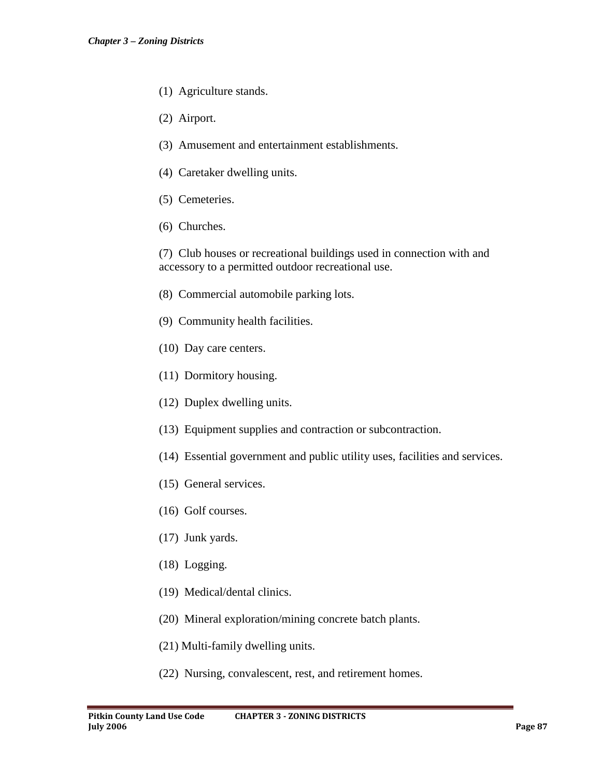- (1) Agriculture stands.
- (2) Airport.
- (3) Amusement and entertainment establishments.
- (4) Caretaker dwelling units.
- (5) Cemeteries.
- (6) Churches.

(7) Club houses or recreational buildings used in connection with and accessory to a permitted outdoor recreational use.

- (8) Commercial automobile parking lots.
- (9) Community health facilities.
- (10) Day care centers.
- (11) Dormitory housing.
- (12) Duplex dwelling units.
- (13) Equipment supplies and contraction or subcontraction.
- (14) Essential government and public utility uses, facilities and services.
- (15) General services.
- (16) Golf courses.
- (17) Junk yards.
- (18) Logging.
- (19) Medical/dental clinics.
- (20) Mineral exploration/mining concrete batch plants.
- (21) Multi-family dwelling units.
- (22) Nursing, convalescent, rest, and retirement homes.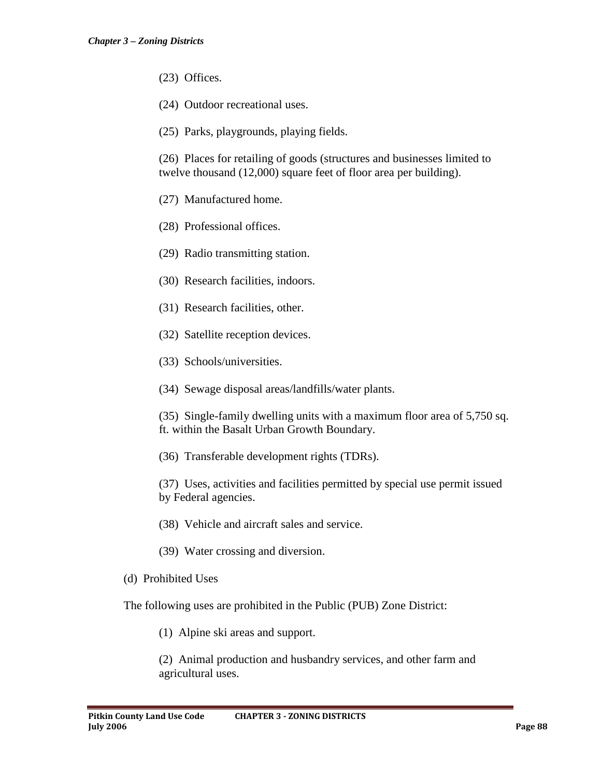(23) Offices.

- (24) Outdoor recreational uses.
- (25) Parks, playgrounds, playing fields.

(26) Places for retailing of goods (structures and businesses limited to twelve thousand (12,000) square feet of floor area per building).

- (27) Manufactured home.
- (28) Professional offices.
- (29) Radio transmitting station.
- (30) Research facilities, indoors.
- (31) Research facilities, other.
- (32) Satellite reception devices.
- (33) Schools/universities.
- (34) Sewage disposal areas/landfills/water plants.
- (35) Single-family dwelling units with a maximum floor area of 5,750 sq. ft. within the Basalt Urban Growth Boundary.
- (36) Transferable development rights (TDRs).

(37) Uses, activities and facilities permitted by special use permit issued by Federal agencies.

- (38) Vehicle and aircraft sales and service.
- (39) Water crossing and diversion.
- (d) Prohibited Uses

The following uses are prohibited in the Public (PUB) Zone District:

(1) Alpine ski areas and support.

(2) Animal production and husbandry services, and other farm and agricultural uses.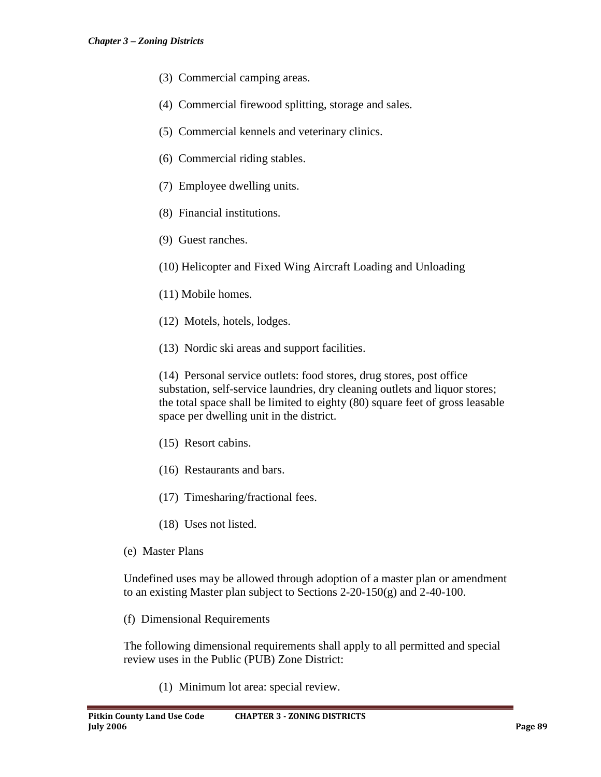- (3) Commercial camping areas.
- (4) Commercial firewood splitting, storage and sales.
- (5) Commercial kennels and veterinary clinics.
- (6) Commercial riding stables.
- (7) Employee dwelling units.
- (8) Financial institutions.
- (9) Guest ranches.
- (10) Helicopter and Fixed Wing Aircraft Loading and Unloading
- (11) Mobile homes.
- (12) Motels, hotels, lodges.
- (13) Nordic ski areas and support facilities.

(14) Personal service outlets: food stores, drug stores, post office substation, self-service laundries, dry cleaning outlets and liquor stores; the total space shall be limited to eighty (80) square feet of gross leasable space per dwelling unit in the district.

- (15) Resort cabins.
- (16) Restaurants and bars.
- (17) Timesharing/fractional fees.
- (18) Uses not listed.
- (e) Master Plans

Undefined uses may be allowed through adoption of a master plan or amendment to an existing Master plan subject to Sections 2-20-150(g) and 2-40-100.

(f) Dimensional Requirements

The following dimensional requirements shall apply to all permitted and special review uses in the Public (PUB) Zone District:

(1) Minimum lot area: special review.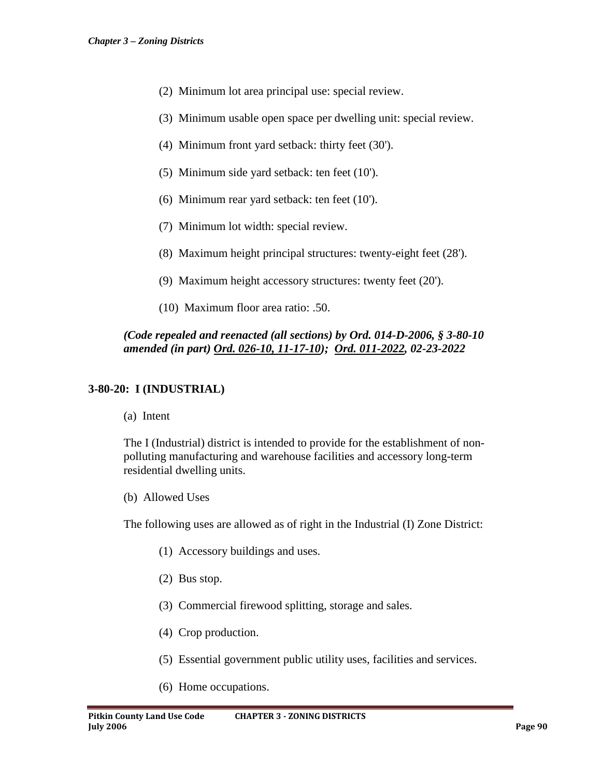- (2) Minimum lot area principal use: special review.
- (3) Minimum usable open space per dwelling unit: special review.
- (4) Minimum front yard setback: thirty feet (30').
- (5) Minimum side yard setback: ten feet (10').
- (6) Minimum rear yard setback: ten feet (10').
- (7) Minimum lot width: special review.
- (8) Maximum height principal structures: twenty-eight feet (28').
- (9) Maximum height accessory structures: twenty feet (20').
- (10) Maximum floor area ratio: .50.

# *(Code repealed and reenacted (all sections) by Ord. 014-D-2006, § 3-80-10 amended (in part) [Ord. 026-10, 11-17-10\)](http://pitkincounty.com/DocumentCenter/View/8266); [Ord. 011-2022,](https://pitkincounty.com/DocumentCenter/View/28808/boccord0112022-recorded) 02-23-2022*

# **3-80-20: I (INDUSTRIAL)**

(a) Intent

The I (Industrial) district is intended to provide for the establishment of nonpolluting manufacturing and warehouse facilities and accessory long-term residential dwelling units.

(b) Allowed Uses

The following uses are allowed as of right in the Industrial (I) Zone District:

- (1) Accessory buildings and uses.
- (2) Bus stop.
- (3) Commercial firewood splitting, storage and sales.
- (4) Crop production.
- (5) Essential government public utility uses, facilities and services.
- (6) Home occupations.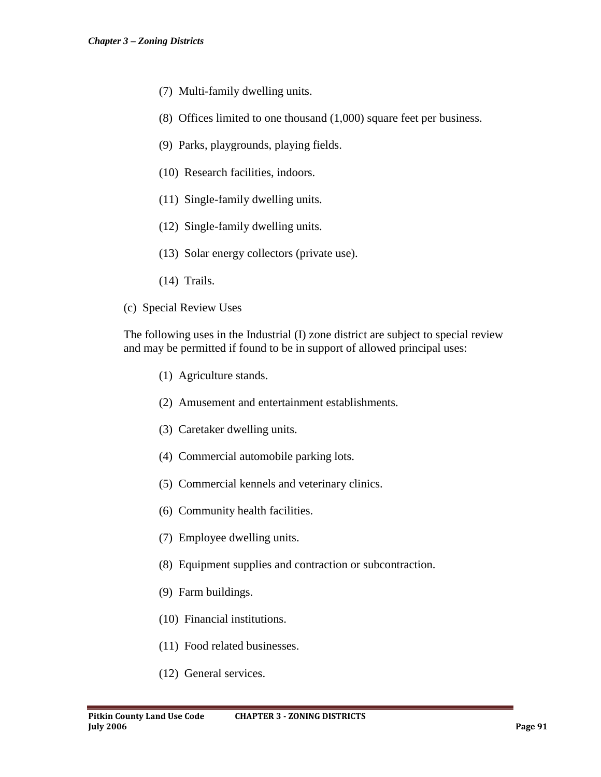- (7) Multi-family dwelling units.
- (8) Offices limited to one thousand (1,000) square feet per business.
- (9) Parks, playgrounds, playing fields.
- (10) Research facilities, indoors.
- (11) Single-family dwelling units.
- (12) Single-family dwelling units.
- (13) Solar energy collectors (private use).
- (14) Trails.
- (c) Special Review Uses

The following uses in the Industrial (I) zone district are subject to special review and may be permitted if found to be in support of allowed principal uses:

- (1) Agriculture stands.
- (2) Amusement and entertainment establishments.
- (3) Caretaker dwelling units.
- (4) Commercial automobile parking lots.
- (5) Commercial kennels and veterinary clinics.
- (6) Community health facilities.
- (7) Employee dwelling units.
- (8) Equipment supplies and contraction or subcontraction.
- (9) Farm buildings.
- (10) Financial institutions.
- (11) Food related businesses.
- (12) General services.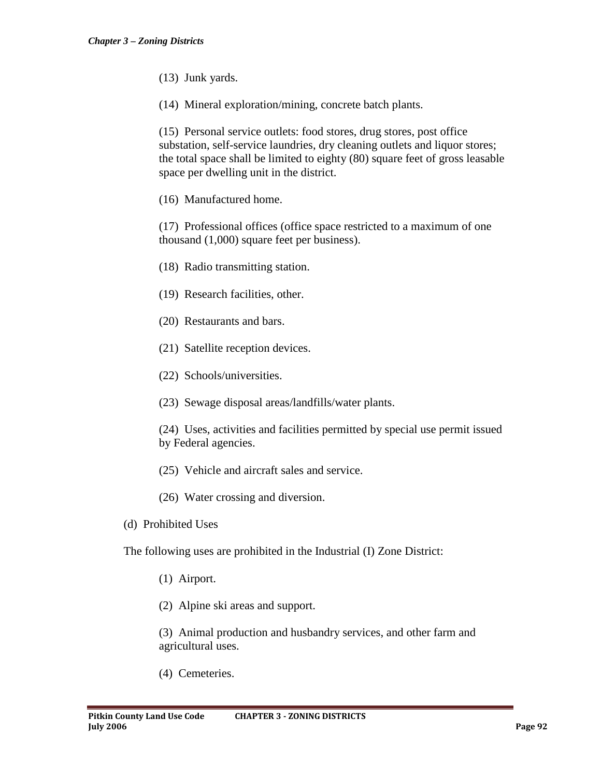(13) Junk yards.

(14) Mineral exploration/mining, concrete batch plants.

(15) Personal service outlets: food stores, drug stores, post office substation, self-service laundries, dry cleaning outlets and liquor stores; the total space shall be limited to eighty (80) square feet of gross leasable space per dwelling unit in the district.

(16) Manufactured home.

(17) Professional offices (office space restricted to a maximum of one thousand (1,000) square feet per business).

- (18) Radio transmitting station.
- (19) Research facilities, other.
- (20) Restaurants and bars.
- (21) Satellite reception devices.
- (22) Schools/universities.
- (23) Sewage disposal areas/landfills/water plants.
- (24) Uses, activities and facilities permitted by special use permit issued by Federal agencies.
- (25) Vehicle and aircraft sales and service.
- (26) Water crossing and diversion.
- (d) Prohibited Uses

The following uses are prohibited in the Industrial (I) Zone District:

- (1) Airport.
- (2) Alpine ski areas and support.

(3) Animal production and husbandry services, and other farm and agricultural uses.

(4) Cemeteries.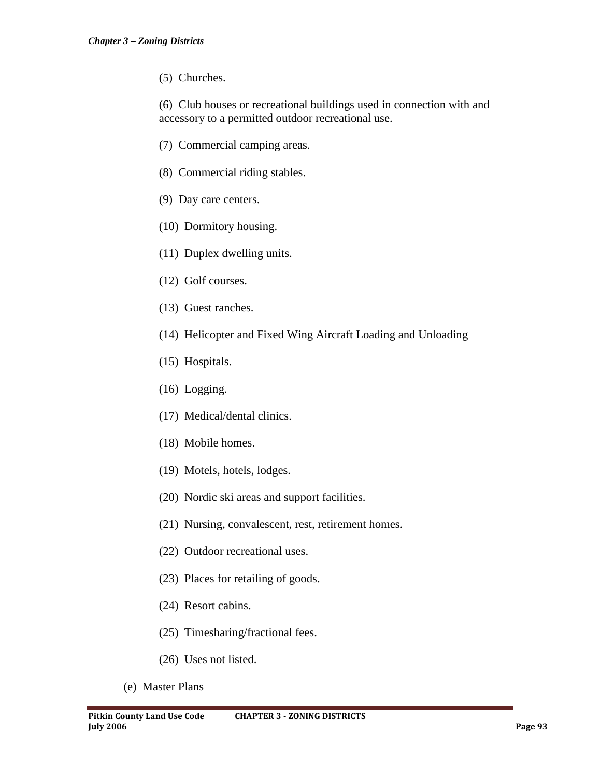(5) Churches.

(6) Club houses or recreational buildings used in connection with and accessory to a permitted outdoor recreational use.

- (7) Commercial camping areas.
- (8) Commercial riding stables.
- (9) Day care centers.
- (10) Dormitory housing.
- (11) Duplex dwelling units.
- (12) Golf courses.
- (13) Guest ranches.
- (14) Helicopter and Fixed Wing Aircraft Loading and Unloading
- (15) Hospitals.
- (16) Logging.
- (17) Medical/dental clinics.
- (18) Mobile homes.
- (19) Motels, hotels, lodges.
- (20) Nordic ski areas and support facilities.
- (21) Nursing, convalescent, rest, retirement homes.
- (22) Outdoor recreational uses.
- (23) Places for retailing of goods.
- (24) Resort cabins.
- (25) Timesharing/fractional fees.
- (26) Uses not listed.
- (e) Master Plans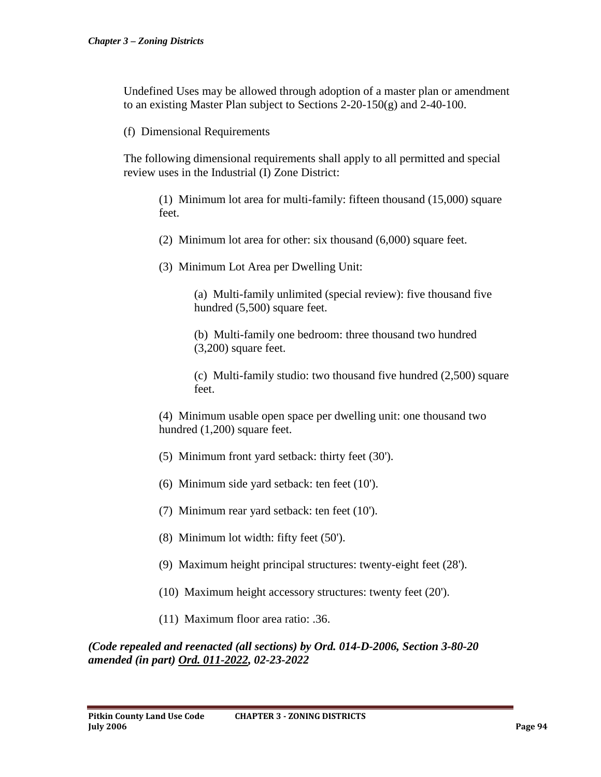Undefined Uses may be allowed through adoption of a master plan or amendment to an existing Master Plan subject to Sections 2-20-150(g) and 2-40-100.

(f) Dimensional Requirements

The following dimensional requirements shall apply to all permitted and special review uses in the Industrial (I) Zone District:

(1) Minimum lot area for multi-family: fifteen thousand (15,000) square feet.

(2) Minimum lot area for other: six thousand (6,000) square feet.

(3) Minimum Lot Area per Dwelling Unit:

(a) Multi-family unlimited (special review): five thousand five hundred (5,500) square feet.

(b) Multi-family one bedroom: three thousand two hundred (3,200) square feet.

(c) Multi-family studio: two thousand five hundred (2,500) square feet.

(4) Minimum usable open space per dwelling unit: one thousand two hundred (1,200) square feet.

- (5) Minimum front yard setback: thirty feet (30').
- (6) Minimum side yard setback: ten feet (10').
- (7) Minimum rear yard setback: ten feet (10').
- (8) Minimum lot width: fifty feet (50').
- (9) Maximum height principal structures: twenty-eight feet (28').
- (10) Maximum height accessory structures: twenty feet (20').
- (11) Maximum floor area ratio: .36.

*(Code repealed and reenacted (all sections) by Ord. 014-D-2006, Section 3-80-20 amended (in part) [Ord. 011-2022,](https://pitkincounty.com/DocumentCenter/View/28808/boccord0112022-recorded) 02-23-2022*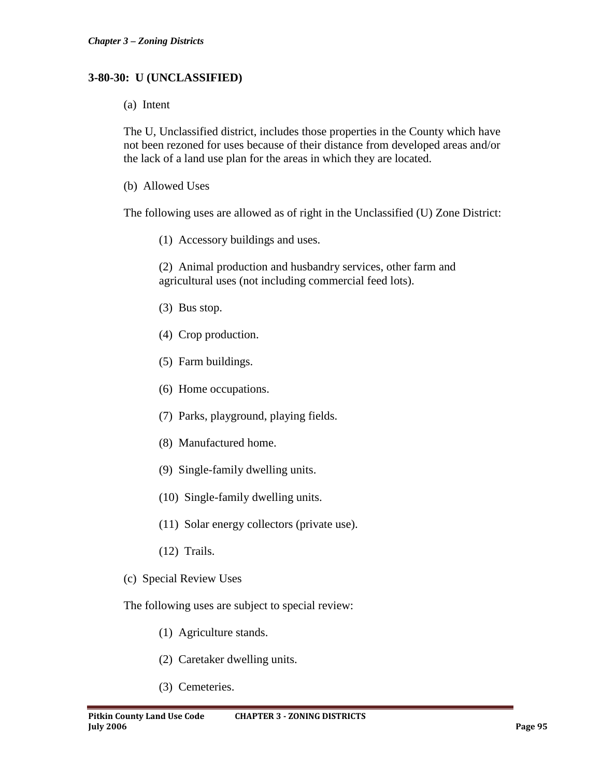### **3-80-30: U (UNCLASSIFIED)**

(a) Intent

The U, Unclassified district, includes those properties in the County which have not been rezoned for uses because of their distance from developed areas and/or the lack of a land use plan for the areas in which they are located.

(b) Allowed Uses

The following uses are allowed as of right in the Unclassified (U) Zone District:

(1) Accessory buildings and uses.

(2) Animal production and husbandry services, other farm and agricultural uses (not including commercial feed lots).

- (3) Bus stop.
- (4) Crop production.
- (5) Farm buildings.
- (6) Home occupations.
- (7) Parks, playground, playing fields.
- (8) Manufactured home.
- (9) Single-family dwelling units.
- (10) Single-family dwelling units.
- (11) Solar energy collectors (private use).
- (12) Trails.
- (c) Special Review Uses

The following uses are subject to special review:

- (1) Agriculture stands.
- (2) Caretaker dwelling units.
- (3) Cemeteries.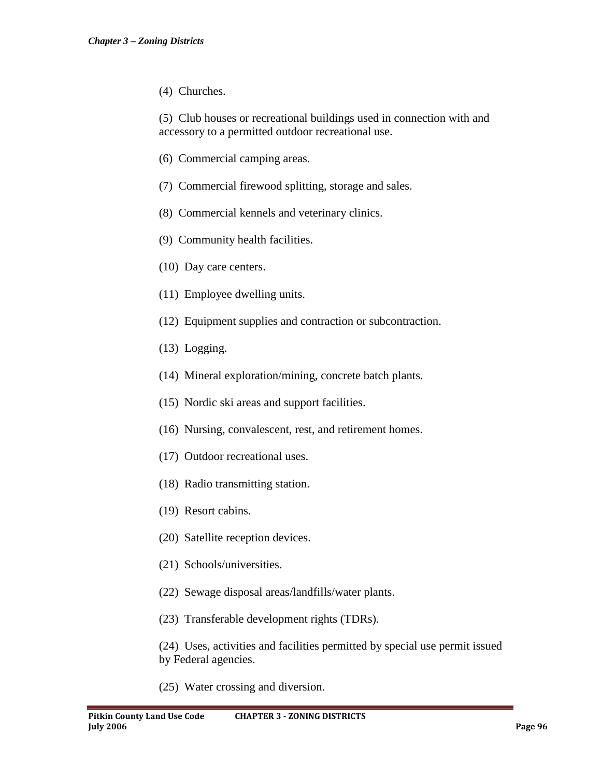(4) Churches.

(5) Club houses or recreational buildings used in connection with and accessory to a permitted outdoor recreational use.

- (6) Commercial camping areas.
- (7) Commercial firewood splitting, storage and sales.
- (8) Commercial kennels and veterinary clinics.
- (9) Community health facilities.
- (10) Day care centers.
- (11) Employee dwelling units.
- (12) Equipment supplies and contraction or subcontraction.
- (13) Logging.
- (14) Mineral exploration/mining, concrete batch plants.
- (15) Nordic ski areas and support facilities.
- (16) Nursing, convalescent, rest, and retirement homes.
- (17) Outdoor recreational uses.
- (18) Radio transmitting station.
- (19) Resort cabins.
- (20) Satellite reception devices.
- (21) Schools/universities.
- (22) Sewage disposal areas/landfills/water plants.
- (23) Transferable development rights (TDRs).

(24) Uses, activities and facilities permitted by special use permit issued by Federal agencies.

(25) Water crossing and diversion.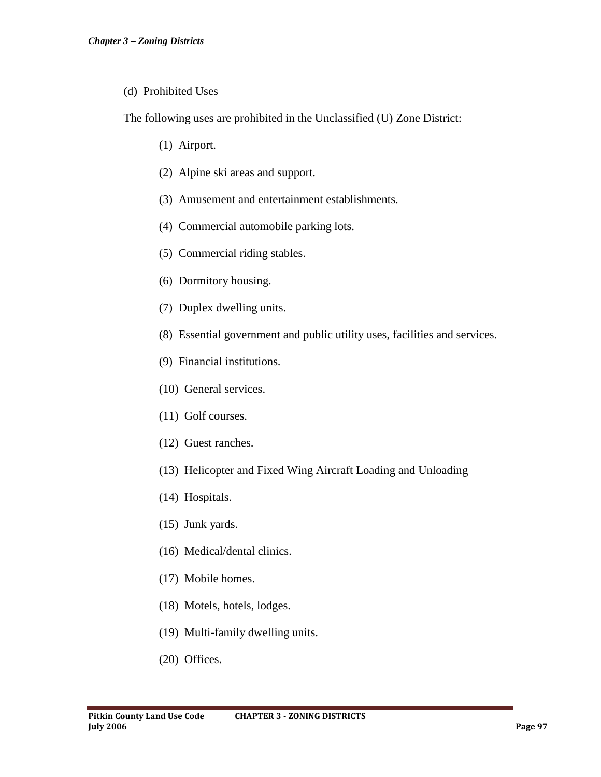# (d) Prohibited Uses

The following uses are prohibited in the Unclassified (U) Zone District:

- (1) Airport.
- (2) Alpine ski areas and support.
- (3) Amusement and entertainment establishments.
- (4) Commercial automobile parking lots.
- (5) Commercial riding stables.
- (6) Dormitory housing.
- (7) Duplex dwelling units.
- (8) Essential government and public utility uses, facilities and services.
- (9) Financial institutions.
- (10) General services.
- (11) Golf courses.
- (12) Guest ranches.
- (13) Helicopter and Fixed Wing Aircraft Loading and Unloading
- (14) Hospitals.
- (15) Junk yards.
- (16) Medical/dental clinics.
- (17) Mobile homes.
- (18) Motels, hotels, lodges.
- (19) Multi-family dwelling units.
- (20) Offices.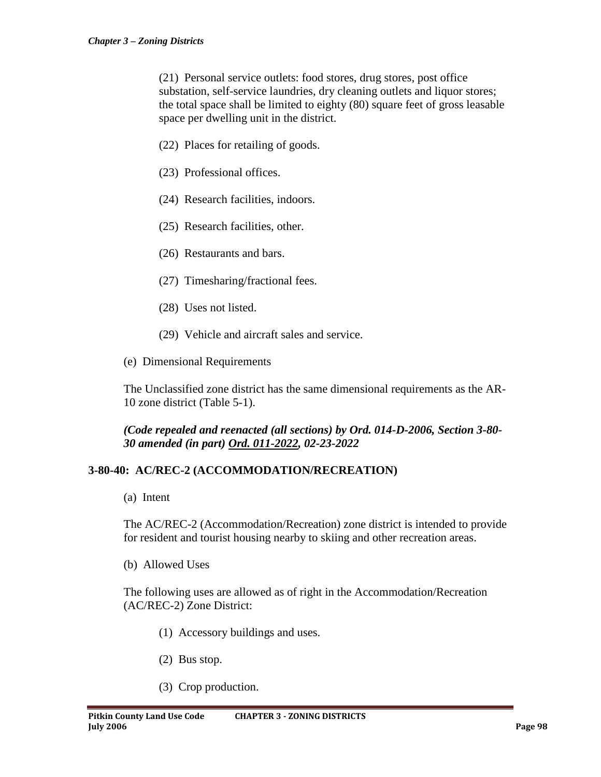(21) Personal service outlets: food stores, drug stores, post office substation, self-service laundries, dry cleaning outlets and liquor stores; the total space shall be limited to eighty (80) square feet of gross leasable space per dwelling unit in the district.

- (22) Places for retailing of goods.
- (23) Professional offices.
- (24) Research facilities, indoors.
- (25) Research facilities, other.
- (26) Restaurants and bars.
- (27) Timesharing/fractional fees.
- (28) Uses not listed.
- (29) Vehicle and aircraft sales and service.
- (e) Dimensional Requirements

The Unclassified zone district has the same dimensional requirements as the AR-10 zone district (Table 5-1).

# *(Code repealed and reenacted (all sections) by Ord. 014-D-2006, Section 3-80- 30 amended (in part) [Ord. 011-2022,](https://pitkincounty.com/DocumentCenter/View/28808/boccord0112022-recorded) 02-23-2022*

# **3-80-40: AC/REC-2 (ACCOMMODATION/RECREATION)**

(a) Intent

The AC/REC-2 (Accommodation/Recreation) zone district is intended to provide for resident and tourist housing nearby to skiing and other recreation areas.

(b) Allowed Uses

The following uses are allowed as of right in the Accommodation/Recreation (AC/REC-2) Zone District:

- (1) Accessory buildings and uses.
- (2) Bus stop.
- (3) Crop production.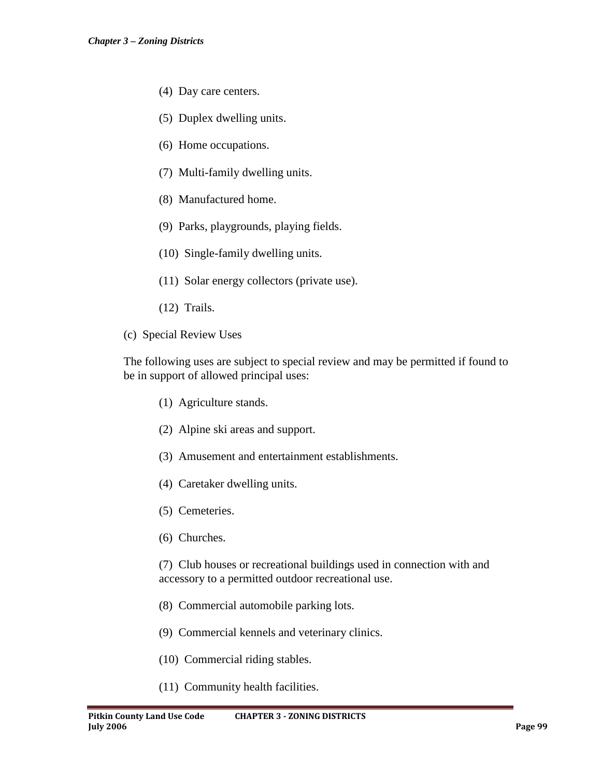- (4) Day care centers.
- (5) Duplex dwelling units.
- (6) Home occupations.
- (7) Multi-family dwelling units.
- (8) Manufactured home.
- (9) Parks, playgrounds, playing fields.
- (10) Single-family dwelling units.
- (11) Solar energy collectors (private use).
- (12) Trails.
- (c) Special Review Uses

The following uses are subject to special review and may be permitted if found to be in support of allowed principal uses:

- (1) Agriculture stands.
- (2) Alpine ski areas and support.
- (3) Amusement and entertainment establishments.
- (4) Caretaker dwelling units.
- (5) Cemeteries.
- (6) Churches.

(7) Club houses or recreational buildings used in connection with and accessory to a permitted outdoor recreational use.

- (8) Commercial automobile parking lots.
- (9) Commercial kennels and veterinary clinics.
- (10) Commercial riding stables.
- (11) Community health facilities.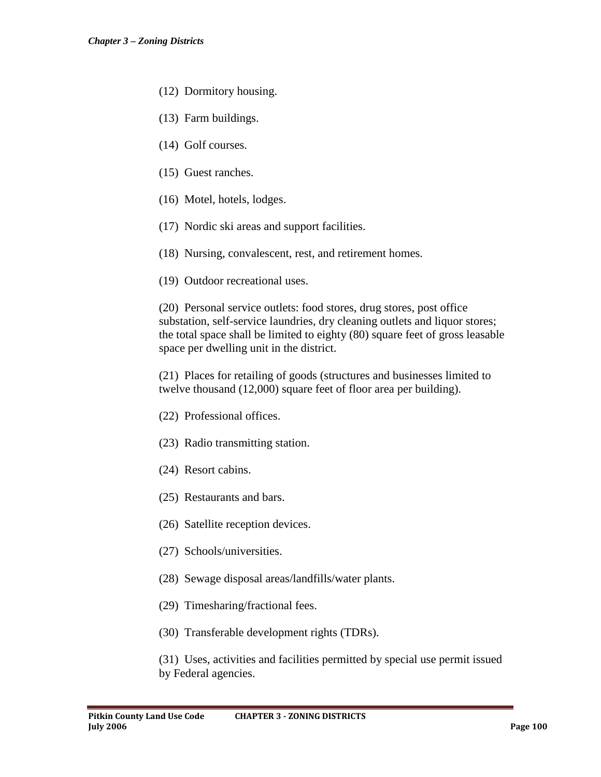- (12) Dormitory housing.
- (13) Farm buildings.
- (14) Golf courses.
- (15) Guest ranches.
- (16) Motel, hotels, lodges.
- (17) Nordic ski areas and support facilities.
- (18) Nursing, convalescent, rest, and retirement homes.
- (19) Outdoor recreational uses.

(20) Personal service outlets: food stores, drug stores, post office substation, self-service laundries, dry cleaning outlets and liquor stores; the total space shall be limited to eighty (80) square feet of gross leasable space per dwelling unit in the district.

(21) Places for retailing of goods (structures and businesses limited to twelve thousand (12,000) square feet of floor area per building).

- (22) Professional offices.
- (23) Radio transmitting station.
- (24) Resort cabins.
- (25) Restaurants and bars.
- (26) Satellite reception devices.
- (27) Schools/universities.
- (28) Sewage disposal areas/landfills/water plants.
- (29) Timesharing/fractional fees.
- (30) Transferable development rights (TDRs).

(31) Uses, activities and facilities permitted by special use permit issued by Federal agencies.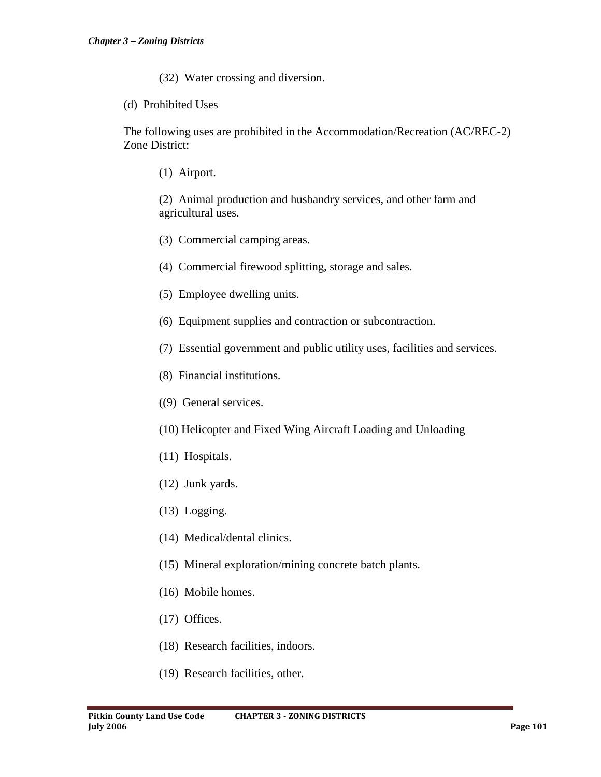(32) Water crossing and diversion.

#### (d) Prohibited Uses

The following uses are prohibited in the Accommodation/Recreation (AC/REC-2) Zone District:

(1) Airport.

(2) Animal production and husbandry services, and other farm and agricultural uses.

- (3) Commercial camping areas.
- (4) Commercial firewood splitting, storage and sales.
- (5) Employee dwelling units.
- (6) Equipment supplies and contraction or subcontraction.
- (7) Essential government and public utility uses, facilities and services.
- (8) Financial institutions.
- ((9) General services.
- (10) Helicopter and Fixed Wing Aircraft Loading and Unloading
- (11) Hospitals.
- (12) Junk yards.
- (13) Logging.
- (14) Medical/dental clinics.
- (15) Mineral exploration/mining concrete batch plants.
- (16) Mobile homes.
- (17) Offices.
- (18) Research facilities, indoors.
- (19) Research facilities, other.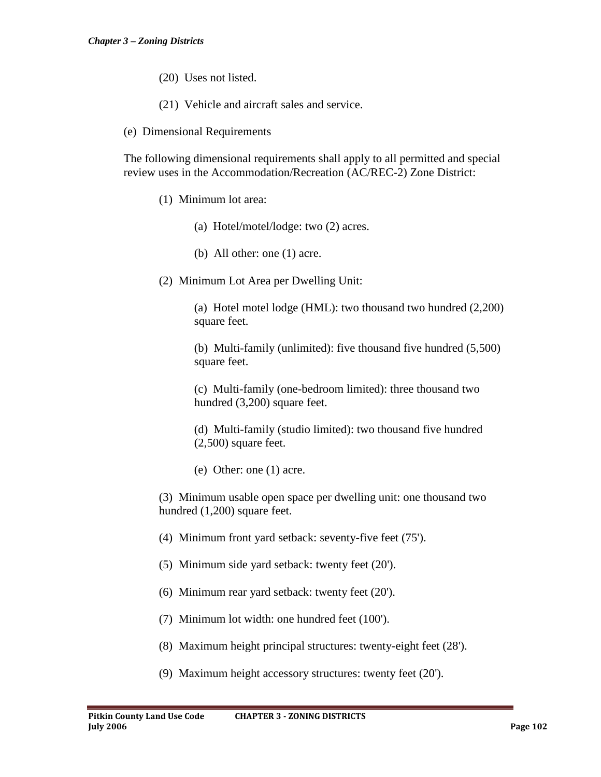- (20) Uses not listed.
- (21) Vehicle and aircraft sales and service.
- (e) Dimensional Requirements

The following dimensional requirements shall apply to all permitted and special review uses in the Accommodation/Recreation (AC/REC-2) Zone District:

- (1) Minimum lot area:
	- (a) Hotel/motel/lodge: two (2) acres.
	- (b) All other: one (1) acre.
- (2) Minimum Lot Area per Dwelling Unit:

(a) Hotel motel lodge (HML): two thousand two hundred (2,200) square feet.

(b) Multi-family (unlimited): five thousand five hundred (5,500) square feet.

(c) Multi-family (one-bedroom limited): three thousand two hundred (3,200) square feet.

(d) Multi-family (studio limited): two thousand five hundred  $(2,500)$  square feet.

(e) Other: one (1) acre.

(3) Minimum usable open space per dwelling unit: one thousand two hundred (1,200) square feet.

- (4) Minimum front yard setback: seventy-five feet (75').
- (5) Minimum side yard setback: twenty feet (20').
- (6) Minimum rear yard setback: twenty feet (20').
- (7) Minimum lot width: one hundred feet (100').
- (8) Maximum height principal structures: twenty-eight feet (28').
- (9) Maximum height accessory structures: twenty feet (20').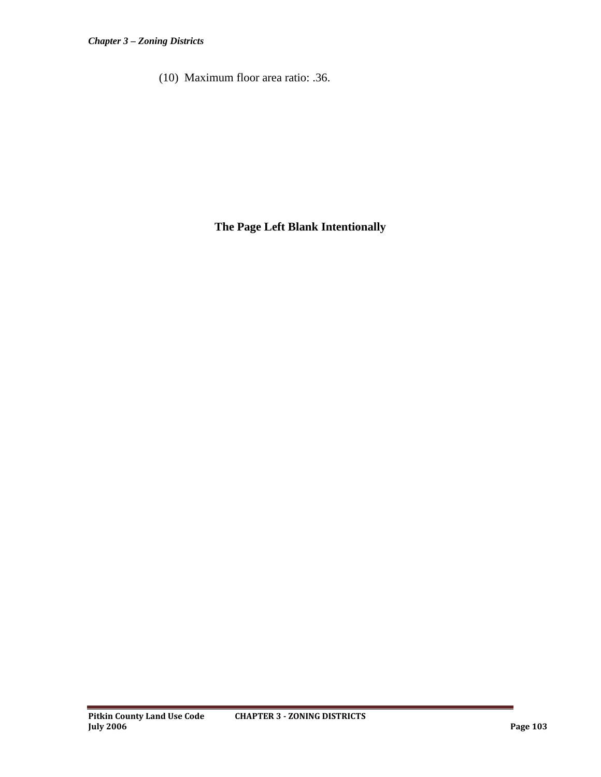(10) Maximum floor area ratio: .36.

**The Page Left Blank Intentionally**